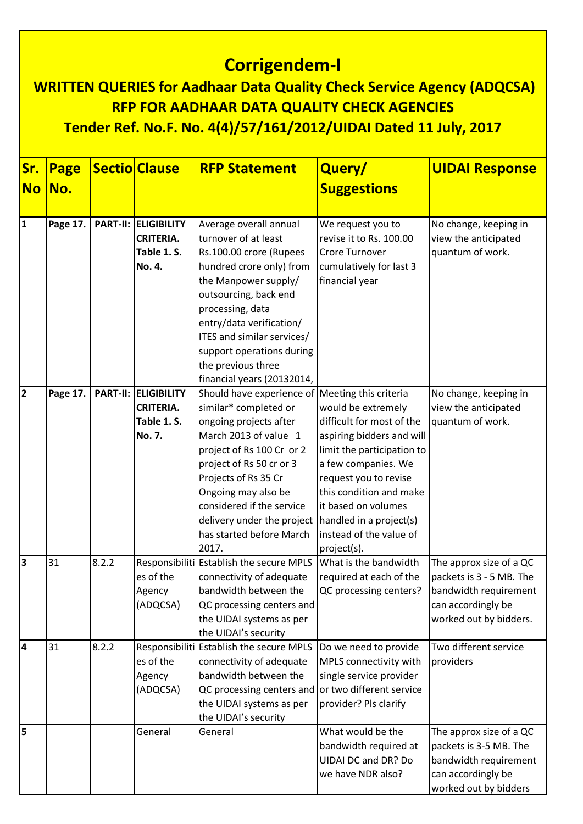## **Corrigendem-I**

## **WRITTEN QUERIES for Aadhaar Data Quality Check Service Agency (ADQCSA) RFP FOR AADHAAR DATA QUALITY CHECK AGENCIES Tender Ref. No.F. No. 4(4)/57/161/2012/UIDAI Dated 11 July, 2017**

| Sr.            | Page     |       | <b>Sectio Clause</b>        | <b>RFP Statement</b>                                                    | Query/                     | <b>UIDAI Response</b>    |
|----------------|----------|-------|-----------------------------|-------------------------------------------------------------------------|----------------------------|--------------------------|
| <b>No</b>      | No.      |       |                             |                                                                         | <b>Suggestions</b>         |                          |
|                |          |       |                             |                                                                         |                            |                          |
| 1              | Page 17. |       | <b>PART-II: ELIGIBILITY</b> | Average overall annual                                                  | We request you to          | No change, keeping in    |
|                |          |       | <b>CRITERIA.</b>            | turnover of at least                                                    | revise it to Rs. 100.00    | view the anticipated     |
|                |          |       | Table 1.S.                  | Rs.100.00 crore (Rupees                                                 | Crore Turnover             | quantum of work.         |
|                |          |       | No. 4.                      | hundred crore only) from                                                | cumulatively for last 3    |                          |
|                |          |       |                             | the Manpower supply/                                                    | financial year             |                          |
|                |          |       |                             | outsourcing, back end                                                   |                            |                          |
|                |          |       |                             | processing, data                                                        |                            |                          |
|                |          |       |                             | entry/data verification/                                                |                            |                          |
|                |          |       |                             | ITES and similar services/                                              |                            |                          |
|                |          |       |                             | support operations during                                               |                            |                          |
|                |          |       |                             | the previous three                                                      |                            |                          |
|                |          |       |                             | financial years (20132014,                                              |                            |                          |
| $\overline{2}$ | Page 17. |       | <b>PART-II: ELIGIBILITY</b> | Should have experience of                                               | Meeting this criteria      | No change, keeping in    |
|                |          |       | <b>CRITERIA.</b>            | similar* completed or                                                   | would be extremely         | view the anticipated     |
|                |          |       | Table 1.S.                  | ongoing projects after                                                  | difficult for most of the  | quantum of work.         |
|                |          |       | No. 7.                      | March 2013 of value 1                                                   | aspiring bidders and will  |                          |
|                |          |       |                             | project of Rs 100 Cr or 2                                               | limit the participation to |                          |
|                |          |       |                             | project of Rs 50 cr or 3                                                | a few companies. We        |                          |
|                |          |       |                             | Projects of Rs 35 Cr                                                    | request you to revise      |                          |
|                |          |       |                             | Ongoing may also be                                                     | this condition and make    |                          |
|                |          |       |                             | considered if the service                                               | it based on volumes        |                          |
|                |          |       |                             | delivery under the project   handled in a project(s)                    |                            |                          |
|                |          |       |                             | has started before March                                                | instead of the value of    |                          |
| 3              | 31       | 8.2.2 |                             | 2017.<br>Responsibiliti Establish the secure MPLS What is the bandwidth | project(s).                | The approx size of a QC  |
|                |          |       | es of the                   | connectivity of adequate                                                | required at each of the    | packets is 3 - 5 MB. The |
|                |          |       | Agency                      | bandwidth between the                                                   | QC processing centers?     | bandwidth requirement    |
|                |          |       | (ADQCSA)                    | QC processing centers and                                               |                            | can accordingly be       |
|                |          |       |                             | the UIDAI systems as per                                                |                            | worked out by bidders.   |
|                |          |       |                             | the UIDAI's security                                                    |                            |                          |
| 14             | 31       | 8.2.2 |                             | Responsibiliti Establish the secure MPLS                                | Do we need to provide      | Two different service    |
|                |          |       | es of the                   | connectivity of adequate                                                | MPLS connectivity with     | providers                |
|                |          |       | Agency                      | bandwidth between the                                                   | single service provider    |                          |
|                |          |       | (ADQCSA)                    | QC processing centers and or two different service                      |                            |                          |
|                |          |       |                             | the UIDAI systems as per                                                | provider? Pls clarify      |                          |
|                |          |       |                             | the UIDAI's security                                                    |                            |                          |
| 5              |          |       | General                     | General                                                                 | What would be the          | The approx size of a QC  |
|                |          |       |                             |                                                                         | bandwidth required at      | packets is 3-5 MB. The   |
|                |          |       |                             |                                                                         | UIDAI DC and DR? Do        | bandwidth requirement    |
|                |          |       |                             |                                                                         | we have NDR also?          | can accordingly be       |
|                |          |       |                             |                                                                         |                            | worked out by bidders    |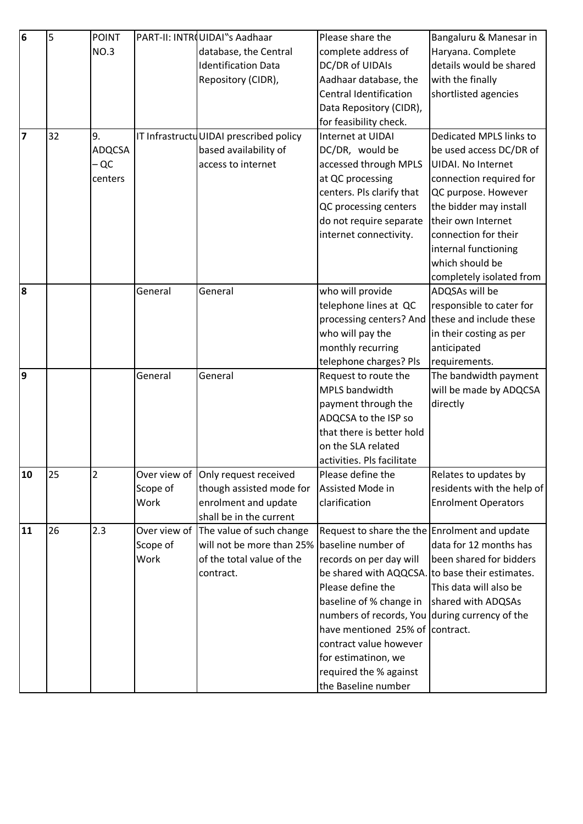| $6\overline{6}$ | 5  | <b>POINT</b>  |              | PART-II: INTROUIDAI"s Aadhaar           | Please share the                                                    | Bangaluru & Manesar in     |
|-----------------|----|---------------|--------------|-----------------------------------------|---------------------------------------------------------------------|----------------------------|
|                 |    | NO.3          |              | database, the Central                   | complete address of                                                 | Haryana. Complete          |
|                 |    |               |              | <b>Identification Data</b>              | DC/DR of UIDAIs                                                     | details would be shared    |
|                 |    |               |              | Repository (CIDR),                      | Aadhaar database, the                                               | with the finally           |
|                 |    |               |              |                                         | Central Identification                                              | shortlisted agencies       |
|                 |    |               |              |                                         | Data Repository (CIDR),                                             |                            |
|                 |    |               |              |                                         | for feasibility check.                                              |                            |
| 7               | 32 | 9.            |              | IT Infrastructu UIDAI prescribed policy | Internet at UIDAI                                                   | Dedicated MPLS links to    |
|                 |    | <b>ADQCSA</b> |              | based availability of                   | DC/DR, would be                                                     | be used access DC/DR of    |
|                 |    | - QC          |              | access to internet                      | accessed through MPLS                                               | <b>UIDAI. No Internet</b>  |
|                 |    | centers       |              |                                         | at QC processing                                                    | connection required for    |
|                 |    |               |              |                                         | centers. Pls clarify that                                           | QC purpose. However        |
|                 |    |               |              |                                         | QC processing centers                                               | the bidder may install     |
|                 |    |               |              |                                         | do not require separate                                             | their own Internet         |
|                 |    |               |              |                                         | internet connectivity.                                              | connection for their       |
|                 |    |               |              |                                         |                                                                     | internal functioning       |
|                 |    |               |              |                                         |                                                                     | which should be            |
|                 |    |               |              |                                         |                                                                     | completely isolated from   |
| 8               |    |               | General      | General                                 | who will provide                                                    | ADQSAs will be             |
|                 |    |               |              |                                         | telephone lines at QC                                               | responsible to cater for   |
|                 |    |               |              |                                         | processing centers? And                                             | these and include these    |
|                 |    |               |              |                                         | who will pay the                                                    | in their costing as per    |
|                 |    |               |              |                                         | monthly recurring                                                   | anticipated                |
|                 |    |               |              |                                         | telephone charges? Pls                                              | requirements.              |
| 9               |    |               | General      | General                                 | Request to route the                                                | The bandwidth payment      |
|                 |    |               |              |                                         | MPLS bandwidth                                                      | will be made by ADQCSA     |
|                 |    |               |              |                                         | payment through the                                                 | directly                   |
|                 |    |               |              |                                         | ADQCSA to the ISP so                                                |                            |
|                 |    |               |              |                                         | that there is better hold                                           |                            |
|                 |    |               |              |                                         | on the SLA related                                                  |                            |
|                 |    |               |              |                                         | activities. Pls facilitate                                          |                            |
| 10              | 25 | 2             |              | Over view of Only request received      | Please define the                                                   | Relates to updates by      |
|                 |    |               | Scope of     | though assisted mode for                | Assisted Mode in                                                    | residents with the help of |
|                 |    |               | Work         | enrolment and update                    | clarification                                                       | <b>Enrolment Operators</b> |
|                 |    |               |              | shall be in the current                 |                                                                     |                            |
| 11              | 26 | 2.3           | Over view of | The value of such change                | Request to share the the Enrolment and update<br>baseline number of |                            |
|                 |    |               | Scope of     | will not be more than 25%               |                                                                     | data for 12 months has     |
|                 |    |               | Work         | of the total value of the               | records on per day will                                             | been shared for bidders    |
|                 |    |               |              | contract.                               | be shared with AQQCSA. to base their estimates.                     |                            |
|                 |    |               |              |                                         | Please define the                                                   | This data will also be     |
|                 |    |               |              |                                         | baseline of % change in                                             | shared with ADQSAs         |
|                 |    |               |              |                                         | numbers of records, You during currency of the                      |                            |
|                 |    |               |              |                                         | have mentioned 25% of contract.                                     |                            |
|                 |    |               |              |                                         | contract value however                                              |                            |
|                 |    |               |              |                                         | for estimatinon, we                                                 |                            |
|                 |    |               |              |                                         | required the % against                                              |                            |
|                 |    |               |              |                                         | the Baseline number                                                 |                            |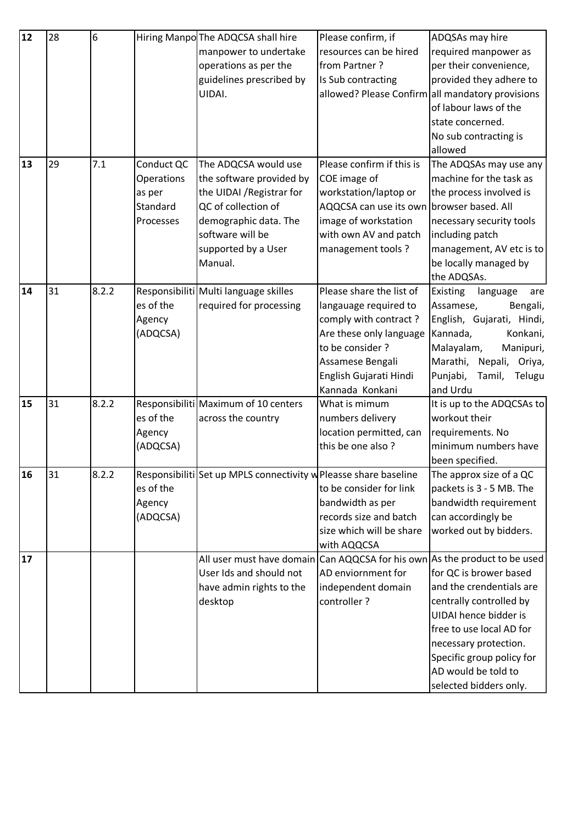| 12 | 28 | 6     |            | Hiring Manpo The ADQCSA shall hire                               | Please confirm, if        | ADQSAs may hire                                  |
|----|----|-------|------------|------------------------------------------------------------------|---------------------------|--------------------------------------------------|
|    |    |       |            | manpower to undertake                                            | resources can be hired    | required manpower as                             |
|    |    |       |            | operations as per the                                            | from Partner?             | per their convenience,                           |
|    |    |       |            | guidelines prescribed by                                         | Is Sub contracting        | provided they adhere to                          |
|    |    |       |            | UIDAI.                                                           |                           | allowed? Please Confirm all mandatory provisions |
|    |    |       |            |                                                                  |                           | of labour laws of the                            |
|    |    |       |            |                                                                  |                           | state concerned.                                 |
|    |    |       |            |                                                                  |                           | No sub contracting is                            |
|    |    |       |            |                                                                  |                           | allowed                                          |
| 13 | 29 | 7.1   | Conduct QC | The ADQCSA would use                                             | Please confirm if this is | The ADQSAs may use any                           |
|    |    |       | Operations | the software provided by                                         | COE image of              | machine for the task as                          |
|    |    |       | as per     | the UIDAI / Registrar for                                        | workstation/laptop or     | the process involved is                          |
|    |    |       | Standard   | QC of collection of                                              | AQQCSA can use its own    | browser based. All                               |
|    |    |       | Processes  | demographic data. The                                            | image of workstation      | necessary security tools                         |
|    |    |       |            | software will be                                                 | with own AV and patch     | including patch                                  |
|    |    |       |            | supported by a User                                              | management tools?         | management, AV etc is to                         |
|    |    |       |            | Manual.                                                          |                           | be locally managed by                            |
|    |    |       |            |                                                                  |                           | the ADQSAs.                                      |
| 14 | 31 | 8.2.2 |            | Responsibiliti Multi language skilles                            | Please share the list of  | Existing<br>language<br>are                      |
|    |    |       | es of the  | required for processing                                          | langauage required to     | Assamese,<br>Bengali,                            |
|    |    |       | Agency     |                                                                  | comply with contract?     | English, Gujarati, Hindi,                        |
|    |    |       | (ADQCSA)   |                                                                  | Are these only language   | Konkani,<br>Kannada,                             |
|    |    |       |            |                                                                  | to be consider?           | Malayalam,<br>Manipuri,                          |
|    |    |       |            |                                                                  | Assamese Bengali          | Marathi, Nepali,<br>Oriya,                       |
|    |    |       |            |                                                                  | English Gujarati Hindi    | Punjabi,<br>Tamil,<br>Telugu                     |
|    |    |       |            |                                                                  | Kannada Konkani           | and Urdu                                         |
| 15 | 31 | 8.2.2 |            | Responsibiliti Maximum of 10 centers                             | What is mimum             | It is up to the ADQCSAs to                       |
|    |    |       | es of the  | across the country                                               | numbers delivery          | workout their                                    |
|    |    |       | Agency     |                                                                  | location permitted, can   | requirements. No                                 |
|    |    |       | (ADQCSA)   |                                                                  | this be one also?         | minimum numbers have                             |
|    |    |       |            |                                                                  |                           | been specified.                                  |
| 16 | 31 | 8.2.2 |            | Responsibiliti Set up MPLS connectivity w Pleasse share baseline |                           | The approx size of a QC                          |
|    |    |       | es of the  |                                                                  | to be consider for link   | packets is 3 - 5 MB. The                         |
|    |    |       | Agency     |                                                                  | bandwidth as per          | bandwidth requirement                            |
|    |    |       | (ADQCSA)   |                                                                  | records size and batch    | can accordingly be                               |
|    |    |       |            |                                                                  | size which will be share  | worked out by bidders.                           |
|    |    |       |            |                                                                  | with AQQCSA               |                                                  |
| 17 |    |       |            | All user must have domain Can AQQCSA for his own                 |                           | As the product to be used                        |
|    |    |       |            | User Ids and should not                                          | AD enviornment for        | for QC is brower based                           |
|    |    |       |            | have admin rights to the                                         | independent domain        | and the crendentials are                         |
|    |    |       |            | desktop                                                          | controller?               | centrally controlled by                          |
|    |    |       |            |                                                                  |                           | UIDAI hence bidder is                            |
|    |    |       |            |                                                                  |                           | free to use local AD for                         |
|    |    |       |            |                                                                  |                           | necessary protection.                            |
|    |    |       |            |                                                                  |                           | Specific group policy for                        |
|    |    |       |            |                                                                  |                           | AD would be told to                              |
|    |    |       |            |                                                                  |                           | selected bidders only.                           |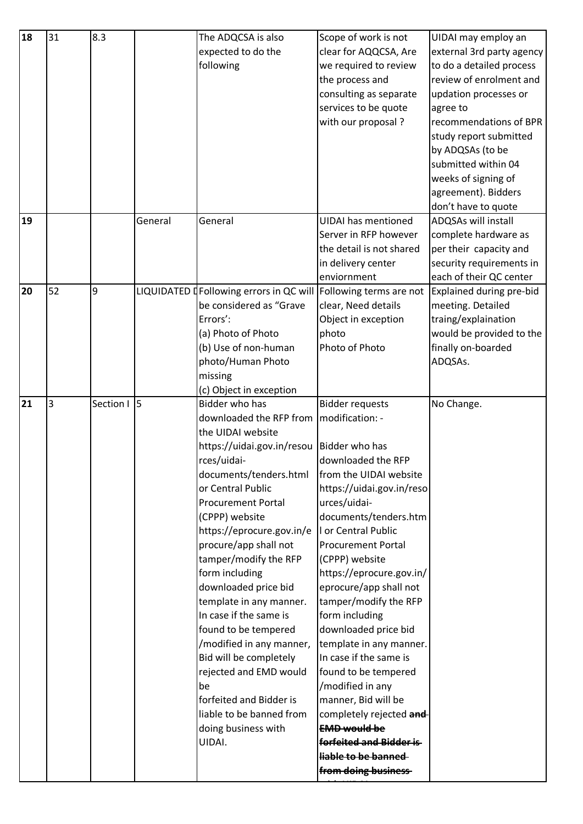| expected to do the<br>clear for AQQCSA, Are<br>following<br>to do a detailed process<br>we required to review<br>review of enrolment and<br>the process and<br>consulting as separate<br>updation processes or<br>services to be quote<br>agree to<br>with our proposal?<br>study report submitted<br>by ADQSAs (to be<br>submitted within 04<br>weeks of signing of<br>agreement). Bidders<br>don't have to quote<br>ADQSAs will install<br>19<br>General<br>General<br><b>UIDAI</b> has mentioned<br>complete hardware as<br>Server in RFP however<br>the detail is not shared<br>per their capacity and<br>security requirements in<br>in delivery center<br>each of their QC center<br>enviornment<br>52<br>9<br>20<br>LIQUIDATED I Following errors in QC will<br>Following terms are not<br>Explained during pre-bid<br>be considered as "Grave<br>clear, Need details<br>meeting. Detailed<br>Errors':<br>Object in exception<br>traing/explaination<br>(a) Photo of Photo<br>photo<br>(b) Use of non-human<br>Photo of Photo<br>finally on-boarded<br>photo/Human Photo<br>ADQSAs.<br>missing<br>(c) Object in exception<br>$\overline{5}$<br>3<br>21<br>Section I<br>Bidder who has<br><b>Bidder requests</b><br>No Change.<br>downloaded the RFP from<br>modification: -<br>the UIDAI website<br>https://uidai.gov.in/resou<br>Bidder who has<br>rces/uidai-<br>downloaded the RFP<br>documents/tenders.html<br>from the UIDAI website<br>or Central Public<br>https://uidai.gov.in/reso<br><b>Procurement Portal</b><br>urces/uidai-<br>(CPPP) website<br>documents/tenders.htm<br>https://eprocure.gov.in/e<br>I or Central Public<br>procure/app shall not<br><b>Procurement Portal</b><br>tamper/modify the RFP<br>(CPPP) website<br>form including<br>https://eprocure.gov.in/<br>downloaded price bid<br>eprocure/app shall not<br>tamper/modify the RFP<br>template in any manner.<br>In case if the same is<br>form including<br>found to be tempered<br>downloaded price bid<br>/modified in any manner,<br>template in any manner.<br>Bid will be completely<br>In case if the same is<br>rejected and EMD would<br>found to be tempered<br>/modified in any<br>be<br>forfeited and Bidder is<br>manner, Bid will be<br>liable to be banned from<br>completely rejected and<br>doing business with<br><b>EMD would be</b><br>UIDAI.<br>forfeited and Bidder is-<br>liable to be banned<br>from doing business | 18 | 31 | 8.3 | The ADQCSA is also | Scope of work is not | UIDAI may employ an       |
|-----------------------------------------------------------------------------------------------------------------------------------------------------------------------------------------------------------------------------------------------------------------------------------------------------------------------------------------------------------------------------------------------------------------------------------------------------------------------------------------------------------------------------------------------------------------------------------------------------------------------------------------------------------------------------------------------------------------------------------------------------------------------------------------------------------------------------------------------------------------------------------------------------------------------------------------------------------------------------------------------------------------------------------------------------------------------------------------------------------------------------------------------------------------------------------------------------------------------------------------------------------------------------------------------------------------------------------------------------------------------------------------------------------------------------------------------------------------------------------------------------------------------------------------------------------------------------------------------------------------------------------------------------------------------------------------------------------------------------------------------------------------------------------------------------------------------------------------------------------------------------------------------------------------------------------------------------------------------------------------------------------------------------------------------------------------------------------------------------------------------------------------------------------------------------------------------------------------------------------------------------------------------------------------------------------------------------------------------------------------------------------------------------------------------------------|----|----|-----|--------------------|----------------------|---------------------------|
|                                                                                                                                                                                                                                                                                                                                                                                                                                                                                                                                                                                                                                                                                                                                                                                                                                                                                                                                                                                                                                                                                                                                                                                                                                                                                                                                                                                                                                                                                                                                                                                                                                                                                                                                                                                                                                                                                                                                                                                                                                                                                                                                                                                                                                                                                                                                                                                                                                   |    |    |     |                    |                      | external 3rd party agency |
|                                                                                                                                                                                                                                                                                                                                                                                                                                                                                                                                                                                                                                                                                                                                                                                                                                                                                                                                                                                                                                                                                                                                                                                                                                                                                                                                                                                                                                                                                                                                                                                                                                                                                                                                                                                                                                                                                                                                                                                                                                                                                                                                                                                                                                                                                                                                                                                                                                   |    |    |     |                    |                      |                           |
|                                                                                                                                                                                                                                                                                                                                                                                                                                                                                                                                                                                                                                                                                                                                                                                                                                                                                                                                                                                                                                                                                                                                                                                                                                                                                                                                                                                                                                                                                                                                                                                                                                                                                                                                                                                                                                                                                                                                                                                                                                                                                                                                                                                                                                                                                                                                                                                                                                   |    |    |     |                    |                      |                           |
|                                                                                                                                                                                                                                                                                                                                                                                                                                                                                                                                                                                                                                                                                                                                                                                                                                                                                                                                                                                                                                                                                                                                                                                                                                                                                                                                                                                                                                                                                                                                                                                                                                                                                                                                                                                                                                                                                                                                                                                                                                                                                                                                                                                                                                                                                                                                                                                                                                   |    |    |     |                    |                      |                           |
|                                                                                                                                                                                                                                                                                                                                                                                                                                                                                                                                                                                                                                                                                                                                                                                                                                                                                                                                                                                                                                                                                                                                                                                                                                                                                                                                                                                                                                                                                                                                                                                                                                                                                                                                                                                                                                                                                                                                                                                                                                                                                                                                                                                                                                                                                                                                                                                                                                   |    |    |     |                    |                      |                           |
|                                                                                                                                                                                                                                                                                                                                                                                                                                                                                                                                                                                                                                                                                                                                                                                                                                                                                                                                                                                                                                                                                                                                                                                                                                                                                                                                                                                                                                                                                                                                                                                                                                                                                                                                                                                                                                                                                                                                                                                                                                                                                                                                                                                                                                                                                                                                                                                                                                   |    |    |     |                    |                      | recommendations of BPR    |
|                                                                                                                                                                                                                                                                                                                                                                                                                                                                                                                                                                                                                                                                                                                                                                                                                                                                                                                                                                                                                                                                                                                                                                                                                                                                                                                                                                                                                                                                                                                                                                                                                                                                                                                                                                                                                                                                                                                                                                                                                                                                                                                                                                                                                                                                                                                                                                                                                                   |    |    |     |                    |                      |                           |
|                                                                                                                                                                                                                                                                                                                                                                                                                                                                                                                                                                                                                                                                                                                                                                                                                                                                                                                                                                                                                                                                                                                                                                                                                                                                                                                                                                                                                                                                                                                                                                                                                                                                                                                                                                                                                                                                                                                                                                                                                                                                                                                                                                                                                                                                                                                                                                                                                                   |    |    |     |                    |                      |                           |
|                                                                                                                                                                                                                                                                                                                                                                                                                                                                                                                                                                                                                                                                                                                                                                                                                                                                                                                                                                                                                                                                                                                                                                                                                                                                                                                                                                                                                                                                                                                                                                                                                                                                                                                                                                                                                                                                                                                                                                                                                                                                                                                                                                                                                                                                                                                                                                                                                                   |    |    |     |                    |                      |                           |
|                                                                                                                                                                                                                                                                                                                                                                                                                                                                                                                                                                                                                                                                                                                                                                                                                                                                                                                                                                                                                                                                                                                                                                                                                                                                                                                                                                                                                                                                                                                                                                                                                                                                                                                                                                                                                                                                                                                                                                                                                                                                                                                                                                                                                                                                                                                                                                                                                                   |    |    |     |                    |                      |                           |
|                                                                                                                                                                                                                                                                                                                                                                                                                                                                                                                                                                                                                                                                                                                                                                                                                                                                                                                                                                                                                                                                                                                                                                                                                                                                                                                                                                                                                                                                                                                                                                                                                                                                                                                                                                                                                                                                                                                                                                                                                                                                                                                                                                                                                                                                                                                                                                                                                                   |    |    |     |                    |                      |                           |
|                                                                                                                                                                                                                                                                                                                                                                                                                                                                                                                                                                                                                                                                                                                                                                                                                                                                                                                                                                                                                                                                                                                                                                                                                                                                                                                                                                                                                                                                                                                                                                                                                                                                                                                                                                                                                                                                                                                                                                                                                                                                                                                                                                                                                                                                                                                                                                                                                                   |    |    |     |                    |                      |                           |
|                                                                                                                                                                                                                                                                                                                                                                                                                                                                                                                                                                                                                                                                                                                                                                                                                                                                                                                                                                                                                                                                                                                                                                                                                                                                                                                                                                                                                                                                                                                                                                                                                                                                                                                                                                                                                                                                                                                                                                                                                                                                                                                                                                                                                                                                                                                                                                                                                                   |    |    |     |                    |                      |                           |
|                                                                                                                                                                                                                                                                                                                                                                                                                                                                                                                                                                                                                                                                                                                                                                                                                                                                                                                                                                                                                                                                                                                                                                                                                                                                                                                                                                                                                                                                                                                                                                                                                                                                                                                                                                                                                                                                                                                                                                                                                                                                                                                                                                                                                                                                                                                                                                                                                                   |    |    |     |                    |                      |                           |
|                                                                                                                                                                                                                                                                                                                                                                                                                                                                                                                                                                                                                                                                                                                                                                                                                                                                                                                                                                                                                                                                                                                                                                                                                                                                                                                                                                                                                                                                                                                                                                                                                                                                                                                                                                                                                                                                                                                                                                                                                                                                                                                                                                                                                                                                                                                                                                                                                                   |    |    |     |                    |                      |                           |
|                                                                                                                                                                                                                                                                                                                                                                                                                                                                                                                                                                                                                                                                                                                                                                                                                                                                                                                                                                                                                                                                                                                                                                                                                                                                                                                                                                                                                                                                                                                                                                                                                                                                                                                                                                                                                                                                                                                                                                                                                                                                                                                                                                                                                                                                                                                                                                                                                                   |    |    |     |                    |                      |                           |
|                                                                                                                                                                                                                                                                                                                                                                                                                                                                                                                                                                                                                                                                                                                                                                                                                                                                                                                                                                                                                                                                                                                                                                                                                                                                                                                                                                                                                                                                                                                                                                                                                                                                                                                                                                                                                                                                                                                                                                                                                                                                                                                                                                                                                                                                                                                                                                                                                                   |    |    |     |                    |                      |                           |
|                                                                                                                                                                                                                                                                                                                                                                                                                                                                                                                                                                                                                                                                                                                                                                                                                                                                                                                                                                                                                                                                                                                                                                                                                                                                                                                                                                                                                                                                                                                                                                                                                                                                                                                                                                                                                                                                                                                                                                                                                                                                                                                                                                                                                                                                                                                                                                                                                                   |    |    |     |                    |                      |                           |
|                                                                                                                                                                                                                                                                                                                                                                                                                                                                                                                                                                                                                                                                                                                                                                                                                                                                                                                                                                                                                                                                                                                                                                                                                                                                                                                                                                                                                                                                                                                                                                                                                                                                                                                                                                                                                                                                                                                                                                                                                                                                                                                                                                                                                                                                                                                                                                                                                                   |    |    |     |                    |                      |                           |
|                                                                                                                                                                                                                                                                                                                                                                                                                                                                                                                                                                                                                                                                                                                                                                                                                                                                                                                                                                                                                                                                                                                                                                                                                                                                                                                                                                                                                                                                                                                                                                                                                                                                                                                                                                                                                                                                                                                                                                                                                                                                                                                                                                                                                                                                                                                                                                                                                                   |    |    |     |                    |                      |                           |
|                                                                                                                                                                                                                                                                                                                                                                                                                                                                                                                                                                                                                                                                                                                                                                                                                                                                                                                                                                                                                                                                                                                                                                                                                                                                                                                                                                                                                                                                                                                                                                                                                                                                                                                                                                                                                                                                                                                                                                                                                                                                                                                                                                                                                                                                                                                                                                                                                                   |    |    |     |                    |                      | would be provided to the  |
|                                                                                                                                                                                                                                                                                                                                                                                                                                                                                                                                                                                                                                                                                                                                                                                                                                                                                                                                                                                                                                                                                                                                                                                                                                                                                                                                                                                                                                                                                                                                                                                                                                                                                                                                                                                                                                                                                                                                                                                                                                                                                                                                                                                                                                                                                                                                                                                                                                   |    |    |     |                    |                      |                           |
|                                                                                                                                                                                                                                                                                                                                                                                                                                                                                                                                                                                                                                                                                                                                                                                                                                                                                                                                                                                                                                                                                                                                                                                                                                                                                                                                                                                                                                                                                                                                                                                                                                                                                                                                                                                                                                                                                                                                                                                                                                                                                                                                                                                                                                                                                                                                                                                                                                   |    |    |     |                    |                      |                           |
|                                                                                                                                                                                                                                                                                                                                                                                                                                                                                                                                                                                                                                                                                                                                                                                                                                                                                                                                                                                                                                                                                                                                                                                                                                                                                                                                                                                                                                                                                                                                                                                                                                                                                                                                                                                                                                                                                                                                                                                                                                                                                                                                                                                                                                                                                                                                                                                                                                   |    |    |     |                    |                      |                           |
|                                                                                                                                                                                                                                                                                                                                                                                                                                                                                                                                                                                                                                                                                                                                                                                                                                                                                                                                                                                                                                                                                                                                                                                                                                                                                                                                                                                                                                                                                                                                                                                                                                                                                                                                                                                                                                                                                                                                                                                                                                                                                                                                                                                                                                                                                                                                                                                                                                   |    |    |     |                    |                      |                           |
|                                                                                                                                                                                                                                                                                                                                                                                                                                                                                                                                                                                                                                                                                                                                                                                                                                                                                                                                                                                                                                                                                                                                                                                                                                                                                                                                                                                                                                                                                                                                                                                                                                                                                                                                                                                                                                                                                                                                                                                                                                                                                                                                                                                                                                                                                                                                                                                                                                   |    |    |     |                    |                      |                           |
|                                                                                                                                                                                                                                                                                                                                                                                                                                                                                                                                                                                                                                                                                                                                                                                                                                                                                                                                                                                                                                                                                                                                                                                                                                                                                                                                                                                                                                                                                                                                                                                                                                                                                                                                                                                                                                                                                                                                                                                                                                                                                                                                                                                                                                                                                                                                                                                                                                   |    |    |     |                    |                      |                           |
|                                                                                                                                                                                                                                                                                                                                                                                                                                                                                                                                                                                                                                                                                                                                                                                                                                                                                                                                                                                                                                                                                                                                                                                                                                                                                                                                                                                                                                                                                                                                                                                                                                                                                                                                                                                                                                                                                                                                                                                                                                                                                                                                                                                                                                                                                                                                                                                                                                   |    |    |     |                    |                      |                           |
|                                                                                                                                                                                                                                                                                                                                                                                                                                                                                                                                                                                                                                                                                                                                                                                                                                                                                                                                                                                                                                                                                                                                                                                                                                                                                                                                                                                                                                                                                                                                                                                                                                                                                                                                                                                                                                                                                                                                                                                                                                                                                                                                                                                                                                                                                                                                                                                                                                   |    |    |     |                    |                      |                           |
|                                                                                                                                                                                                                                                                                                                                                                                                                                                                                                                                                                                                                                                                                                                                                                                                                                                                                                                                                                                                                                                                                                                                                                                                                                                                                                                                                                                                                                                                                                                                                                                                                                                                                                                                                                                                                                                                                                                                                                                                                                                                                                                                                                                                                                                                                                                                                                                                                                   |    |    |     |                    |                      |                           |
|                                                                                                                                                                                                                                                                                                                                                                                                                                                                                                                                                                                                                                                                                                                                                                                                                                                                                                                                                                                                                                                                                                                                                                                                                                                                                                                                                                                                                                                                                                                                                                                                                                                                                                                                                                                                                                                                                                                                                                                                                                                                                                                                                                                                                                                                                                                                                                                                                                   |    |    |     |                    |                      |                           |
|                                                                                                                                                                                                                                                                                                                                                                                                                                                                                                                                                                                                                                                                                                                                                                                                                                                                                                                                                                                                                                                                                                                                                                                                                                                                                                                                                                                                                                                                                                                                                                                                                                                                                                                                                                                                                                                                                                                                                                                                                                                                                                                                                                                                                                                                                                                                                                                                                                   |    |    |     |                    |                      |                           |
|                                                                                                                                                                                                                                                                                                                                                                                                                                                                                                                                                                                                                                                                                                                                                                                                                                                                                                                                                                                                                                                                                                                                                                                                                                                                                                                                                                                                                                                                                                                                                                                                                                                                                                                                                                                                                                                                                                                                                                                                                                                                                                                                                                                                                                                                                                                                                                                                                                   |    |    |     |                    |                      |                           |
|                                                                                                                                                                                                                                                                                                                                                                                                                                                                                                                                                                                                                                                                                                                                                                                                                                                                                                                                                                                                                                                                                                                                                                                                                                                                                                                                                                                                                                                                                                                                                                                                                                                                                                                                                                                                                                                                                                                                                                                                                                                                                                                                                                                                                                                                                                                                                                                                                                   |    |    |     |                    |                      |                           |
|                                                                                                                                                                                                                                                                                                                                                                                                                                                                                                                                                                                                                                                                                                                                                                                                                                                                                                                                                                                                                                                                                                                                                                                                                                                                                                                                                                                                                                                                                                                                                                                                                                                                                                                                                                                                                                                                                                                                                                                                                                                                                                                                                                                                                                                                                                                                                                                                                                   |    |    |     |                    |                      |                           |
|                                                                                                                                                                                                                                                                                                                                                                                                                                                                                                                                                                                                                                                                                                                                                                                                                                                                                                                                                                                                                                                                                                                                                                                                                                                                                                                                                                                                                                                                                                                                                                                                                                                                                                                                                                                                                                                                                                                                                                                                                                                                                                                                                                                                                                                                                                                                                                                                                                   |    |    |     |                    |                      |                           |
|                                                                                                                                                                                                                                                                                                                                                                                                                                                                                                                                                                                                                                                                                                                                                                                                                                                                                                                                                                                                                                                                                                                                                                                                                                                                                                                                                                                                                                                                                                                                                                                                                                                                                                                                                                                                                                                                                                                                                                                                                                                                                                                                                                                                                                                                                                                                                                                                                                   |    |    |     |                    |                      |                           |
|                                                                                                                                                                                                                                                                                                                                                                                                                                                                                                                                                                                                                                                                                                                                                                                                                                                                                                                                                                                                                                                                                                                                                                                                                                                                                                                                                                                                                                                                                                                                                                                                                                                                                                                                                                                                                                                                                                                                                                                                                                                                                                                                                                                                                                                                                                                                                                                                                                   |    |    |     |                    |                      |                           |
|                                                                                                                                                                                                                                                                                                                                                                                                                                                                                                                                                                                                                                                                                                                                                                                                                                                                                                                                                                                                                                                                                                                                                                                                                                                                                                                                                                                                                                                                                                                                                                                                                                                                                                                                                                                                                                                                                                                                                                                                                                                                                                                                                                                                                                                                                                                                                                                                                                   |    |    |     |                    |                      |                           |
|                                                                                                                                                                                                                                                                                                                                                                                                                                                                                                                                                                                                                                                                                                                                                                                                                                                                                                                                                                                                                                                                                                                                                                                                                                                                                                                                                                                                                                                                                                                                                                                                                                                                                                                                                                                                                                                                                                                                                                                                                                                                                                                                                                                                                                                                                                                                                                                                                                   |    |    |     |                    |                      |                           |
|                                                                                                                                                                                                                                                                                                                                                                                                                                                                                                                                                                                                                                                                                                                                                                                                                                                                                                                                                                                                                                                                                                                                                                                                                                                                                                                                                                                                                                                                                                                                                                                                                                                                                                                                                                                                                                                                                                                                                                                                                                                                                                                                                                                                                                                                                                                                                                                                                                   |    |    |     |                    |                      |                           |
|                                                                                                                                                                                                                                                                                                                                                                                                                                                                                                                                                                                                                                                                                                                                                                                                                                                                                                                                                                                                                                                                                                                                                                                                                                                                                                                                                                                                                                                                                                                                                                                                                                                                                                                                                                                                                                                                                                                                                                                                                                                                                                                                                                                                                                                                                                                                                                                                                                   |    |    |     |                    |                      |                           |
|                                                                                                                                                                                                                                                                                                                                                                                                                                                                                                                                                                                                                                                                                                                                                                                                                                                                                                                                                                                                                                                                                                                                                                                                                                                                                                                                                                                                                                                                                                                                                                                                                                                                                                                                                                                                                                                                                                                                                                                                                                                                                                                                                                                                                                                                                                                                                                                                                                   |    |    |     |                    |                      |                           |
|                                                                                                                                                                                                                                                                                                                                                                                                                                                                                                                                                                                                                                                                                                                                                                                                                                                                                                                                                                                                                                                                                                                                                                                                                                                                                                                                                                                                                                                                                                                                                                                                                                                                                                                                                                                                                                                                                                                                                                                                                                                                                                                                                                                                                                                                                                                                                                                                                                   |    |    |     |                    |                      |                           |
|                                                                                                                                                                                                                                                                                                                                                                                                                                                                                                                                                                                                                                                                                                                                                                                                                                                                                                                                                                                                                                                                                                                                                                                                                                                                                                                                                                                                                                                                                                                                                                                                                                                                                                                                                                                                                                                                                                                                                                                                                                                                                                                                                                                                                                                                                                                                                                                                                                   |    |    |     |                    |                      |                           |
|                                                                                                                                                                                                                                                                                                                                                                                                                                                                                                                                                                                                                                                                                                                                                                                                                                                                                                                                                                                                                                                                                                                                                                                                                                                                                                                                                                                                                                                                                                                                                                                                                                                                                                                                                                                                                                                                                                                                                                                                                                                                                                                                                                                                                                                                                                                                                                                                                                   |    |    |     |                    |                      |                           |
|                                                                                                                                                                                                                                                                                                                                                                                                                                                                                                                                                                                                                                                                                                                                                                                                                                                                                                                                                                                                                                                                                                                                                                                                                                                                                                                                                                                                                                                                                                                                                                                                                                                                                                                                                                                                                                                                                                                                                                                                                                                                                                                                                                                                                                                                                                                                                                                                                                   |    |    |     |                    |                      |                           |
|                                                                                                                                                                                                                                                                                                                                                                                                                                                                                                                                                                                                                                                                                                                                                                                                                                                                                                                                                                                                                                                                                                                                                                                                                                                                                                                                                                                                                                                                                                                                                                                                                                                                                                                                                                                                                                                                                                                                                                                                                                                                                                                                                                                                                                                                                                                                                                                                                                   |    |    |     |                    |                      |                           |
|                                                                                                                                                                                                                                                                                                                                                                                                                                                                                                                                                                                                                                                                                                                                                                                                                                                                                                                                                                                                                                                                                                                                                                                                                                                                                                                                                                                                                                                                                                                                                                                                                                                                                                                                                                                                                                                                                                                                                                                                                                                                                                                                                                                                                                                                                                                                                                                                                                   |    |    |     |                    |                      |                           |
|                                                                                                                                                                                                                                                                                                                                                                                                                                                                                                                                                                                                                                                                                                                                                                                                                                                                                                                                                                                                                                                                                                                                                                                                                                                                                                                                                                                                                                                                                                                                                                                                                                                                                                                                                                                                                                                                                                                                                                                                                                                                                                                                                                                                                                                                                                                                                                                                                                   |    |    |     |                    |                      |                           |
|                                                                                                                                                                                                                                                                                                                                                                                                                                                                                                                                                                                                                                                                                                                                                                                                                                                                                                                                                                                                                                                                                                                                                                                                                                                                                                                                                                                                                                                                                                                                                                                                                                                                                                                                                                                                                                                                                                                                                                                                                                                                                                                                                                                                                                                                                                                                                                                                                                   |    |    |     |                    |                      |                           |
|                                                                                                                                                                                                                                                                                                                                                                                                                                                                                                                                                                                                                                                                                                                                                                                                                                                                                                                                                                                                                                                                                                                                                                                                                                                                                                                                                                                                                                                                                                                                                                                                                                                                                                                                                                                                                                                                                                                                                                                                                                                                                                                                                                                                                                                                                                                                                                                                                                   |    |    |     |                    |                      |                           |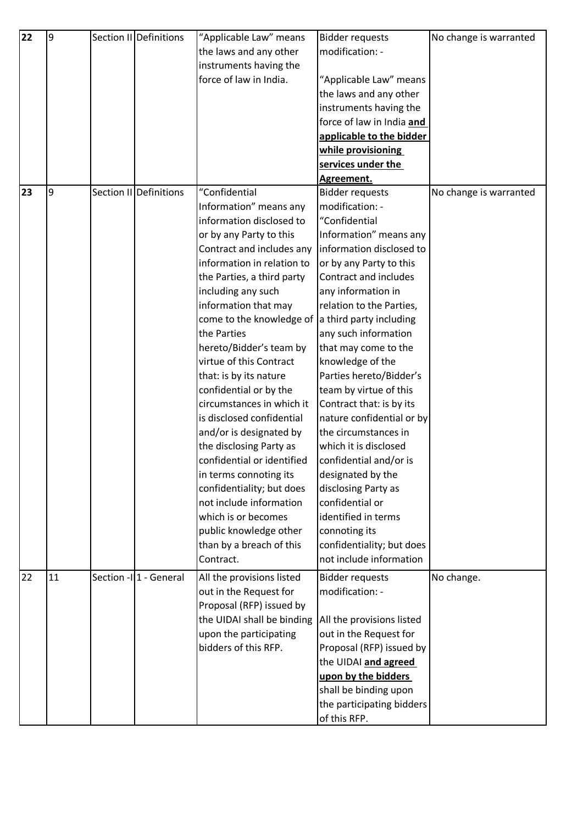| 22 | $\overline{9}$ | Section II Definitions  | "Applicable Law" means     | <b>Bidder requests</b>    | No change is warranted |
|----|----------------|-------------------------|----------------------------|---------------------------|------------------------|
|    |                |                         | the laws and any other     | modification: -           |                        |
|    |                |                         | instruments having the     |                           |                        |
|    |                |                         | force of law in India.     | "Applicable Law" means    |                        |
|    |                |                         |                            | the laws and any other    |                        |
|    |                |                         |                            | instruments having the    |                        |
|    |                |                         |                            | force of law in India and |                        |
|    |                |                         |                            | applicable to the bidder  |                        |
|    |                |                         |                            | while provisioning        |                        |
|    |                |                         |                            | services under the        |                        |
|    |                |                         |                            | Agreement.                |                        |
| 23 | 9              | Section II Definitions  | "Confidential              | <b>Bidder requests</b>    | No change is warranted |
|    |                |                         | Information" means any     | modification: -           |                        |
|    |                |                         | information disclosed to   | "Confidential             |                        |
|    |                |                         | or by any Party to this    | Information" means any    |                        |
|    |                |                         | Contract and includes any  | information disclosed to  |                        |
|    |                |                         | information in relation to | or by any Party to this   |                        |
|    |                |                         | the Parties, a third party | Contract and includes     |                        |
|    |                |                         | including any such         | any information in        |                        |
|    |                |                         | information that may       | relation to the Parties,  |                        |
|    |                |                         | come to the knowledge of   | a third party including   |                        |
|    |                |                         | the Parties                | any such information      |                        |
|    |                |                         | hereto/Bidder's team by    | that may come to the      |                        |
|    |                |                         | virtue of this Contract    | knowledge of the          |                        |
|    |                |                         | that: is by its nature     | Parties hereto/Bidder's   |                        |
|    |                |                         | confidential or by the     | team by virtue of this    |                        |
|    |                |                         | circumstances in which it  | Contract that: is by its  |                        |
|    |                |                         | is disclosed confidential  | nature confidential or by |                        |
|    |                |                         | and/or is designated by    | the circumstances in      |                        |
|    |                |                         | the disclosing Party as    | which it is disclosed     |                        |
|    |                |                         | confidential or identified | confidential and/or is    |                        |
|    |                |                         | in terms connoting its     | designated by the         |                        |
|    |                |                         | confidentiality; but does  | disclosing Party as       |                        |
|    |                |                         | not include information    | confidential or           |                        |
|    |                |                         | which is or becomes        | identified in terms       |                        |
|    |                |                         | public knowledge other     | connoting its             |                        |
|    |                |                         | than by a breach of this   | confidentiality; but does |                        |
|    |                |                         | Contract.                  | not include information   |                        |
| 22 | 11             | Section - II1 - General | All the provisions listed  | <b>Bidder requests</b>    | No change.             |
|    |                |                         | out in the Request for     | modification: -           |                        |
|    |                |                         | Proposal (RFP) issued by   |                           |                        |
|    |                |                         | the UIDAI shall be binding | All the provisions listed |                        |
|    |                |                         | upon the participating     | out in the Request for    |                        |
|    |                |                         | bidders of this RFP.       | Proposal (RFP) issued by  |                        |
|    |                |                         |                            | the UIDAI and agreed      |                        |
|    |                |                         |                            | upon by the bidders       |                        |
|    |                |                         |                            | shall be binding upon     |                        |
|    |                |                         |                            | the participating bidders |                        |
|    |                |                         |                            | of this RFP.              |                        |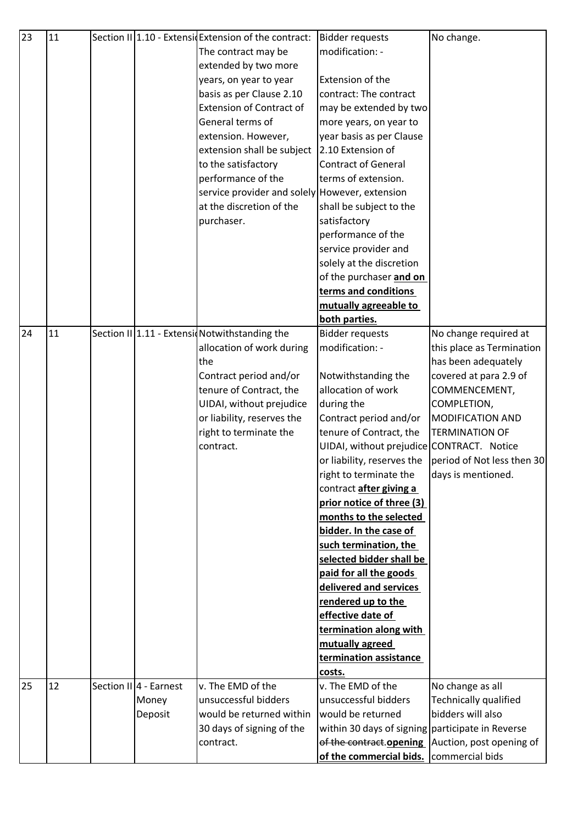| 23 | 11 |                        | Section II 1.10 - Extensid Extension of the contract: | <b>Bidder requests</b>                           | No change.                                         |
|----|----|------------------------|-------------------------------------------------------|--------------------------------------------------|----------------------------------------------------|
|    |    |                        | The contract may be                                   | modification: -                                  |                                                    |
|    |    |                        | extended by two more                                  |                                                  |                                                    |
|    |    |                        | years, on year to year                                | Extension of the                                 |                                                    |
|    |    |                        | basis as per Clause 2.10                              | contract: The contract                           |                                                    |
|    |    |                        | <b>Extension of Contract of</b>                       | may be extended by two                           |                                                    |
|    |    |                        | General terms of                                      | more years, on year to                           |                                                    |
|    |    |                        | extension. However,                                   | year basis as per Clause                         |                                                    |
|    |    |                        | extension shall be subject                            | 2.10 Extension of                                |                                                    |
|    |    |                        | to the satisfactory                                   | <b>Contract of General</b>                       |                                                    |
|    |    |                        | performance of the                                    | terms of extension.                              |                                                    |
|    |    |                        | service provider and solely However, extension        |                                                  |                                                    |
|    |    |                        | at the discretion of the                              | shall be subject to the                          |                                                    |
|    |    |                        | purchaser.                                            | satisfactory                                     |                                                    |
|    |    |                        |                                                       | performance of the                               |                                                    |
|    |    |                        |                                                       | service provider and                             |                                                    |
|    |    |                        |                                                       | solely at the discretion                         |                                                    |
|    |    |                        |                                                       | of the purchaser and on                          |                                                    |
|    |    |                        |                                                       | terms and conditions                             |                                                    |
|    |    |                        |                                                       | mutually agreeable to                            |                                                    |
|    |    |                        |                                                       | both parties.                                    |                                                    |
| 24 | 11 |                        | Section II 1.11 - Extensic Notwithstanding the        | <b>Bidder requests</b>                           | No change required at                              |
|    |    |                        | allocation of work during                             | modification: -                                  | this place as Termination                          |
|    |    |                        | the                                                   |                                                  | has been adequately                                |
|    |    |                        | Contract period and/or                                | Notwithstanding the                              | covered at para 2.9 of                             |
|    |    |                        | tenure of Contract, the                               | allocation of work                               | COMMENCEMENT,                                      |
|    |    |                        | UIDAI, without prejudice                              | during the                                       | COMPLETION,                                        |
|    |    |                        | or liability, reserves the                            | Contract period and/or                           | MODIFICATION AND                                   |
|    |    |                        | right to terminate the                                | tenure of Contract, the                          | <b>TERMINATION OF</b>                              |
|    |    |                        | contract.                                             | UIDAI, without prejudice CONTRACT. Notice        |                                                    |
|    |    |                        |                                                       | or liability, reserves the                       | period of Not less then 30                         |
|    |    |                        |                                                       | right to terminate the                           | days is mentioned.                                 |
|    |    |                        |                                                       | contract after giving a                          |                                                    |
|    |    |                        |                                                       | prior notice of three (3)                        |                                                    |
|    |    |                        |                                                       | months to the selected                           |                                                    |
|    |    |                        |                                                       | bidder. In the case of                           |                                                    |
|    |    |                        |                                                       | such termination, the                            |                                                    |
|    |    |                        |                                                       | selected bidder shall be                         |                                                    |
|    |    |                        |                                                       | paid for all the goods                           |                                                    |
|    |    |                        |                                                       | delivered and services                           |                                                    |
|    |    |                        |                                                       | rendered up to the                               |                                                    |
|    |    |                        |                                                       | effective date of                                |                                                    |
|    |    |                        |                                                       | termination along with                           |                                                    |
|    |    |                        |                                                       | mutually agreed                                  |                                                    |
|    |    |                        |                                                       | termination assistance                           |                                                    |
|    |    |                        |                                                       | costs.                                           |                                                    |
| 25 | 12 | Section II 4 - Earnest | v. The EMD of the                                     | v. The EMD of the                                | No change as all                                   |
|    |    | Money                  | unsuccessful bidders                                  | unsuccessful bidders                             | Technically qualified                              |
|    |    | Deposit                | would be returned within                              | would be returned                                | bidders will also                                  |
|    |    |                        | 30 days of signing of the                             | within 30 days of signing participate in Reverse |                                                    |
|    |    |                        | contract.                                             |                                                  | of the contract opening   Auction, post opening of |
|    |    |                        |                                                       | of the commercial bids.                          | commercial bids                                    |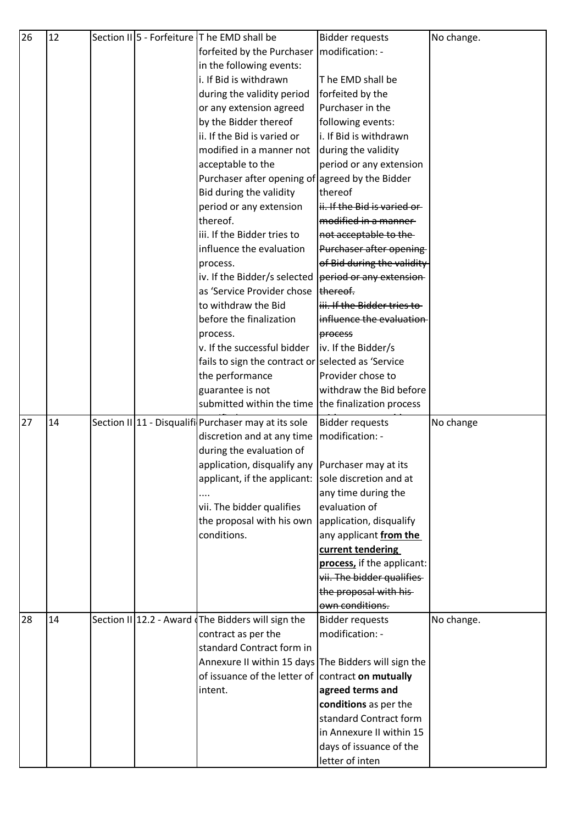| 26 | 12 |  | Section II 5 - Forfeiture T he EMD shall be          | <b>Bidder requests</b>      | No change. |
|----|----|--|------------------------------------------------------|-----------------------------|------------|
|    |    |  | forfeited by the Purchaser   modification: -         |                             |            |
|    |    |  | in the following events:                             |                             |            |
|    |    |  | i. If Bid is withdrawn                               | The EMD shall be            |            |
|    |    |  | during the validity period                           | forfeited by the            |            |
|    |    |  | or any extension agreed                              | Purchaser in the            |            |
|    |    |  | by the Bidder thereof                                | following events:           |            |
|    |    |  | ii. If the Bid is varied or                          | i. If Bid is withdrawn      |            |
|    |    |  | modified in a manner not                             | during the validity         |            |
|    |    |  | acceptable to the                                    | period or any extension     |            |
|    |    |  | Purchaser after opening of agreed by the Bidder      |                             |            |
|    |    |  | Bid during the validity                              | thereof                     |            |
|    |    |  | period or any extension                              | ii. If the Bid is varied or |            |
|    |    |  | thereof.                                             | modified in a manner-       |            |
|    |    |  | iii. If the Bidder tries to                          | not acceptable to the-      |            |
|    |    |  | influence the evaluation                             | Purchaser after opening     |            |
|    |    |  | process.                                             | of Bid during the validity  |            |
|    |    |  | iv. If the Bidder/s selected                         | period or any extension-    |            |
|    |    |  | as 'Service Provider chose   thereof.                |                             |            |
|    |    |  | to withdraw the Bid                                  | iii. If the Bidder tries to |            |
|    |    |  | before the finalization                              | influence the evaluation    |            |
|    |    |  | process.                                             | process                     |            |
|    |    |  | v. If the successful bidder                          | iv. If the Bidder/s         |            |
|    |    |  | fails to sign the contract or selected as 'Service   |                             |            |
|    |    |  | the performance                                      | Provider chose to           |            |
|    |    |  | guarantee is not                                     | withdraw the Bid before     |            |
|    |    |  | submitted within the time the finalization process   |                             |            |
|    |    |  |                                                      |                             |            |
| 27 | 14 |  | Section II 11 - Disqualifi Purchaser may at its sole | <b>Bidder requests</b>      | No change  |
|    |    |  | discretion and at any time                           | modification: -             |            |
|    |    |  | during the evaluation of                             |                             |            |
|    |    |  | application, disqualify any Purchaser may at its     |                             |            |
|    |    |  | applicant, if the applicant: sole discretion and at  |                             |            |
|    |    |  |                                                      | any time during the         |            |
|    |    |  | vii. The bidder qualifies                            | evaluation of               |            |
|    |    |  | the proposal with his own                            | application, disqualify     |            |
|    |    |  | conditions.                                          | any applicant from the      |            |
|    |    |  |                                                      | current tendering           |            |
|    |    |  |                                                      | process, if the applicant:  |            |
|    |    |  |                                                      | vii. The bidder qualifies-  |            |
|    |    |  |                                                      | the proposal with his-      |            |
|    |    |  |                                                      | own conditions.             |            |
| 28 | 14 |  | Section II 12.2 - Award The Bidders will sign the    | <b>Bidder requests</b>      | No change. |
|    |    |  | contract as per the                                  | modification: -             |            |
|    |    |  | standard Contract form in                            |                             |            |
|    |    |  | Annexure II within 15 days The Bidders will sign the |                             |            |
|    |    |  | of issuance of the letter of contract on mutually    |                             |            |
|    |    |  | intent.                                              | agreed terms and            |            |
|    |    |  |                                                      | conditions as per the       |            |
|    |    |  |                                                      | standard Contract form      |            |
|    |    |  |                                                      | in Annexure II within 15    |            |
|    |    |  |                                                      | days of issuance of the     |            |
|    |    |  |                                                      | letter of inten             |            |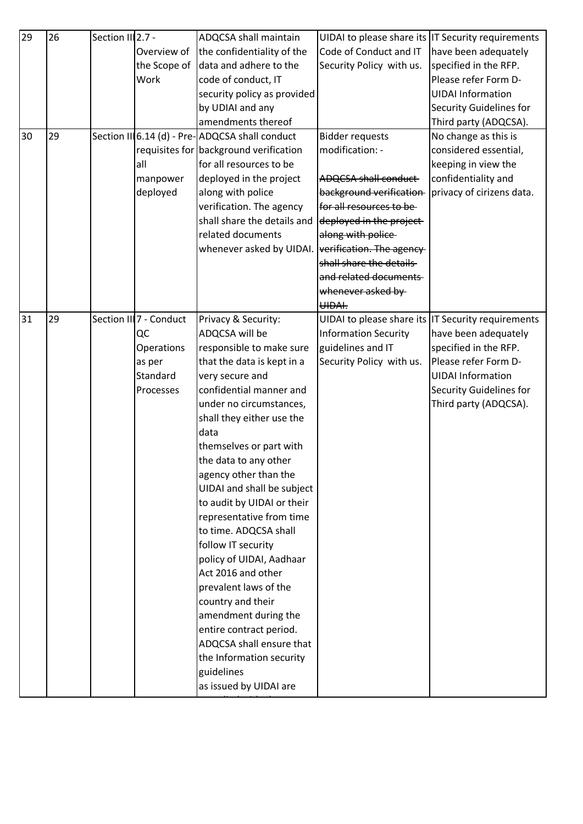| 29 | 26 | Section III2.7 - |                         | ADQCSA shall maintain                          |                             | UIDAI to please share its IT Security requirements |
|----|----|------------------|-------------------------|------------------------------------------------|-----------------------------|----------------------------------------------------|
|    |    |                  | Overview of             | the confidentiality of the                     | Code of Conduct and IT      | have been adequately                               |
|    |    |                  | the Scope of            | data and adhere to the                         | Security Policy with us.    | specified in the RFP.                              |
|    |    |                  | Work                    | code of conduct, IT                            |                             | Please refer Form D-                               |
|    |    |                  |                         | security policy as provided                    |                             | <b>UIDAI Information</b>                           |
|    |    |                  |                         | by UDIAI and any                               |                             | Security Guidelines for                            |
|    |    |                  |                         | amendments thereof                             |                             | Third party (ADQCSA).                              |
| 30 | 29 |                  |                         | Section III6.14 (d) - Pre-ADQCSA shall conduct | <b>Bidder requests</b>      | No change as this is                               |
|    |    |                  |                         | requisites for background verification         | modification: -             | considered essential,                              |
|    |    |                  | all                     | for all resources to be                        |                             | keeping in view the                                |
|    |    |                  | manpower                | deployed in the project                        | <b>ADQCSA shall conduct</b> | confidentiality and                                |
|    |    |                  | deployed                | along with police                              | background verification-    | privacy of cirizens data.                          |
|    |    |                  |                         | verification. The agency                       | for all resources to be-    |                                                    |
|    |    |                  |                         | shall share the details and                    | deployed in the project     |                                                    |
|    |    |                  |                         | related documents                              | along with police           |                                                    |
|    |    |                  |                         | whenever asked by UIDAI.                       | verification. The agency    |                                                    |
|    |    |                  |                         |                                                | shall share the details     |                                                    |
|    |    |                  |                         |                                                | and related documents       |                                                    |
|    |    |                  |                         |                                                | whenever asked by-          |                                                    |
|    |    |                  |                         |                                                | UIDAI.                      |                                                    |
| 31 | 29 |                  | Section III 7 - Conduct | Privacy & Security:                            |                             | UIDAI to please share its IT Security requirements |
|    |    |                  | QC                      | ADQCSA will be                                 | <b>Information Security</b> | have been adequately                               |
|    |    |                  | Operations              | responsible to make sure                       | guidelines and IT           | specified in the RFP.                              |
|    |    |                  | as per                  | that the data is kept in a                     | Security Policy with us.    | Please refer Form D-                               |
|    |    |                  | Standard                | very secure and                                |                             | <b>UIDAI Information</b>                           |
|    |    |                  | Processes               | confidential manner and                        |                             | <b>Security Guidelines for</b>                     |
|    |    |                  |                         | under no circumstances,                        |                             | Third party (ADQCSA).                              |
|    |    |                  |                         | shall they either use the                      |                             |                                                    |
|    |    |                  |                         | data                                           |                             |                                                    |
|    |    |                  |                         | themselves or part with                        |                             |                                                    |
|    |    |                  |                         | the data to any other                          |                             |                                                    |
|    |    |                  |                         | agency other than the                          |                             |                                                    |
|    |    |                  |                         | UIDAI and shall be subject                     |                             |                                                    |
|    |    |                  |                         | to audit by UIDAI or their                     |                             |                                                    |
|    |    |                  |                         | representative from time                       |                             |                                                    |
|    |    |                  |                         | to time. ADQCSA shall                          |                             |                                                    |
|    |    |                  |                         | follow IT security                             |                             |                                                    |
|    |    |                  |                         | policy of UIDAI, Aadhaar                       |                             |                                                    |
|    |    |                  |                         | Act 2016 and other                             |                             |                                                    |
|    |    |                  |                         | prevalent laws of the                          |                             |                                                    |
|    |    |                  |                         | country and their                              |                             |                                                    |
|    |    |                  |                         | amendment during the                           |                             |                                                    |
|    |    |                  |                         | entire contract period.                        |                             |                                                    |
|    |    |                  |                         | ADQCSA shall ensure that                       |                             |                                                    |
|    |    |                  |                         | the Information security                       |                             |                                                    |
|    |    |                  |                         | guidelines                                     |                             |                                                    |
|    |    |                  |                         | as issued by UIDAI are                         |                             |                                                    |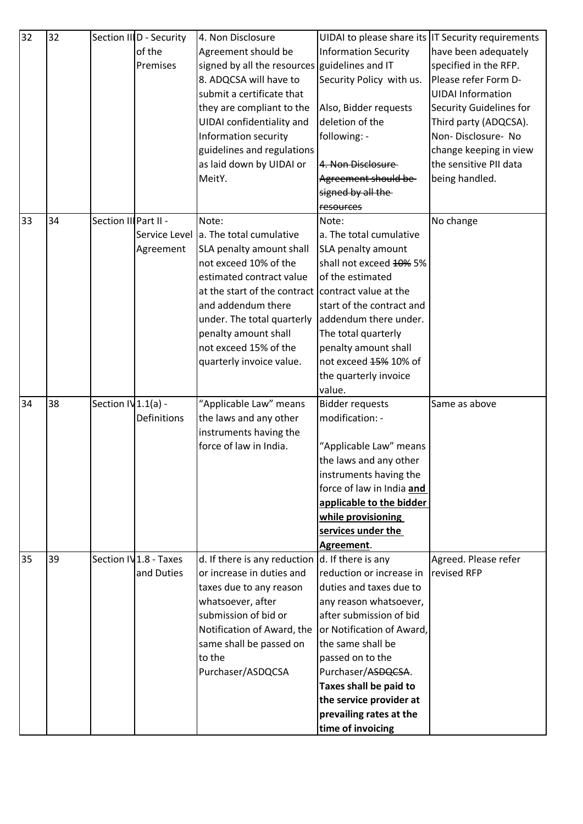| 32 | 32 |                       | Section IIID - Security | 4. Non Disclosure                                  |                                                    | UIDAI to please share its IT Security requirements |
|----|----|-----------------------|-------------------------|----------------------------------------------------|----------------------------------------------------|----------------------------------------------------|
|    |    |                       | of the                  | Agreement should be                                | <b>Information Security</b>                        | have been adequately                               |
|    |    |                       | Premises                | signed by all the resources guidelines and IT      |                                                    | specified in the RFP.                              |
|    |    |                       |                         | 8. ADQCSA will have to                             | Security Policy with us.                           | Please refer Form D-                               |
|    |    |                       |                         | submit a certificate that                          |                                                    | <b>UIDAI Information</b>                           |
|    |    |                       |                         | they are compliant to the                          | Also, Bidder requests                              | Security Guidelines for                            |
|    |    |                       |                         | UIDAI confidentiality and                          | deletion of the                                    | Third party (ADQCSA).                              |
|    |    |                       |                         | Information security                               | following: -                                       | Non-Disclosure-No                                  |
|    |    |                       |                         | guidelines and regulations                         |                                                    | change keeping in view                             |
|    |    |                       |                         | as laid down by UIDAI or                           | 4. Non Disclosure                                  | the sensitive PII data                             |
|    |    |                       |                         | MeitY.                                             | Agreement should be                                | being handled.                                     |
|    |    |                       |                         |                                                    | signed by all the                                  |                                                    |
|    |    |                       |                         |                                                    | resources                                          |                                                    |
| 33 | 34 | Section III Part II - |                         | Note:                                              | Note:                                              | No change                                          |
|    |    |                       |                         | Service Level a. The total cumulative              | a. The total cumulative                            |                                                    |
|    |    |                       | Agreement               | SLA penalty amount shall                           | SLA penalty amount                                 |                                                    |
|    |    |                       |                         | not exceed 10% of the                              | shall not exceed 40% 5%                            |                                                    |
|    |    |                       |                         | estimated contract value                           | of the estimated                                   |                                                    |
|    |    |                       |                         | at the start of the contract contract value at the |                                                    |                                                    |
|    |    |                       |                         | and addendum there                                 | start of the contract and                          |                                                    |
|    |    |                       |                         | under. The total quarterly                         | addendum there under.                              |                                                    |
|    |    |                       |                         | penalty amount shall                               | The total quarterly                                |                                                    |
|    |    |                       |                         | not exceed 15% of the                              | penalty amount shall                               |                                                    |
|    |    |                       |                         | quarterly invoice value.                           | not exceed 45% 10% of                              |                                                    |
|    |    |                       |                         |                                                    | the quarterly invoice                              |                                                    |
|    |    |                       |                         |                                                    | value.                                             |                                                    |
| 34 | 38 | Section IV $1.1(a)$ - |                         | "Applicable Law" means                             | <b>Bidder requests</b>                             | Same as above                                      |
|    |    |                       | Definitions             | the laws and any other                             | modification: -                                    |                                                    |
|    |    |                       |                         | instruments having the                             |                                                    |                                                    |
|    |    |                       |                         | force of law in India.                             | "Applicable Law" means                             |                                                    |
|    |    |                       |                         |                                                    | the laws and any other                             |                                                    |
|    |    |                       |                         |                                                    | instruments having the                             |                                                    |
|    |    |                       |                         |                                                    | force of law in India and                          |                                                    |
|    |    |                       |                         |                                                    | applicable to the bidder                           |                                                    |
|    |    |                       |                         |                                                    | while provisioning                                 |                                                    |
|    |    |                       |                         |                                                    | services under the                                 |                                                    |
|    |    |                       |                         |                                                    | Agreement.                                         |                                                    |
| 35 | 39 |                       | Section IV1.8 - Taxes   | d. If there is any reduction                       | d. If there is any                                 | Agreed. Please refer                               |
|    |    |                       | and Duties              | or increase in duties and                          | reduction or increase in                           | revised RFP                                        |
|    |    |                       |                         | taxes due to any reason                            | duties and taxes due to                            |                                                    |
|    |    |                       |                         | whatsoever, after                                  | any reason whatsoever,                             |                                                    |
|    |    |                       |                         | submission of bid or                               | after submission of bid                            |                                                    |
|    |    |                       |                         | Notification of Award, the                         | or Notification of Award,                          |                                                    |
|    |    |                       |                         |                                                    |                                                    |                                                    |
|    |    |                       |                         |                                                    |                                                    |                                                    |
|    |    |                       |                         | same shall be passed on                            | the same shall be                                  |                                                    |
|    |    |                       |                         | to the                                             | passed on to the                                   |                                                    |
|    |    |                       |                         | Purchaser/ASDQCSA                                  | Purchaser/ASDQCSA.                                 |                                                    |
|    |    |                       |                         |                                                    | Taxes shall be paid to                             |                                                    |
|    |    |                       |                         |                                                    | the service provider at<br>prevailing rates at the |                                                    |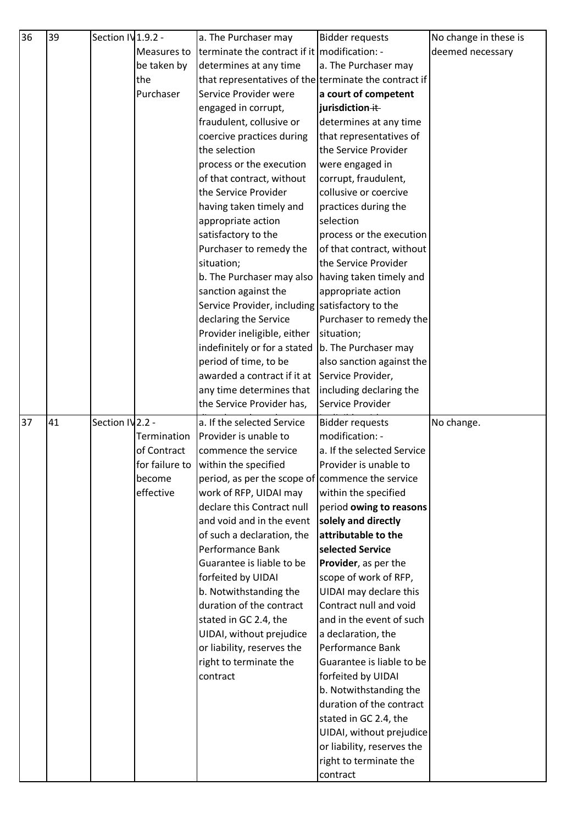| 36 | 39 | Section IV 1.9.2 - |             | a. The Purchaser may                                  | <b>Bidder requests</b>             | No change in these is |
|----|----|--------------------|-------------|-------------------------------------------------------|------------------------------------|-----------------------|
|    |    |                    | Measures to | terminate the contract if it modification: -          |                                    | deemed necessary      |
|    |    |                    | be taken by | determines at any time                                | a. The Purchaser may               |                       |
|    |    |                    | the         | that representatives of the terminate the contract if |                                    |                       |
|    |    |                    | Purchaser   | Service Provider were                                 | a court of competent               |                       |
|    |    |                    |             | engaged in corrupt,                                   | jurisdiction ++                    |                       |
|    |    |                    |             | fraudulent, collusive or                              | determines at any time             |                       |
|    |    |                    |             | coercive practices during                             | that representatives of            |                       |
|    |    |                    |             | the selection                                         | the Service Provider               |                       |
|    |    |                    |             | process or the execution                              | were engaged in                    |                       |
|    |    |                    |             | of that contract, without                             | corrupt, fraudulent,               |                       |
|    |    |                    |             | the Service Provider                                  | collusive or coercive              |                       |
|    |    |                    |             | having taken timely and                               | practices during the               |                       |
|    |    |                    |             | appropriate action                                    | selection                          |                       |
|    |    |                    |             | satisfactory to the                                   | process or the execution           |                       |
|    |    |                    |             | Purchaser to remedy the                               | of that contract, without          |                       |
|    |    |                    |             | situation;                                            | the Service Provider               |                       |
|    |    |                    |             | b. The Purchaser may also                             | having taken timely and            |                       |
|    |    |                    |             | sanction against the                                  | appropriate action                 |                       |
|    |    |                    |             | Service Provider, including satisfactory to the       |                                    |                       |
|    |    |                    |             | declaring the Service                                 | Purchaser to remedy the            |                       |
|    |    |                    |             | Provider ineligible, either                           | situation;                         |                       |
|    |    |                    |             | indefinitely or for a stated                          | b. The Purchaser may               |                       |
|    |    |                    |             | period of time, to be                                 | also sanction against the          |                       |
|    |    |                    |             | awarded a contract if it at                           | Service Provider,                  |                       |
|    |    |                    |             | any time determines that                              | including declaring the            |                       |
|    |    |                    |             | the Service Provider has,                             | Service Provider                   |                       |
| 37 | 41 | Section IV2.2 -    |             | a. If the selected Service                            | <b>Bidder requests</b>             | No change.            |
|    |    |                    | Termination | Provider is unable to                                 | modification: -                    |                       |
|    |    |                    | of Contract | commence the service                                  | a. If the selected Service         |                       |
|    |    |                    |             | for failure to within the specified                   | Provider is unable to              |                       |
|    |    |                    | become      | period, as per the scope of commence the service      |                                    |                       |
|    |    |                    | effective   | work of RFP, UIDAI may                                | within the specified               |                       |
|    |    |                    |             | declare this Contract null                            | period owing to reasons            |                       |
|    |    |                    |             | and void and in the event                             | solely and directly                |                       |
|    |    |                    |             | of such a declaration, the                            | attributable to the                |                       |
|    |    |                    |             | Performance Bank                                      | selected Service                   |                       |
|    |    |                    |             | Guarantee is liable to be                             | Provider, as per the               |                       |
|    |    |                    |             | forfeited by UIDAI                                    | scope of work of RFP,              |                       |
|    |    |                    |             | b. Notwithstanding the                                | UIDAI may declare this             |                       |
|    |    |                    |             | duration of the contract                              | Contract null and void             |                       |
|    |    |                    |             | stated in GC 2.4, the                                 | and in the event of such           |                       |
|    |    |                    |             | UIDAI, without prejudice                              | a declaration, the                 |                       |
|    |    |                    |             | or liability, reserves the                            | Performance Bank                   |                       |
|    |    |                    |             | right to terminate the                                | Guarantee is liable to be          |                       |
|    |    |                    |             | contract                                              | forfeited by UIDAI                 |                       |
|    |    |                    |             |                                                       | b. Notwithstanding the             |                       |
|    |    |                    |             |                                                       | duration of the contract           |                       |
|    |    |                    |             |                                                       | stated in GC 2.4, the              |                       |
|    |    |                    |             |                                                       | UIDAI, without prejudice           |                       |
|    |    |                    |             |                                                       | or liability, reserves the         |                       |
|    |    |                    |             |                                                       |                                    |                       |
|    |    |                    |             |                                                       | right to terminate the<br>contract |                       |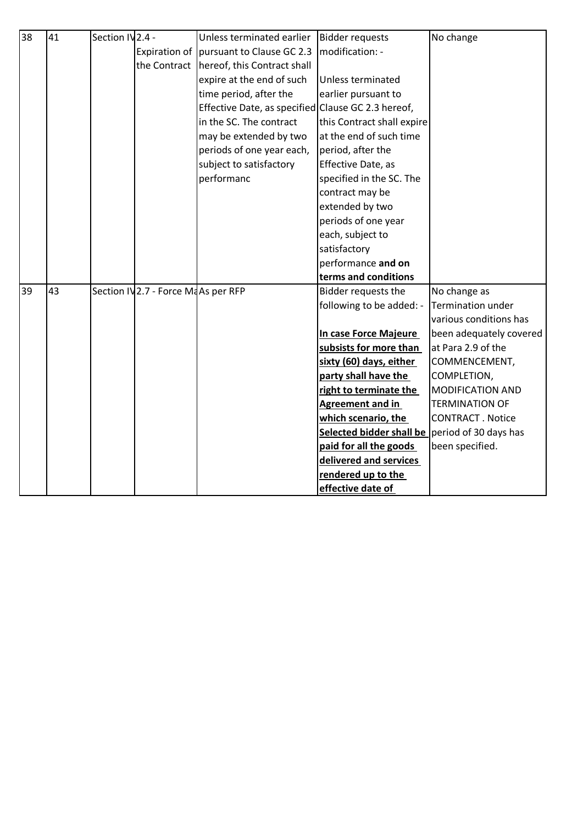| 38 | 41 | Section IV <sub>2.4</sub> - |                                     | Unless terminated earlier                          | <b>Bidder requests</b>     | No change               |
|----|----|-----------------------------|-------------------------------------|----------------------------------------------------|----------------------------|-------------------------|
|    |    |                             |                                     | Expiration of   pursuant to Clause GC 2.3          | modification: -            |                         |
|    |    |                             |                                     | the Contract   hereof, this Contract shall         |                            |                         |
|    |    |                             |                                     | expire at the end of such                          | Unless terminated          |                         |
|    |    |                             |                                     | time period, after the                             | earlier pursuant to        |                         |
|    |    |                             |                                     | Effective Date, as specified Clause GC 2.3 hereof, |                            |                         |
|    |    |                             |                                     | in the SC. The contract                            | this Contract shall expire |                         |
|    |    |                             |                                     | may be extended by two                             | at the end of such time    |                         |
|    |    |                             |                                     | periods of one year each,                          | period, after the          |                         |
|    |    |                             |                                     | subject to satisfactory                            | Effective Date, as         |                         |
|    |    |                             |                                     | performanc                                         | specified in the SC. The   |                         |
|    |    |                             |                                     |                                                    | contract may be            |                         |
|    |    |                             |                                     |                                                    | extended by two            |                         |
|    |    |                             |                                     |                                                    | periods of one year        |                         |
|    |    |                             |                                     |                                                    | each, subject to           |                         |
|    |    |                             |                                     |                                                    | satisfactory               |                         |
|    |    |                             |                                     |                                                    | performance and on         |                         |
|    |    |                             |                                     |                                                    | terms and conditions       |                         |
| 39 | 43 |                             | Section IV 2.7 - Force MaAs per RFP |                                                    | Bidder requests the        | No change as            |
|    |    |                             |                                     |                                                    | following to be added: -   | Termination under       |
|    |    |                             |                                     |                                                    |                            | various conditions has  |
|    |    |                             |                                     |                                                    | In case Force Majeure      | been adequately covered |
|    |    |                             |                                     |                                                    | subsists for more than     | at Para 2.9 of the      |
|    |    |                             |                                     |                                                    | sixty (60) days, either    | COMMENCEMENT,           |
|    |    |                             |                                     |                                                    | party shall have the       | COMPLETION,             |
|    |    |                             |                                     |                                                    | right to terminate the     | MODIFICATION AND        |
|    |    |                             |                                     |                                                    | <b>Agreement and in</b>    | <b>TERMINATION OF</b>   |
|    |    |                             |                                     |                                                    | which scenario, the        | <b>CONTRACT. Notice</b> |
|    |    |                             |                                     |                                                    | Selected bidder shall be   | period of 30 days has   |
|    |    |                             |                                     |                                                    | paid for all the goods     | been specified.         |
|    |    |                             |                                     |                                                    | delivered and services     |                         |
|    |    |                             |                                     |                                                    | rendered up to the         |                         |
|    |    |                             |                                     |                                                    | effective date of          |                         |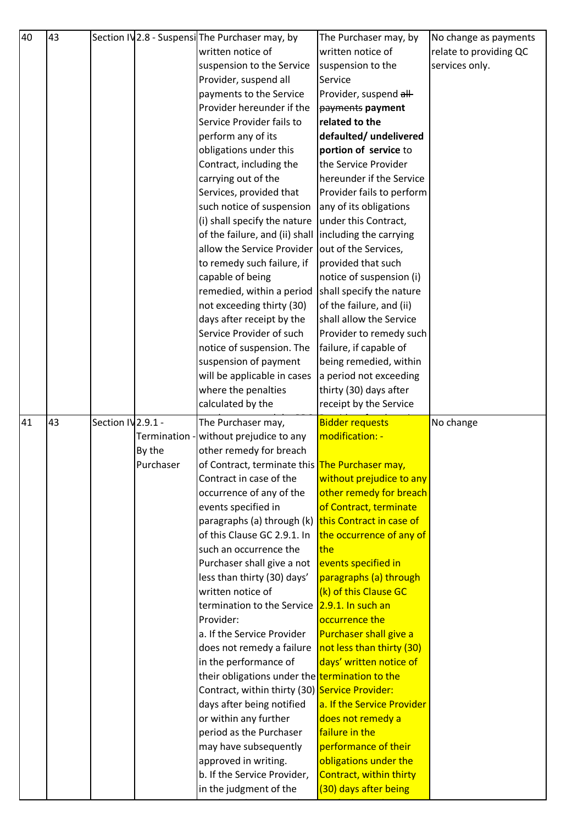| 40 | 43 |                    |           | Section IV 2.8 - Suspensil The Purchaser may, by       | The Purchaser may, by                  | No change as payments  |
|----|----|--------------------|-----------|--------------------------------------------------------|----------------------------------------|------------------------|
|    |    |                    |           | written notice of                                      | written notice of                      | relate to providing QC |
|    |    |                    |           | suspension to the Service                              | suspension to the                      | services only.         |
|    |    |                    |           | Provider, suspend all                                  | Service                                |                        |
|    |    |                    |           | payments to the Service                                | Provider, suspend all-                 |                        |
|    |    |                    |           | Provider hereunder if the                              | payments payment                       |                        |
|    |    |                    |           | Service Provider fails to                              | related to the                         |                        |
|    |    |                    |           | perform any of its                                     | defaulted/ undelivered                 |                        |
|    |    |                    |           | obligations under this                                 | portion of service to                  |                        |
|    |    |                    |           | Contract, including the                                | the Service Provider                   |                        |
|    |    |                    |           | carrying out of the                                    | hereunder if the Service               |                        |
|    |    |                    |           | Services, provided that                                | Provider fails to perform              |                        |
|    |    |                    |           | such notice of suspension                              | any of its obligations                 |                        |
|    |    |                    |           | (i) shall specify the nature                           | under this Contract,                   |                        |
|    |    |                    |           | of the failure, and (ii) shall                         | including the carrying                 |                        |
|    |    |                    |           | allow the Service Provider                             | out of the Services,                   |                        |
|    |    |                    |           | to remedy such failure, if                             | provided that such                     |                        |
|    |    |                    |           | capable of being                                       | notice of suspension (i)               |                        |
|    |    |                    |           | remedied, within a period                              | shall specify the nature               |                        |
|    |    |                    |           | not exceeding thirty (30)                              | of the failure, and (ii)               |                        |
|    |    |                    |           | days after receipt by the                              | shall allow the Service                |                        |
|    |    |                    |           | Service Provider of such                               | Provider to remedy such                |                        |
|    |    |                    |           | notice of suspension. The                              | failure, if capable of                 |                        |
|    |    |                    |           | suspension of payment                                  | being remedied, within                 |                        |
|    |    |                    |           | will be applicable in cases                            | a period not exceeding                 |                        |
|    |    |                    |           | where the penalties                                    | thirty (30) days after                 |                        |
|    |    |                    |           | calculated by the                                      | receipt by the Service                 |                        |
| 41 | 43 | Section IV 2.9.1 - |           | The Purchaser may,                                     | <b>Bidder requests</b>                 | No change              |
|    |    |                    |           | Termination - without prejudice to any                 | modification: -                        |                        |
|    |    |                    | By the    | other remedy for breach                                |                                        |                        |
|    |    |                    | Purchaser | of Contract, terminate this <b>The Purchaser may</b> , |                                        |                        |
|    |    |                    |           | Contract in case of the                                | without prejudice to any               |                        |
|    |    |                    |           | occurrence of any of the                               | other remedy for breach                |                        |
|    |    |                    |           | events specified in                                    | of Contract, terminate                 |                        |
|    |    |                    |           | paragraphs (a) through (k) this Contract in case of    |                                        |                        |
|    |    |                    |           | of this Clause GC 2.9.1. In                            | the occurrence of any of               |                        |
|    |    |                    |           | such an occurrence the                                 | the                                    |                        |
|    |    |                    |           | Purchaser shall give a not                             | events specified in                    |                        |
|    |    |                    |           | less than thirty (30) days'                            | paragraphs (a) through                 |                        |
|    |    |                    |           | written notice of                                      | (k) of this Clause GC                  |                        |
|    |    |                    |           | termination to the Service 2.9.1. In such an           |                                        |                        |
|    |    |                    |           | Provider:                                              | occurrence the                         |                        |
|    |    |                    |           | a. If the Service Provider                             | Purchaser shall give a                 |                        |
|    |    |                    |           | does not remedy a failure                              | not less than thirty (30)              |                        |
|    |    |                    |           | in the performance of                                  | days' written notice of                |                        |
|    |    |                    |           | their obligations under the termination to the         |                                        |                        |
|    |    |                    |           | Contract, within thirty (30) Service Provider:         |                                        |                        |
|    |    |                    |           | days after being notified                              | a. If the Service Provider             |                        |
|    |    |                    |           | or within any further                                  | does not remedy a                      |                        |
|    |    |                    |           | period as the Purchaser                                | failure in the<br>performance of their |                        |
|    |    |                    |           | may have subsequently                                  | obligations under the                  |                        |
|    |    |                    |           | approved in writing.<br>b. If the Service Provider,    | Contract, within thirty                |                        |
|    |    |                    |           | in the judgment of the                                 | (30) days after being                  |                        |
|    |    |                    |           |                                                        |                                        |                        |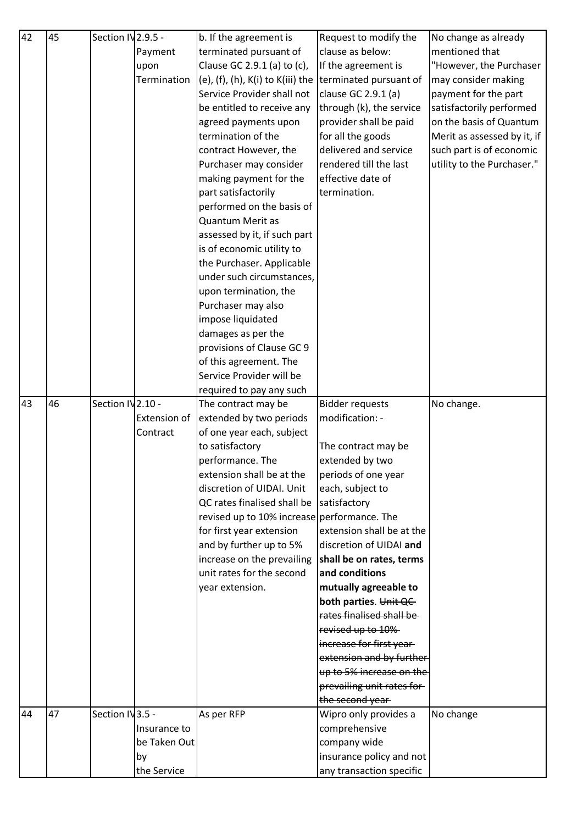| 42 | 45 | Section IV 2.9.5 - |              | b. If the agreement is                      | Request to modify the      | No change as already        |
|----|----|--------------------|--------------|---------------------------------------------|----------------------------|-----------------------------|
|    |    |                    | Payment      | terminated pursuant of                      | clause as below:           | mentioned that              |
|    |    |                    | upon         | Clause GC 2.9.1 (a) to (c),                 | If the agreement is        | "However, the Purchaser     |
|    |    |                    | Termination  | (e), (f), (h), K(i) to K(iii) the           | terminated pursuant of     | may consider making         |
|    |    |                    |              | Service Provider shall not                  | clause GC 2.9.1 (a)        | payment for the part        |
|    |    |                    |              | be entitled to receive any                  | through (k), the service   | satisfactorily performed    |
|    |    |                    |              | agreed payments upon                        | provider shall be paid     | on the basis of Quantum     |
|    |    |                    |              | termination of the                          | for all the goods          | Merit as assessed by it, if |
|    |    |                    |              | contract However, the                       | delivered and service      | such part is of economic    |
|    |    |                    |              | Purchaser may consider                      | rendered till the last     | utility to the Purchaser."  |
|    |    |                    |              | making payment for the                      | effective date of          |                             |
|    |    |                    |              | part satisfactorily                         | termination.               |                             |
|    |    |                    |              | performed on the basis of                   |                            |                             |
|    |    |                    |              | <b>Quantum Merit as</b>                     |                            |                             |
|    |    |                    |              | assessed by it, if such part                |                            |                             |
|    |    |                    |              | is of economic utility to                   |                            |                             |
|    |    |                    |              | the Purchaser. Applicable                   |                            |                             |
|    |    |                    |              | under such circumstances,                   |                            |                             |
|    |    |                    |              | upon termination, the                       |                            |                             |
|    |    |                    |              | Purchaser may also                          |                            |                             |
|    |    |                    |              |                                             |                            |                             |
|    |    |                    |              | impose liquidated                           |                            |                             |
|    |    |                    |              | damages as per the                          |                            |                             |
|    |    |                    |              | provisions of Clause GC 9                   |                            |                             |
|    |    |                    |              | of this agreement. The                      |                            |                             |
|    |    |                    |              | Service Provider will be                    |                            |                             |
|    |    |                    |              | required to pay any such                    |                            |                             |
| 43 | 46 | Section IV 2.10 -  |              | The contract may be                         | <b>Bidder requests</b>     | No change.                  |
|    |    |                    | Extension of | extended by two periods                     | modification: -            |                             |
|    |    |                    | Contract     | of one year each, subject                   |                            |                             |
|    |    |                    |              | to satisfactory                             | The contract may be        |                             |
|    |    |                    |              | performance. The                            | extended by two            |                             |
|    |    |                    |              | extension shall be at the                   | periods of one year        |                             |
|    |    |                    |              | discretion of UIDAI. Unit                   | each, subject to           |                             |
|    |    |                    |              | QC rates finalised shall be                 | satisfactory               |                             |
|    |    |                    |              | revised up to 10% increase performance. The |                            |                             |
|    |    |                    |              | for first year extension                    | extension shall be at the  |                             |
|    |    |                    |              | and by further up to 5%                     | discretion of UIDAI and    |                             |
|    |    |                    |              | increase on the prevailing                  | shall be on rates, terms   |                             |
|    |    |                    |              | unit rates for the second                   | and conditions             |                             |
|    |    |                    |              | year extension.                             | mutually agreeable to      |                             |
|    |    |                    |              |                                             | both parties. Unit QC      |                             |
|    |    |                    |              |                                             | rates finalised shall be-  |                             |
|    |    |                    |              |                                             | revised up to 10%          |                             |
|    |    |                    |              |                                             | increase for first year-   |                             |
|    |    |                    |              |                                             | extension and by further   |                             |
|    |    |                    |              |                                             | up to 5% increase on the   |                             |
|    |    |                    |              |                                             | prevailing unit rates for- |                             |
|    |    |                    |              |                                             | the second year-           |                             |
| 44 | 47 | Section IV3.5 -    |              | As per RFP                                  | Wipro only provides a      | No change                   |
|    |    |                    | Insurance to |                                             | comprehensive              |                             |
|    |    |                    | be Taken Out |                                             | company wide               |                             |
|    |    |                    | by           |                                             | insurance policy and not   |                             |
|    |    |                    | the Service  |                                             | any transaction specific   |                             |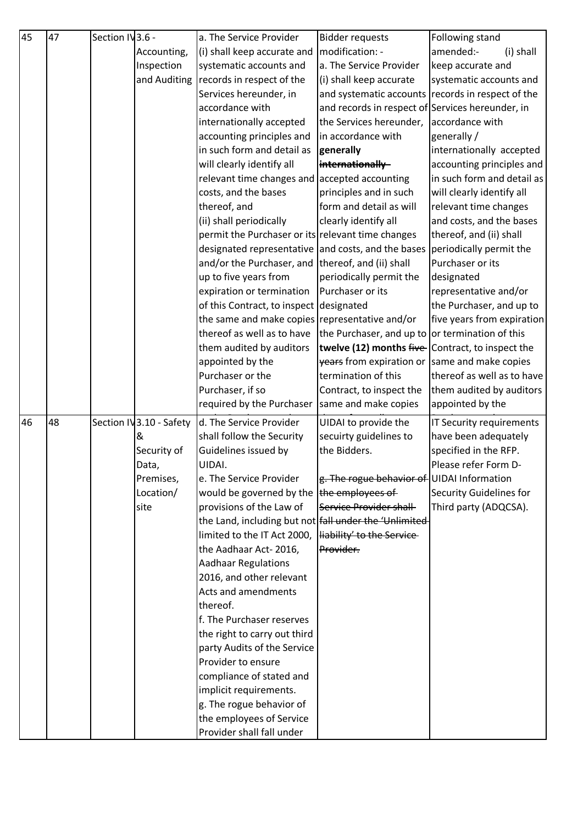| 45 | 47 | Section IV3.6 - |                          | a. The Service Provider                               | <b>Bidder requests</b>                            | Following stand                |
|----|----|-----------------|--------------------------|-------------------------------------------------------|---------------------------------------------------|--------------------------------|
|    |    |                 | Accounting,              | (i) shall keep accurate and                           | modification: -                                   | amended:-<br>(i) shall         |
|    |    |                 | Inspection               | systematic accounts and                               | a. The Service Provider                           | keep accurate and              |
|    |    |                 |                          | and Auditing records in respect of the                | (i) shall keep accurate                           | systematic accounts and        |
|    |    |                 |                          | Services hereunder, in                                | and systematic accounts records in respect of the |                                |
|    |    |                 |                          | accordance with                                       | and records in respect of Services hereunder, in  |                                |
|    |    |                 |                          | internationally accepted                              | the Services hereunder,                           | accordance with                |
|    |    |                 |                          | accounting principles and                             | in accordance with                                | generally /                    |
|    |    |                 |                          | in such form and detail as                            | generally                                         | internationally accepted       |
|    |    |                 |                          | will clearly identify all                             | internationally                                   | accounting principles and      |
|    |    |                 |                          | relevant time changes and                             | accepted accounting                               | in such form and detail as     |
|    |    |                 |                          | costs, and the bases                                  | principles and in such                            | will clearly identify all      |
|    |    |                 |                          | thereof, and                                          | form and detail as will                           | relevant time changes          |
|    |    |                 |                          | (ii) shall periodically                               | clearly identify all                              | and costs, and the bases       |
|    |    |                 |                          | permit the Purchaser or its relevant time changes     |                                                   | thereof, and (ii) shall        |
|    |    |                 |                          | designated representative and costs, and the bases    |                                                   | periodically permit the        |
|    |    |                 |                          | and/or the Purchaser, and                             | thereof, and (ii) shall                           | Purchaser or its               |
|    |    |                 |                          | up to five years from                                 | periodically permit the                           | designated                     |
|    |    |                 |                          | expiration or termination                             | Purchaser or its                                  | representative and/or          |
|    |    |                 |                          | of this Contract, to inspect designated               |                                                   | the Purchaser, and up to       |
|    |    |                 |                          | the same and make copies representative and/or        |                                                   | five years from expiration     |
|    |    |                 |                          | thereof as well as to have                            | the Purchaser, and up to or termination of this   |                                |
|    |    |                 |                          | them audited by auditors                              | twelve (12) months five-Contract, to inspect the  |                                |
|    |    |                 |                          | appointed by the                                      | years from expiration or same and make copies     |                                |
|    |    |                 |                          | Purchaser or the                                      | termination of this                               | thereof as well as to have     |
|    |    |                 |                          | Purchaser, if so                                      | Contract, to inspect the                          | them audited by auditors       |
|    |    |                 |                          | required by the Purchaser Same and make copies        |                                                   | appointed by the               |
| 46 | 48 |                 | Section IV 3.10 - Safety | d. The Service Provider                               | UIDAI to provide the                              | IT Security requirements       |
|    |    |                 | &                        | shall follow the Security                             | secuirty guidelines to                            | have been adequately           |
|    |    |                 | Security of              | Guidelines issued by                                  | the Bidders.                                      | specified in the RFP.          |
|    |    |                 | Data,                    | UIDAI.                                                |                                                   | Please refer Form D-           |
|    |    |                 | Premises,                | e. The Service Provider                               | g. The rogue behavior of UIDAI Information        |                                |
|    |    |                 | Location/                | would be governed by the                              | the employees of                                  | <b>Security Guidelines for</b> |
|    |    |                 | site                     | provisions of the Law of                              | Service Provider shall                            | Third party (ADQCSA).          |
|    |    |                 |                          | the Land, including but not fall under the 'Unlimited |                                                   |                                |
|    |    |                 |                          | limited to the IT Act 2000,                           | liability' to the Service-                        |                                |
|    |    |                 |                          | the Aadhaar Act-2016,                                 | Provider.                                         |                                |
|    |    |                 |                          | <b>Aadhaar Regulations</b>                            |                                                   |                                |
|    |    |                 |                          | 2016, and other relevant                              |                                                   |                                |
|    |    |                 |                          | <b>Acts and amendments</b>                            |                                                   |                                |
|    |    |                 |                          | thereof.                                              |                                                   |                                |
|    |    |                 |                          | f. The Purchaser reserves                             |                                                   |                                |
|    |    |                 |                          | the right to carry out third                          |                                                   |                                |
|    |    |                 |                          | party Audits of the Service                           |                                                   |                                |
|    |    |                 |                          | Provider to ensure                                    |                                                   |                                |
|    |    |                 |                          | compliance of stated and                              |                                                   |                                |
|    |    |                 |                          | implicit requirements.                                |                                                   |                                |
|    |    |                 |                          | g. The rogue behavior of                              |                                                   |                                |
|    |    |                 |                          | the employees of Service                              |                                                   |                                |
|    |    |                 |                          | Provider shall fall under                             |                                                   |                                |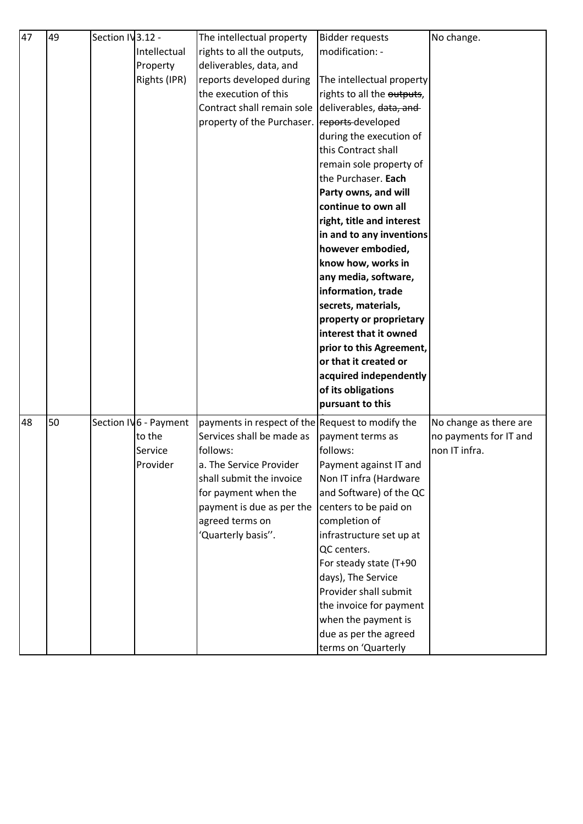| 47 | 49 | Section IV 3.12 - |                       | The intellectual property                        | <b>Bidder requests</b>     | No change.             |
|----|----|-------------------|-----------------------|--------------------------------------------------|----------------------------|------------------------|
|    |    |                   | Intellectual          | rights to all the outputs,                       | modification: -            |                        |
|    |    |                   | Property              | deliverables, data, and                          |                            |                        |
|    |    |                   | Rights (IPR)          | reports developed during                         | The intellectual property  |                        |
|    |    |                   |                       | the execution of this                            | rights to all the outputs, |                        |
|    |    |                   |                       | Contract shall remain sole                       | deliverables, data, and    |                        |
|    |    |                   |                       | property of the Purchaser.                       | reports-developed          |                        |
|    |    |                   |                       |                                                  | during the execution of    |                        |
|    |    |                   |                       |                                                  | this Contract shall        |                        |
|    |    |                   |                       |                                                  | remain sole property of    |                        |
|    |    |                   |                       |                                                  | the Purchaser. Each        |                        |
|    |    |                   |                       |                                                  | Party owns, and will       |                        |
|    |    |                   |                       |                                                  | continue to own all        |                        |
|    |    |                   |                       |                                                  | right, title and interest  |                        |
|    |    |                   |                       |                                                  | in and to any inventions   |                        |
|    |    |                   |                       |                                                  | however embodied,          |                        |
|    |    |                   |                       |                                                  | know how, works in         |                        |
|    |    |                   |                       |                                                  | any media, software,       |                        |
|    |    |                   |                       |                                                  | information, trade         |                        |
|    |    |                   |                       |                                                  | secrets, materials,        |                        |
|    |    |                   |                       |                                                  | property or proprietary    |                        |
|    |    |                   |                       |                                                  | interest that it owned     |                        |
|    |    |                   |                       |                                                  | prior to this Agreement,   |                        |
|    |    |                   |                       |                                                  | or that it created or      |                        |
|    |    |                   |                       |                                                  | acquired independently     |                        |
|    |    |                   |                       |                                                  | of its obligations         |                        |
|    |    |                   |                       |                                                  | pursuant to this           |                        |
| 48 | 50 |                   | Section IV6 - Payment | payments in respect of the Request to modify the |                            | No change as there are |
|    |    |                   | to the                | Services shall be made as                        | payment terms as           | no payments for IT and |
|    |    |                   | Service               | follows:                                         | follows:                   | non IT infra.          |
|    |    |                   | Provider              | a. The Service Provider                          | Payment against IT and     |                        |
|    |    |                   |                       | shall submit the invoice                         | Non IT infra (Hardware     |                        |
|    |    |                   |                       | for payment when the                             | and Software) of the QC    |                        |
|    |    |                   |                       | payment is due as per the                        | centers to be paid on      |                        |
|    |    |                   |                       | agreed terms on                                  | completion of              |                        |
|    |    |                   |                       | 'Quarterly basis".                               | infrastructure set up at   |                        |
|    |    |                   |                       |                                                  | QC centers.                |                        |
|    |    |                   |                       |                                                  | For steady state (T+90     |                        |
|    |    |                   |                       |                                                  | days), The Service         |                        |
|    |    |                   |                       |                                                  | Provider shall submit      |                        |
|    |    |                   |                       |                                                  | the invoice for payment    |                        |
|    |    |                   |                       |                                                  | when the payment is        |                        |
|    |    |                   |                       |                                                  | due as per the agreed      |                        |
|    |    |                   |                       |                                                  | terms on 'Quarterly        |                        |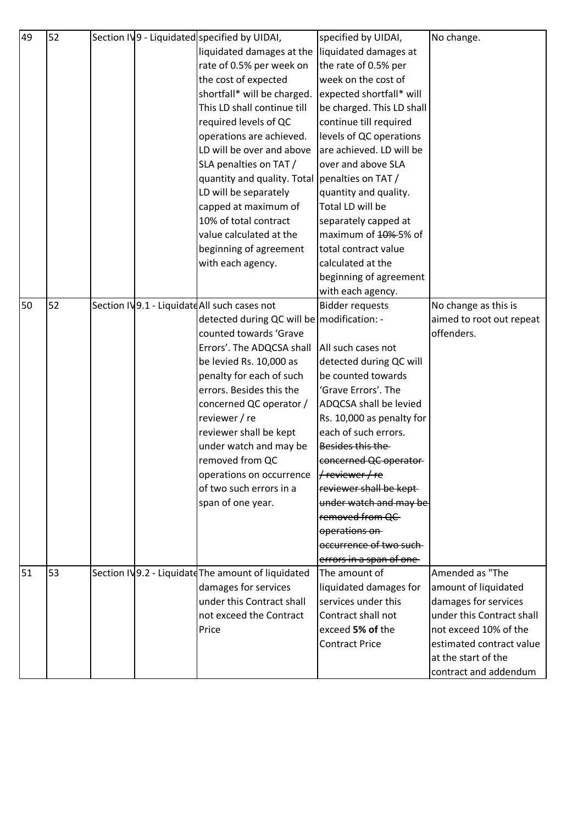| 49 | 52 |  | Section IV9 - Liquidated specified by UIDAI,       | specified by UIDAI,       | No change.                |
|----|----|--|----------------------------------------------------|---------------------------|---------------------------|
|    |    |  | liquidated damages at the                          | liquidated damages at     |                           |
|    |    |  | rate of 0.5% per week on                           | the rate of 0.5% per      |                           |
|    |    |  | the cost of expected                               | week on the cost of       |                           |
|    |    |  | shortfall* will be charged.                        | expected shortfall* will  |                           |
|    |    |  | This LD shall continue till                        | be charged. This LD shall |                           |
|    |    |  | required levels of QC                              | continue till required    |                           |
|    |    |  | operations are achieved.                           | levels of QC operations   |                           |
|    |    |  | LD will be over and above                          | are achieved. LD will be  |                           |
|    |    |  | SLA penalties on TAT /                             | over and above SLA        |                           |
|    |    |  | quantity and quality. Total penalties on TAT/      |                           |                           |
|    |    |  | LD will be separately                              | quantity and quality.     |                           |
|    |    |  | capped at maximum of                               | Total LD will be          |                           |
|    |    |  | 10% of total contract                              | separately capped at      |                           |
|    |    |  | value calculated at the                            | maximum of 40%-5% of      |                           |
|    |    |  | beginning of agreement                             | total contract value      |                           |
|    |    |  | with each agency.                                  | calculated at the         |                           |
|    |    |  |                                                    | beginning of agreement    |                           |
|    |    |  |                                                    | with each agency.         |                           |
| 50 | 52 |  | Section IV9.1 - Liquidate All such cases not       | <b>Bidder requests</b>    | No change as this is      |
|    |    |  | detected during QC will be modification: -         |                           | aimed to root out repeat  |
|    |    |  | counted towards 'Grave                             |                           | offenders.                |
|    |    |  | Errors'. The ADQCSA shall                          | All such cases not        |                           |
|    |    |  | be levied Rs. 10,000 as                            | detected during QC will   |                           |
|    |    |  | penalty for each of such                           | be counted towards        |                           |
|    |    |  | errors. Besides this the                           | 'Grave Errors'. The       |                           |
|    |    |  | concerned QC operator /                            | ADQCSA shall be levied    |                           |
|    |    |  | reviewer / re                                      | Rs. 10,000 as penalty for |                           |
|    |    |  | reviewer shall be kept                             | each of such errors.      |                           |
|    |    |  | under watch and may be                             | Besides this the          |                           |
|    |    |  | removed from QC                                    | concerned QC operator-    |                           |
|    |    |  | operations on occurrence                           | $H$ reviewer / re         |                           |
|    |    |  | of two such errors in a                            | reviewer shall be kept-   |                           |
|    |    |  | span of one year.                                  | under watch and may be    |                           |
|    |    |  |                                                    | removed from QC           |                           |
|    |    |  |                                                    | operations on             |                           |
|    |    |  |                                                    | occurrence of two such-   |                           |
|    |    |  |                                                    | errors in a span of one-  |                           |
| 51 | 53 |  | Section IV9.2 - Liquidate The amount of liquidated | The amount of             | Amended as "The           |
|    |    |  | damages for services                               | liquidated damages for    | amount of liquidated      |
|    |    |  | under this Contract shall                          | services under this       | damages for services      |
|    |    |  | not exceed the Contract                            | Contract shall not        | under this Contract shall |
|    |    |  | Price                                              | exceed 5% of the          | not exceed 10% of the     |
|    |    |  |                                                    | <b>Contract Price</b>     | estimated contract value  |
|    |    |  |                                                    |                           | at the start of the       |
|    |    |  |                                                    |                           | contract and addendum     |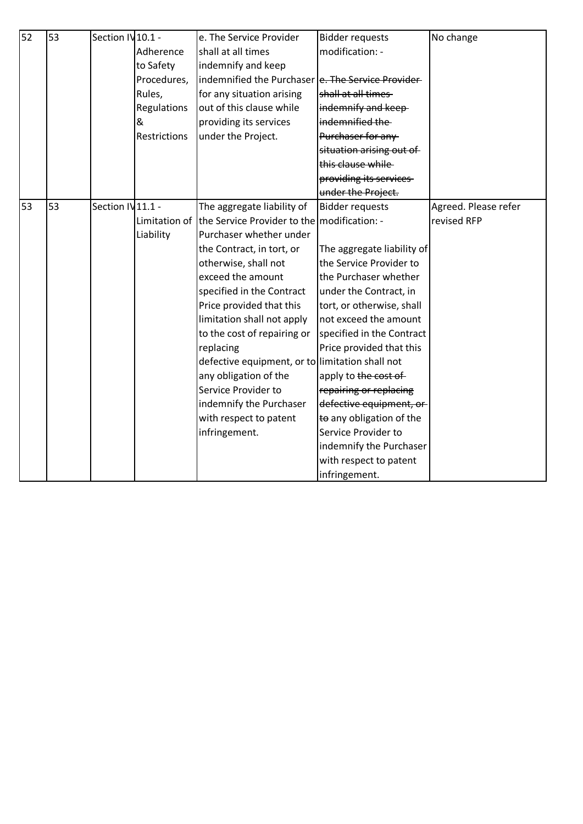| 52 | 53 | Section IV 10.1 - |               | e. The Service Provider                            | <b>Bidder requests</b>     | No change            |
|----|----|-------------------|---------------|----------------------------------------------------|----------------------------|----------------------|
|    |    |                   | Adherence     | shall at all times                                 | modification: -            |                      |
|    |    |                   | to Safety     | indemnify and keep                                 |                            |                      |
|    |    |                   | Procedures,   | indemnified the Purchaser e. The Service Provider- |                            |                      |
|    |    |                   | Rules,        | for any situation arising                          | shall at all times         |                      |
|    |    |                   | Regulations   | out of this clause while                           | indemnify and keep-        |                      |
|    |    |                   | &             | providing its services                             | indemnified the            |                      |
|    |    |                   | Restrictions  | under the Project.                                 | Purchaser for any          |                      |
|    |    |                   |               |                                                    | situation arising out of   |                      |
|    |    |                   |               |                                                    | this clause while          |                      |
|    |    |                   |               |                                                    | providing its services     |                      |
|    |    |                   |               |                                                    | under the Project.         |                      |
| 53 | 53 | Section IV11.1 -  |               | The aggregate liability of                         | <b>Bidder requests</b>     | Agreed. Please refer |
|    |    |                   | Limitation of | the Service Provider to the modification: -        |                            | revised RFP          |
|    |    |                   | Liability     | Purchaser whether under                            |                            |                      |
|    |    |                   |               | the Contract, in tort, or                          | The aggregate liability of |                      |
|    |    |                   |               | otherwise, shall not                               | the Service Provider to    |                      |
|    |    |                   |               | exceed the amount                                  | the Purchaser whether      |                      |
|    |    |                   |               | specified in the Contract                          | under the Contract, in     |                      |
|    |    |                   |               | Price provided that this                           | tort, or otherwise, shall  |                      |
|    |    |                   |               | limitation shall not apply                         | not exceed the amount      |                      |
|    |    |                   |               | to the cost of repairing or                        | specified in the Contract  |                      |
|    |    |                   |               | replacing                                          | Price provided that this   |                      |
|    |    |                   |               | defective equipment, or to limitation shall not    |                            |                      |
|    |    |                   |               | any obligation of the                              | apply to the cost of       |                      |
|    |    |                   |               | Service Provider to                                | repairing or replacing     |                      |
|    |    |                   |               | indemnify the Purchaser                            | defective equipment, or    |                      |
|    |    |                   |               | with respect to patent                             | to any obligation of the   |                      |
|    |    |                   |               | infringement.                                      | Service Provider to        |                      |
|    |    |                   |               |                                                    | indemnify the Purchaser    |                      |
|    |    |                   |               |                                                    | with respect to patent     |                      |
|    |    |                   |               |                                                    | infringement.              |                      |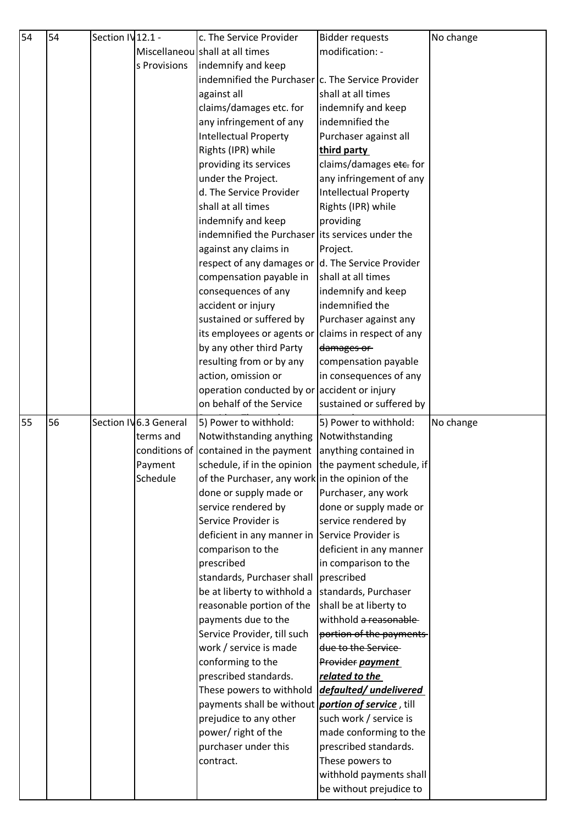| Miscellaneou shall at all times<br>modification: -<br>indemnify and keep<br>s Provisions<br>indemnified the Purchaser c. The Service Provider<br>shall at all times<br>against all<br>claims/damages etc. for<br>indemnify and keep<br>any infringement of any<br>indemnified the<br><b>Intellectual Property</b><br>Purchaser against all<br>Rights (IPR) while<br>third party<br>claims/damages etc. for<br>providing its services<br>any infringement of any<br>under the Project.<br>d. The Service Provider<br><b>Intellectual Property</b><br>shall at all times<br>Rights (IPR) while<br>indemnify and keep<br>providing<br>indemnified the Purchaser lits services under the<br>against any claims in<br>Project.<br>respect of any damages or $\vert d$ . The Service Provider<br>shall at all times<br>compensation payable in<br>consequences of any<br>indemnify and keep<br>indemnified the<br>accident or injury<br>sustained or suffered by<br>Purchaser against any<br>its employees or agents or<br>claims in respect of any<br>by any other third Party<br>damages or<br>resulting from or by any<br>compensation payable<br>action, omission or<br>in consequences of any<br>operation conducted by or accident or injury<br>on behalf of the Service<br>sustained or suffered by<br>56<br>Section IV6.3 General<br>5) Power to withhold:<br>5) Power to withhold:<br>No change<br>Notwithstanding anything<br>Notwithstanding<br>terms and<br>conditions of contained in the payment<br>anything contained in<br>schedule, if in the opinion the payment schedule, if<br>Payment<br>Schedule<br>of the Purchaser, any work in the opinion of the<br>done or supply made or<br>Purchaser, any work<br>service rendered by<br>done or supply made or<br>Service Provider is<br>service rendered by<br>deficient in any manner in Service Provider is<br>deficient in any manner<br>comparison to the<br>prescribed<br>in comparison to the<br>standards, Purchaser shall<br>prescribed<br>be at liberty to withhold a<br>standards, Purchaser<br>reasonable portion of the<br>shall be at liberty to<br>payments due to the<br>withhold a reasonable-<br>Service Provider, till such<br>portion of the payments<br>work / service is made<br>due to the Service<br>conforming to the<br>Provider payment<br>prescribed standards.<br>related to the<br>These powers to withhold<br>defaulted/undelivered<br>payments shall be without<br>portion of service, till<br>prejudice to any other<br>such work / service is<br>power/ right of the<br>made conforming to the<br>purchaser under this<br>prescribed standards.<br>These powers to<br>contract.<br>withhold payments shall<br>be without prejudice to | 54 | 54 | Section IV12.1 - | c. The Service Provider | <b>Bidder requests</b> | No change |
|---------------------------------------------------------------------------------------------------------------------------------------------------------------------------------------------------------------------------------------------------------------------------------------------------------------------------------------------------------------------------------------------------------------------------------------------------------------------------------------------------------------------------------------------------------------------------------------------------------------------------------------------------------------------------------------------------------------------------------------------------------------------------------------------------------------------------------------------------------------------------------------------------------------------------------------------------------------------------------------------------------------------------------------------------------------------------------------------------------------------------------------------------------------------------------------------------------------------------------------------------------------------------------------------------------------------------------------------------------------------------------------------------------------------------------------------------------------------------------------------------------------------------------------------------------------------------------------------------------------------------------------------------------------------------------------------------------------------------------------------------------------------------------------------------------------------------------------------------------------------------------------------------------------------------------------------------------------------------------------------------------------------------------------------------------------------------------------------------------------------------------------------------------------------------------------------------------------------------------------------------------------------------------------------------------------------------------------------------------------------------------------------------------------------------------------------------------------------------------------------------------------------------------------------------------------------------------------------------------------------------------------------------------------------------------------------------------------------------------|----|----|------------------|-------------------------|------------------------|-----------|
|                                                                                                                                                                                                                                                                                                                                                                                                                                                                                                                                                                                                                                                                                                                                                                                                                                                                                                                                                                                                                                                                                                                                                                                                                                                                                                                                                                                                                                                                                                                                                                                                                                                                                                                                                                                                                                                                                                                                                                                                                                                                                                                                                                                                                                                                                                                                                                                                                                                                                                                                                                                                                                                                                                                                 |    |    |                  |                         |                        |           |
|                                                                                                                                                                                                                                                                                                                                                                                                                                                                                                                                                                                                                                                                                                                                                                                                                                                                                                                                                                                                                                                                                                                                                                                                                                                                                                                                                                                                                                                                                                                                                                                                                                                                                                                                                                                                                                                                                                                                                                                                                                                                                                                                                                                                                                                                                                                                                                                                                                                                                                                                                                                                                                                                                                                                 |    |    |                  |                         |                        |           |
|                                                                                                                                                                                                                                                                                                                                                                                                                                                                                                                                                                                                                                                                                                                                                                                                                                                                                                                                                                                                                                                                                                                                                                                                                                                                                                                                                                                                                                                                                                                                                                                                                                                                                                                                                                                                                                                                                                                                                                                                                                                                                                                                                                                                                                                                                                                                                                                                                                                                                                                                                                                                                                                                                                                                 |    |    |                  |                         |                        |           |
|                                                                                                                                                                                                                                                                                                                                                                                                                                                                                                                                                                                                                                                                                                                                                                                                                                                                                                                                                                                                                                                                                                                                                                                                                                                                                                                                                                                                                                                                                                                                                                                                                                                                                                                                                                                                                                                                                                                                                                                                                                                                                                                                                                                                                                                                                                                                                                                                                                                                                                                                                                                                                                                                                                                                 |    |    |                  |                         |                        |           |
|                                                                                                                                                                                                                                                                                                                                                                                                                                                                                                                                                                                                                                                                                                                                                                                                                                                                                                                                                                                                                                                                                                                                                                                                                                                                                                                                                                                                                                                                                                                                                                                                                                                                                                                                                                                                                                                                                                                                                                                                                                                                                                                                                                                                                                                                                                                                                                                                                                                                                                                                                                                                                                                                                                                                 |    |    |                  |                         |                        |           |
|                                                                                                                                                                                                                                                                                                                                                                                                                                                                                                                                                                                                                                                                                                                                                                                                                                                                                                                                                                                                                                                                                                                                                                                                                                                                                                                                                                                                                                                                                                                                                                                                                                                                                                                                                                                                                                                                                                                                                                                                                                                                                                                                                                                                                                                                                                                                                                                                                                                                                                                                                                                                                                                                                                                                 |    |    |                  |                         |                        |           |
|                                                                                                                                                                                                                                                                                                                                                                                                                                                                                                                                                                                                                                                                                                                                                                                                                                                                                                                                                                                                                                                                                                                                                                                                                                                                                                                                                                                                                                                                                                                                                                                                                                                                                                                                                                                                                                                                                                                                                                                                                                                                                                                                                                                                                                                                                                                                                                                                                                                                                                                                                                                                                                                                                                                                 |    |    |                  |                         |                        |           |
|                                                                                                                                                                                                                                                                                                                                                                                                                                                                                                                                                                                                                                                                                                                                                                                                                                                                                                                                                                                                                                                                                                                                                                                                                                                                                                                                                                                                                                                                                                                                                                                                                                                                                                                                                                                                                                                                                                                                                                                                                                                                                                                                                                                                                                                                                                                                                                                                                                                                                                                                                                                                                                                                                                                                 |    |    |                  |                         |                        |           |
|                                                                                                                                                                                                                                                                                                                                                                                                                                                                                                                                                                                                                                                                                                                                                                                                                                                                                                                                                                                                                                                                                                                                                                                                                                                                                                                                                                                                                                                                                                                                                                                                                                                                                                                                                                                                                                                                                                                                                                                                                                                                                                                                                                                                                                                                                                                                                                                                                                                                                                                                                                                                                                                                                                                                 |    |    |                  |                         |                        |           |
|                                                                                                                                                                                                                                                                                                                                                                                                                                                                                                                                                                                                                                                                                                                                                                                                                                                                                                                                                                                                                                                                                                                                                                                                                                                                                                                                                                                                                                                                                                                                                                                                                                                                                                                                                                                                                                                                                                                                                                                                                                                                                                                                                                                                                                                                                                                                                                                                                                                                                                                                                                                                                                                                                                                                 |    |    |                  |                         |                        |           |
|                                                                                                                                                                                                                                                                                                                                                                                                                                                                                                                                                                                                                                                                                                                                                                                                                                                                                                                                                                                                                                                                                                                                                                                                                                                                                                                                                                                                                                                                                                                                                                                                                                                                                                                                                                                                                                                                                                                                                                                                                                                                                                                                                                                                                                                                                                                                                                                                                                                                                                                                                                                                                                                                                                                                 |    |    |                  |                         |                        |           |
|                                                                                                                                                                                                                                                                                                                                                                                                                                                                                                                                                                                                                                                                                                                                                                                                                                                                                                                                                                                                                                                                                                                                                                                                                                                                                                                                                                                                                                                                                                                                                                                                                                                                                                                                                                                                                                                                                                                                                                                                                                                                                                                                                                                                                                                                                                                                                                                                                                                                                                                                                                                                                                                                                                                                 |    |    |                  |                         |                        |           |
|                                                                                                                                                                                                                                                                                                                                                                                                                                                                                                                                                                                                                                                                                                                                                                                                                                                                                                                                                                                                                                                                                                                                                                                                                                                                                                                                                                                                                                                                                                                                                                                                                                                                                                                                                                                                                                                                                                                                                                                                                                                                                                                                                                                                                                                                                                                                                                                                                                                                                                                                                                                                                                                                                                                                 |    |    |                  |                         |                        |           |
|                                                                                                                                                                                                                                                                                                                                                                                                                                                                                                                                                                                                                                                                                                                                                                                                                                                                                                                                                                                                                                                                                                                                                                                                                                                                                                                                                                                                                                                                                                                                                                                                                                                                                                                                                                                                                                                                                                                                                                                                                                                                                                                                                                                                                                                                                                                                                                                                                                                                                                                                                                                                                                                                                                                                 |    |    |                  |                         |                        |           |
|                                                                                                                                                                                                                                                                                                                                                                                                                                                                                                                                                                                                                                                                                                                                                                                                                                                                                                                                                                                                                                                                                                                                                                                                                                                                                                                                                                                                                                                                                                                                                                                                                                                                                                                                                                                                                                                                                                                                                                                                                                                                                                                                                                                                                                                                                                                                                                                                                                                                                                                                                                                                                                                                                                                                 |    |    |                  |                         |                        |           |
|                                                                                                                                                                                                                                                                                                                                                                                                                                                                                                                                                                                                                                                                                                                                                                                                                                                                                                                                                                                                                                                                                                                                                                                                                                                                                                                                                                                                                                                                                                                                                                                                                                                                                                                                                                                                                                                                                                                                                                                                                                                                                                                                                                                                                                                                                                                                                                                                                                                                                                                                                                                                                                                                                                                                 |    |    |                  |                         |                        |           |
|                                                                                                                                                                                                                                                                                                                                                                                                                                                                                                                                                                                                                                                                                                                                                                                                                                                                                                                                                                                                                                                                                                                                                                                                                                                                                                                                                                                                                                                                                                                                                                                                                                                                                                                                                                                                                                                                                                                                                                                                                                                                                                                                                                                                                                                                                                                                                                                                                                                                                                                                                                                                                                                                                                                                 |    |    |                  |                         |                        |           |
|                                                                                                                                                                                                                                                                                                                                                                                                                                                                                                                                                                                                                                                                                                                                                                                                                                                                                                                                                                                                                                                                                                                                                                                                                                                                                                                                                                                                                                                                                                                                                                                                                                                                                                                                                                                                                                                                                                                                                                                                                                                                                                                                                                                                                                                                                                                                                                                                                                                                                                                                                                                                                                                                                                                                 |    |    |                  |                         |                        |           |
|                                                                                                                                                                                                                                                                                                                                                                                                                                                                                                                                                                                                                                                                                                                                                                                                                                                                                                                                                                                                                                                                                                                                                                                                                                                                                                                                                                                                                                                                                                                                                                                                                                                                                                                                                                                                                                                                                                                                                                                                                                                                                                                                                                                                                                                                                                                                                                                                                                                                                                                                                                                                                                                                                                                                 |    |    |                  |                         |                        |           |
|                                                                                                                                                                                                                                                                                                                                                                                                                                                                                                                                                                                                                                                                                                                                                                                                                                                                                                                                                                                                                                                                                                                                                                                                                                                                                                                                                                                                                                                                                                                                                                                                                                                                                                                                                                                                                                                                                                                                                                                                                                                                                                                                                                                                                                                                                                                                                                                                                                                                                                                                                                                                                                                                                                                                 |    |    |                  |                         |                        |           |
|                                                                                                                                                                                                                                                                                                                                                                                                                                                                                                                                                                                                                                                                                                                                                                                                                                                                                                                                                                                                                                                                                                                                                                                                                                                                                                                                                                                                                                                                                                                                                                                                                                                                                                                                                                                                                                                                                                                                                                                                                                                                                                                                                                                                                                                                                                                                                                                                                                                                                                                                                                                                                                                                                                                                 |    |    |                  |                         |                        |           |
|                                                                                                                                                                                                                                                                                                                                                                                                                                                                                                                                                                                                                                                                                                                                                                                                                                                                                                                                                                                                                                                                                                                                                                                                                                                                                                                                                                                                                                                                                                                                                                                                                                                                                                                                                                                                                                                                                                                                                                                                                                                                                                                                                                                                                                                                                                                                                                                                                                                                                                                                                                                                                                                                                                                                 |    |    |                  |                         |                        |           |
|                                                                                                                                                                                                                                                                                                                                                                                                                                                                                                                                                                                                                                                                                                                                                                                                                                                                                                                                                                                                                                                                                                                                                                                                                                                                                                                                                                                                                                                                                                                                                                                                                                                                                                                                                                                                                                                                                                                                                                                                                                                                                                                                                                                                                                                                                                                                                                                                                                                                                                                                                                                                                                                                                                                                 |    |    |                  |                         |                        |           |
|                                                                                                                                                                                                                                                                                                                                                                                                                                                                                                                                                                                                                                                                                                                                                                                                                                                                                                                                                                                                                                                                                                                                                                                                                                                                                                                                                                                                                                                                                                                                                                                                                                                                                                                                                                                                                                                                                                                                                                                                                                                                                                                                                                                                                                                                                                                                                                                                                                                                                                                                                                                                                                                                                                                                 |    |    |                  |                         |                        |           |
|                                                                                                                                                                                                                                                                                                                                                                                                                                                                                                                                                                                                                                                                                                                                                                                                                                                                                                                                                                                                                                                                                                                                                                                                                                                                                                                                                                                                                                                                                                                                                                                                                                                                                                                                                                                                                                                                                                                                                                                                                                                                                                                                                                                                                                                                                                                                                                                                                                                                                                                                                                                                                                                                                                                                 |    |    |                  |                         |                        |           |
|                                                                                                                                                                                                                                                                                                                                                                                                                                                                                                                                                                                                                                                                                                                                                                                                                                                                                                                                                                                                                                                                                                                                                                                                                                                                                                                                                                                                                                                                                                                                                                                                                                                                                                                                                                                                                                                                                                                                                                                                                                                                                                                                                                                                                                                                                                                                                                                                                                                                                                                                                                                                                                                                                                                                 |    |    |                  |                         |                        |           |
|                                                                                                                                                                                                                                                                                                                                                                                                                                                                                                                                                                                                                                                                                                                                                                                                                                                                                                                                                                                                                                                                                                                                                                                                                                                                                                                                                                                                                                                                                                                                                                                                                                                                                                                                                                                                                                                                                                                                                                                                                                                                                                                                                                                                                                                                                                                                                                                                                                                                                                                                                                                                                                                                                                                                 | 55 |    |                  |                         |                        |           |
|                                                                                                                                                                                                                                                                                                                                                                                                                                                                                                                                                                                                                                                                                                                                                                                                                                                                                                                                                                                                                                                                                                                                                                                                                                                                                                                                                                                                                                                                                                                                                                                                                                                                                                                                                                                                                                                                                                                                                                                                                                                                                                                                                                                                                                                                                                                                                                                                                                                                                                                                                                                                                                                                                                                                 |    |    |                  |                         |                        |           |
|                                                                                                                                                                                                                                                                                                                                                                                                                                                                                                                                                                                                                                                                                                                                                                                                                                                                                                                                                                                                                                                                                                                                                                                                                                                                                                                                                                                                                                                                                                                                                                                                                                                                                                                                                                                                                                                                                                                                                                                                                                                                                                                                                                                                                                                                                                                                                                                                                                                                                                                                                                                                                                                                                                                                 |    |    |                  |                         |                        |           |
|                                                                                                                                                                                                                                                                                                                                                                                                                                                                                                                                                                                                                                                                                                                                                                                                                                                                                                                                                                                                                                                                                                                                                                                                                                                                                                                                                                                                                                                                                                                                                                                                                                                                                                                                                                                                                                                                                                                                                                                                                                                                                                                                                                                                                                                                                                                                                                                                                                                                                                                                                                                                                                                                                                                                 |    |    |                  |                         |                        |           |
|                                                                                                                                                                                                                                                                                                                                                                                                                                                                                                                                                                                                                                                                                                                                                                                                                                                                                                                                                                                                                                                                                                                                                                                                                                                                                                                                                                                                                                                                                                                                                                                                                                                                                                                                                                                                                                                                                                                                                                                                                                                                                                                                                                                                                                                                                                                                                                                                                                                                                                                                                                                                                                                                                                                                 |    |    |                  |                         |                        |           |
|                                                                                                                                                                                                                                                                                                                                                                                                                                                                                                                                                                                                                                                                                                                                                                                                                                                                                                                                                                                                                                                                                                                                                                                                                                                                                                                                                                                                                                                                                                                                                                                                                                                                                                                                                                                                                                                                                                                                                                                                                                                                                                                                                                                                                                                                                                                                                                                                                                                                                                                                                                                                                                                                                                                                 |    |    |                  |                         |                        |           |
|                                                                                                                                                                                                                                                                                                                                                                                                                                                                                                                                                                                                                                                                                                                                                                                                                                                                                                                                                                                                                                                                                                                                                                                                                                                                                                                                                                                                                                                                                                                                                                                                                                                                                                                                                                                                                                                                                                                                                                                                                                                                                                                                                                                                                                                                                                                                                                                                                                                                                                                                                                                                                                                                                                                                 |    |    |                  |                         |                        |           |
|                                                                                                                                                                                                                                                                                                                                                                                                                                                                                                                                                                                                                                                                                                                                                                                                                                                                                                                                                                                                                                                                                                                                                                                                                                                                                                                                                                                                                                                                                                                                                                                                                                                                                                                                                                                                                                                                                                                                                                                                                                                                                                                                                                                                                                                                                                                                                                                                                                                                                                                                                                                                                                                                                                                                 |    |    |                  |                         |                        |           |
|                                                                                                                                                                                                                                                                                                                                                                                                                                                                                                                                                                                                                                                                                                                                                                                                                                                                                                                                                                                                                                                                                                                                                                                                                                                                                                                                                                                                                                                                                                                                                                                                                                                                                                                                                                                                                                                                                                                                                                                                                                                                                                                                                                                                                                                                                                                                                                                                                                                                                                                                                                                                                                                                                                                                 |    |    |                  |                         |                        |           |
|                                                                                                                                                                                                                                                                                                                                                                                                                                                                                                                                                                                                                                                                                                                                                                                                                                                                                                                                                                                                                                                                                                                                                                                                                                                                                                                                                                                                                                                                                                                                                                                                                                                                                                                                                                                                                                                                                                                                                                                                                                                                                                                                                                                                                                                                                                                                                                                                                                                                                                                                                                                                                                                                                                                                 |    |    |                  |                         |                        |           |
|                                                                                                                                                                                                                                                                                                                                                                                                                                                                                                                                                                                                                                                                                                                                                                                                                                                                                                                                                                                                                                                                                                                                                                                                                                                                                                                                                                                                                                                                                                                                                                                                                                                                                                                                                                                                                                                                                                                                                                                                                                                                                                                                                                                                                                                                                                                                                                                                                                                                                                                                                                                                                                                                                                                                 |    |    |                  |                         |                        |           |
|                                                                                                                                                                                                                                                                                                                                                                                                                                                                                                                                                                                                                                                                                                                                                                                                                                                                                                                                                                                                                                                                                                                                                                                                                                                                                                                                                                                                                                                                                                                                                                                                                                                                                                                                                                                                                                                                                                                                                                                                                                                                                                                                                                                                                                                                                                                                                                                                                                                                                                                                                                                                                                                                                                                                 |    |    |                  |                         |                        |           |
|                                                                                                                                                                                                                                                                                                                                                                                                                                                                                                                                                                                                                                                                                                                                                                                                                                                                                                                                                                                                                                                                                                                                                                                                                                                                                                                                                                                                                                                                                                                                                                                                                                                                                                                                                                                                                                                                                                                                                                                                                                                                                                                                                                                                                                                                                                                                                                                                                                                                                                                                                                                                                                                                                                                                 |    |    |                  |                         |                        |           |
|                                                                                                                                                                                                                                                                                                                                                                                                                                                                                                                                                                                                                                                                                                                                                                                                                                                                                                                                                                                                                                                                                                                                                                                                                                                                                                                                                                                                                                                                                                                                                                                                                                                                                                                                                                                                                                                                                                                                                                                                                                                                                                                                                                                                                                                                                                                                                                                                                                                                                                                                                                                                                                                                                                                                 |    |    |                  |                         |                        |           |
|                                                                                                                                                                                                                                                                                                                                                                                                                                                                                                                                                                                                                                                                                                                                                                                                                                                                                                                                                                                                                                                                                                                                                                                                                                                                                                                                                                                                                                                                                                                                                                                                                                                                                                                                                                                                                                                                                                                                                                                                                                                                                                                                                                                                                                                                                                                                                                                                                                                                                                                                                                                                                                                                                                                                 |    |    |                  |                         |                        |           |
|                                                                                                                                                                                                                                                                                                                                                                                                                                                                                                                                                                                                                                                                                                                                                                                                                                                                                                                                                                                                                                                                                                                                                                                                                                                                                                                                                                                                                                                                                                                                                                                                                                                                                                                                                                                                                                                                                                                                                                                                                                                                                                                                                                                                                                                                                                                                                                                                                                                                                                                                                                                                                                                                                                                                 |    |    |                  |                         |                        |           |
|                                                                                                                                                                                                                                                                                                                                                                                                                                                                                                                                                                                                                                                                                                                                                                                                                                                                                                                                                                                                                                                                                                                                                                                                                                                                                                                                                                                                                                                                                                                                                                                                                                                                                                                                                                                                                                                                                                                                                                                                                                                                                                                                                                                                                                                                                                                                                                                                                                                                                                                                                                                                                                                                                                                                 |    |    |                  |                         |                        |           |
|                                                                                                                                                                                                                                                                                                                                                                                                                                                                                                                                                                                                                                                                                                                                                                                                                                                                                                                                                                                                                                                                                                                                                                                                                                                                                                                                                                                                                                                                                                                                                                                                                                                                                                                                                                                                                                                                                                                                                                                                                                                                                                                                                                                                                                                                                                                                                                                                                                                                                                                                                                                                                                                                                                                                 |    |    |                  |                         |                        |           |
|                                                                                                                                                                                                                                                                                                                                                                                                                                                                                                                                                                                                                                                                                                                                                                                                                                                                                                                                                                                                                                                                                                                                                                                                                                                                                                                                                                                                                                                                                                                                                                                                                                                                                                                                                                                                                                                                                                                                                                                                                                                                                                                                                                                                                                                                                                                                                                                                                                                                                                                                                                                                                                                                                                                                 |    |    |                  |                         |                        |           |
|                                                                                                                                                                                                                                                                                                                                                                                                                                                                                                                                                                                                                                                                                                                                                                                                                                                                                                                                                                                                                                                                                                                                                                                                                                                                                                                                                                                                                                                                                                                                                                                                                                                                                                                                                                                                                                                                                                                                                                                                                                                                                                                                                                                                                                                                                                                                                                                                                                                                                                                                                                                                                                                                                                                                 |    |    |                  |                         |                        |           |
|                                                                                                                                                                                                                                                                                                                                                                                                                                                                                                                                                                                                                                                                                                                                                                                                                                                                                                                                                                                                                                                                                                                                                                                                                                                                                                                                                                                                                                                                                                                                                                                                                                                                                                                                                                                                                                                                                                                                                                                                                                                                                                                                                                                                                                                                                                                                                                                                                                                                                                                                                                                                                                                                                                                                 |    |    |                  |                         |                        |           |
|                                                                                                                                                                                                                                                                                                                                                                                                                                                                                                                                                                                                                                                                                                                                                                                                                                                                                                                                                                                                                                                                                                                                                                                                                                                                                                                                                                                                                                                                                                                                                                                                                                                                                                                                                                                                                                                                                                                                                                                                                                                                                                                                                                                                                                                                                                                                                                                                                                                                                                                                                                                                                                                                                                                                 |    |    |                  |                         |                        |           |
|                                                                                                                                                                                                                                                                                                                                                                                                                                                                                                                                                                                                                                                                                                                                                                                                                                                                                                                                                                                                                                                                                                                                                                                                                                                                                                                                                                                                                                                                                                                                                                                                                                                                                                                                                                                                                                                                                                                                                                                                                                                                                                                                                                                                                                                                                                                                                                                                                                                                                                                                                                                                                                                                                                                                 |    |    |                  |                         |                        |           |
|                                                                                                                                                                                                                                                                                                                                                                                                                                                                                                                                                                                                                                                                                                                                                                                                                                                                                                                                                                                                                                                                                                                                                                                                                                                                                                                                                                                                                                                                                                                                                                                                                                                                                                                                                                                                                                                                                                                                                                                                                                                                                                                                                                                                                                                                                                                                                                                                                                                                                                                                                                                                                                                                                                                                 |    |    |                  |                         |                        |           |
|                                                                                                                                                                                                                                                                                                                                                                                                                                                                                                                                                                                                                                                                                                                                                                                                                                                                                                                                                                                                                                                                                                                                                                                                                                                                                                                                                                                                                                                                                                                                                                                                                                                                                                                                                                                                                                                                                                                                                                                                                                                                                                                                                                                                                                                                                                                                                                                                                                                                                                                                                                                                                                                                                                                                 |    |    |                  |                         |                        |           |
|                                                                                                                                                                                                                                                                                                                                                                                                                                                                                                                                                                                                                                                                                                                                                                                                                                                                                                                                                                                                                                                                                                                                                                                                                                                                                                                                                                                                                                                                                                                                                                                                                                                                                                                                                                                                                                                                                                                                                                                                                                                                                                                                                                                                                                                                                                                                                                                                                                                                                                                                                                                                                                                                                                                                 |    |    |                  |                         |                        |           |
|                                                                                                                                                                                                                                                                                                                                                                                                                                                                                                                                                                                                                                                                                                                                                                                                                                                                                                                                                                                                                                                                                                                                                                                                                                                                                                                                                                                                                                                                                                                                                                                                                                                                                                                                                                                                                                                                                                                                                                                                                                                                                                                                                                                                                                                                                                                                                                                                                                                                                                                                                                                                                                                                                                                                 |    |    |                  |                         |                        |           |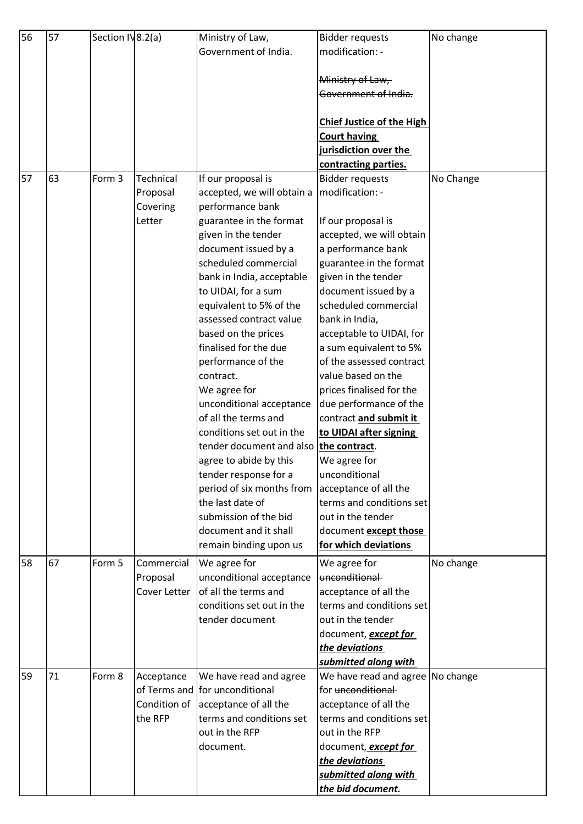| 56 | 57 | Section IV8.2(a) |              | Ministry of Law,                             | <b>Bidder requests</b>                             | No change |
|----|----|------------------|--------------|----------------------------------------------|----------------------------------------------------|-----------|
|    |    |                  |              | Government of India.                         | modification: -                                    |           |
|    |    |                  |              |                                              |                                                    |           |
|    |    |                  |              |                                              | Ministry of Law,                                   |           |
|    |    |                  |              |                                              | Government of India.                               |           |
|    |    |                  |              |                                              |                                                    |           |
|    |    |                  |              |                                              | <b>Chief Justice of the High</b>                   |           |
|    |    |                  |              |                                              | <b>Court having</b>                                |           |
|    |    |                  |              |                                              | jurisdiction over the                              |           |
|    |    |                  |              |                                              | contracting parties.                               |           |
| 57 | 63 | Form 3           | Technical    | If our proposal is                           | <b>Bidder requests</b>                             | No Change |
|    |    |                  | Proposal     | accepted, we will obtain a                   | modification: -                                    |           |
|    |    |                  | Covering     | performance bank                             |                                                    |           |
|    |    |                  | Letter       | guarantee in the format                      | If our proposal is                                 |           |
|    |    |                  |              | given in the tender                          | accepted, we will obtain                           |           |
|    |    |                  |              | document issued by a                         | a performance bank                                 |           |
|    |    |                  |              | scheduled commercial                         | guarantee in the format                            |           |
|    |    |                  |              | bank in India, acceptable                    | given in the tender                                |           |
|    |    |                  |              | to UIDAI, for a sum                          | document issued by a                               |           |
|    |    |                  |              | equivalent to 5% of the                      | scheduled commercial                               |           |
|    |    |                  |              | assessed contract value                      |                                                    |           |
|    |    |                  |              |                                              | bank in India,                                     |           |
|    |    |                  |              | based on the prices<br>finalised for the due | acceptable to UIDAI, for                           |           |
|    |    |                  |              |                                              | a sum equivalent to 5%<br>of the assessed contract |           |
|    |    |                  |              | performance of the                           |                                                    |           |
|    |    |                  |              | contract.                                    | value based on the                                 |           |
|    |    |                  |              | We agree for                                 | prices finalised for the                           |           |
|    |    |                  |              | unconditional acceptance                     | due performance of the                             |           |
|    |    |                  |              | of all the terms and                         | contract and submit it                             |           |
|    |    |                  |              | conditions set out in the                    | to UIDAI after signing                             |           |
|    |    |                  |              | tender document and also                     | the contract.                                      |           |
|    |    |                  |              | agree to abide by this                       | We agree for                                       |           |
|    |    |                  |              | tender response for a                        | unconditional                                      |           |
|    |    |                  |              | period of six months from                    | acceptance of all the                              |           |
|    |    |                  |              | the last date of                             | terms and conditions set                           |           |
|    |    |                  |              | submission of the bid                        | out in the tender                                  |           |
|    |    |                  |              | document and it shall                        | document except those                              |           |
|    |    |                  |              | remain binding upon us                       | for which deviations                               |           |
| 58 | 67 | Form 5           | Commercial   | We agree for                                 | We agree for                                       | No change |
|    |    |                  | Proposal     | unconditional acceptance                     | unconditional                                      |           |
|    |    |                  | Cover Letter | of all the terms and                         | acceptance of all the                              |           |
|    |    |                  |              | conditions set out in the                    | terms and conditions set                           |           |
|    |    |                  |              | tender document                              | out in the tender                                  |           |
|    |    |                  |              |                                              | document, <b>except for</b>                        |           |
|    |    |                  |              |                                              | the deviations                                     |           |
|    |    |                  |              |                                              | submitted along with                               |           |
| 59 | 71 | Form 8           | Acceptance   | We have read and agree                       | We have read and agree No change                   |           |
|    |    |                  |              | of Terms and for unconditional               | for unconditional                                  |           |
|    |    |                  | Condition of | acceptance of all the                        | acceptance of all the                              |           |
|    |    |                  | the RFP      | terms and conditions set                     | terms and conditions set                           |           |
|    |    |                  |              | out in the RFP                               | out in the RFP                                     |           |
|    |    |                  |              | document.                                    | document, except for                               |           |
|    |    |                  |              |                                              | the deviations                                     |           |
|    |    |                  |              |                                              | submitted along with                               |           |
|    |    |                  |              |                                              | the bid document.                                  |           |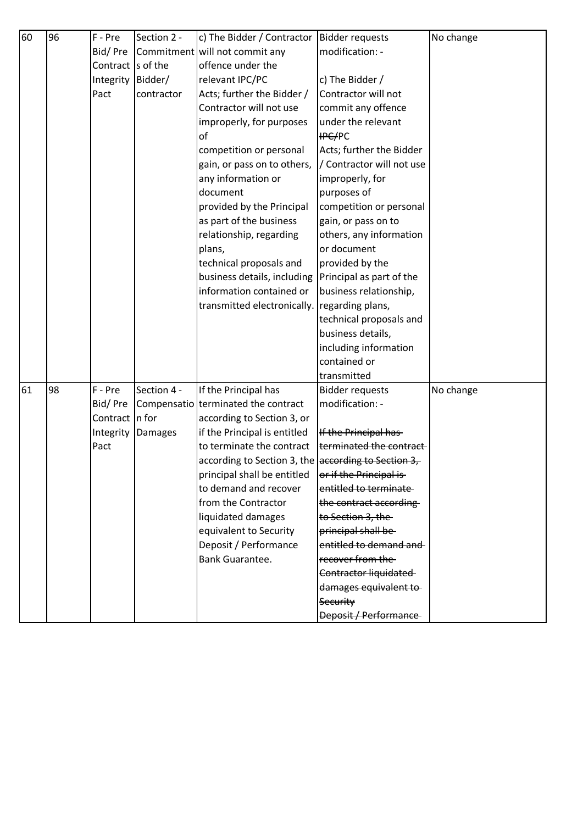| 60 | 96 | F - Pre   | Section 2 -    | c) The Bidder / Contractor                          | <b>Bidder requests</b>       | No change |
|----|----|-----------|----------------|-----------------------------------------------------|------------------------------|-----------|
|    |    | Bid/Pre   |                | Commitment will not commit any                      | modification: -              |           |
|    |    | Contract  | s of the       | offence under the                                   |                              |           |
|    |    | Integrity | Bidder/        | relevant IPC/PC                                     | c) The Bidder /              |           |
|    |    | Pact      | contractor     | Acts; further the Bidder /                          | Contractor will not          |           |
|    |    |           |                | Contractor will not use                             | commit any offence           |           |
|    |    |           |                | improperly, for purposes                            | under the relevant           |           |
|    |    |           |                | of                                                  | <b>IPC/PC</b>                |           |
|    |    |           |                | competition or personal                             | Acts; further the Bidder     |           |
|    |    |           |                | gain, or pass on to others,                         | / Contractor will not use    |           |
|    |    |           |                | any information or                                  | improperly, for              |           |
|    |    |           |                | document                                            | purposes of                  |           |
|    |    |           |                | provided by the Principal                           | competition or personal      |           |
|    |    |           |                | as part of the business                             | gain, or pass on to          |           |
|    |    |           |                | relationship, regarding                             | others, any information      |           |
|    |    |           |                | plans,                                              | or document                  |           |
|    |    |           |                | technical proposals and                             | provided by the              |           |
|    |    |           |                | business details, including                         | Principal as part of the     |           |
|    |    |           |                | information contained or                            | business relationship,       |           |
|    |    |           |                | transmitted electronically.                         | regarding plans,             |           |
|    |    |           |                |                                                     | technical proposals and      |           |
|    |    |           |                |                                                     | business details,            |           |
|    |    |           |                |                                                     | including information        |           |
|    |    |           |                |                                                     | contained or                 |           |
|    |    |           |                |                                                     | transmitted                  |           |
| 61 | 98 | F - Pre   | Section 4 -    | If the Principal has                                | <b>Bidder requests</b>       | No change |
|    |    | Bid/Pre   |                | Compensatio terminated the contract                 | modification: -              |           |
|    |    | Contract  | In for         | according to Section 3, or                          |                              |           |
|    |    | Integrity | <b>Damages</b> | if the Principal is entitled                        | If the Principal has-        |           |
|    |    | Pact      |                | to terminate the contract                           | terminated the contract      |           |
|    |    |           |                | according to Section 3, the according to Section 3, |                              |           |
|    |    |           |                | principal shall be entitled                         | or if the Principal is-      |           |
|    |    |           |                | to demand and recover                               | entitled to terminate        |           |
|    |    |           |                | from the Contractor                                 | the contract according       |           |
|    |    |           |                | liquidated damages                                  | to Section 3, the            |           |
|    |    |           |                | equivalent to Security                              | principal shall be-          |           |
|    |    |           |                | Deposit / Performance                               | entitled to demand and       |           |
|    |    |           |                | <b>Bank Guarantee.</b>                              | recover from the             |           |
|    |    |           |                |                                                     | Contractor liquidated        |           |
|    |    |           |                |                                                     | damages equivalent to        |           |
|    |    |           |                |                                                     | Security                     |           |
|    |    |           |                |                                                     | <b>Deposit / Performance</b> |           |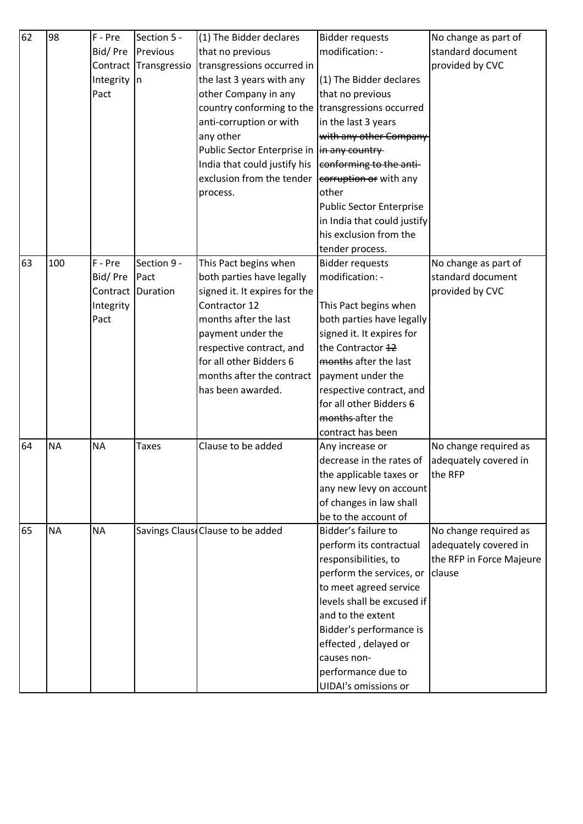| 62 | 98        | F - Pre   | Section 5 -  | (1) The Bidder declares                     | <b>Bidder requests</b>          | No change as part of     |
|----|-----------|-----------|--------------|---------------------------------------------|---------------------------------|--------------------------|
|    |           | Bid/Pre   | Previous     | that no previous                            | modification: -                 | standard document        |
|    |           | Contract  | Transgressio | transgressions occurred in                  |                                 | provided by CVC          |
|    |           | Integrity | $\ln$        | the last 3 years with any                   | (1) The Bidder declares         |                          |
|    |           | Pact      |              | other Company in any                        | that no previous                |                          |
|    |           |           |              | country conforming to the                   | transgressions occurred         |                          |
|    |           |           |              | anti-corruption or with                     | in the last 3 years             |                          |
|    |           |           |              | any other                                   | with any other Company          |                          |
|    |           |           |              | Public Sector Enterprise in  in any country |                                 |                          |
|    |           |           |              | India that could justify his                | conforming to the anti-         |                          |
|    |           |           |              | exclusion from the tender                   | corruption or with any          |                          |
|    |           |           |              | process.                                    | other                           |                          |
|    |           |           |              |                                             | <b>Public Sector Enterprise</b> |                          |
|    |           |           |              |                                             | in India that could justify     |                          |
|    |           |           |              |                                             | his exclusion from the          |                          |
|    |           |           |              |                                             | tender process.                 |                          |
| 63 | 100       | F - Pre   | Section 9 -  | This Pact begins when                       | <b>Bidder requests</b>          | No change as part of     |
|    |           | Bid/Pre   | Pact         | both parties have legally                   | modification: -                 | standard document        |
|    |           | Contract  | Duration     | signed it. It expires for the               |                                 | provided by CVC          |
|    |           | Integrity |              | Contractor 12                               | This Pact begins when           |                          |
|    |           | Pact      |              | months after the last                       | both parties have legally       |                          |
|    |           |           |              | payment under the                           | signed it. It expires for       |                          |
|    |           |           |              | respective contract, and                    | the Contractor 12               |                          |
|    |           |           |              | for all other Bidders 6                     | months after the last           |                          |
|    |           |           |              | months after the contract                   | payment under the               |                          |
|    |           |           |              | has been awarded.                           | respective contract, and        |                          |
|    |           |           |              |                                             | for all other Bidders 6         |                          |
|    |           |           |              |                                             | months-after the                |                          |
|    |           |           |              |                                             | contract has been               |                          |
| 64 | <b>NA</b> | <b>NA</b> | <b>Taxes</b> | Clause to be added                          | Any increase or                 | No change required as    |
|    |           |           |              |                                             | decrease in the rates of        | adequately covered in    |
|    |           |           |              |                                             | the applicable taxes or         | the RFP                  |
|    |           |           |              |                                             | any new levy on account         |                          |
|    |           |           |              |                                             | of changes in law shall         |                          |
|    |           |           |              |                                             | be to the account of            |                          |
| 65 | <b>NA</b> | <b>NA</b> |              | Savings Claus Clause to be added            | Bidder's failure to             | No change required as    |
|    |           |           |              |                                             | perform its contractual         | adequately covered in    |
|    |           |           |              |                                             | responsibilities, to            | the RFP in Force Majeure |
|    |           |           |              |                                             | perform the services, or        | clause                   |
|    |           |           |              |                                             | to meet agreed service          |                          |
|    |           |           |              |                                             | levels shall be excused if      |                          |
|    |           |           |              |                                             | and to the extent               |                          |
|    |           |           |              |                                             | Bidder's performance is         |                          |
|    |           |           |              |                                             | effected, delayed or            |                          |
|    |           |           |              |                                             | causes non-                     |                          |
|    |           |           |              |                                             | performance due to              |                          |
|    |           |           |              |                                             | <b>UIDAI's omissions or</b>     |                          |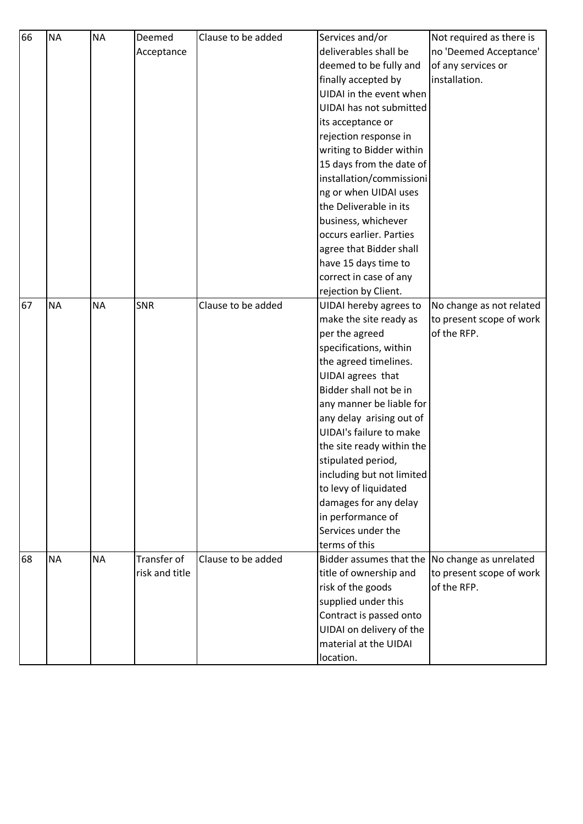| 66 | <b>NA</b> | <b>NA</b> | Deemed         | Clause to be added | Services and/or                                | Not required as there is |
|----|-----------|-----------|----------------|--------------------|------------------------------------------------|--------------------------|
|    |           |           | Acceptance     |                    | deliverables shall be                          | no 'Deemed Acceptance'   |
|    |           |           |                |                    | deemed to be fully and                         | of any services or       |
|    |           |           |                |                    | finally accepted by                            | installation.            |
|    |           |           |                |                    | UIDAI in the event when                        |                          |
|    |           |           |                |                    | UIDAI has not submitted                        |                          |
|    |           |           |                |                    | its acceptance or                              |                          |
|    |           |           |                |                    | rejection response in                          |                          |
|    |           |           |                |                    | writing to Bidder within                       |                          |
|    |           |           |                |                    | 15 days from the date of                       |                          |
|    |           |           |                |                    | installation/commissioni                       |                          |
|    |           |           |                |                    | ng or when UIDAI uses                          |                          |
|    |           |           |                |                    | the Deliverable in its                         |                          |
|    |           |           |                |                    | business, whichever                            |                          |
|    |           |           |                |                    | occurs earlier. Parties                        |                          |
|    |           |           |                |                    | agree that Bidder shall                        |                          |
|    |           |           |                |                    | have 15 days time to                           |                          |
|    |           |           |                |                    | correct in case of any                         |                          |
|    |           |           |                |                    | rejection by Client.                           |                          |
| 67 | <b>NA</b> | <b>NA</b> | <b>SNR</b>     | Clause to be added | UIDAI hereby agrees to                         | No change as not related |
|    |           |           |                |                    | make the site ready as                         | to present scope of work |
|    |           |           |                |                    | per the agreed                                 | of the RFP.              |
|    |           |           |                |                    | specifications, within                         |                          |
|    |           |           |                |                    | the agreed timelines.                          |                          |
|    |           |           |                |                    | UIDAI agrees that                              |                          |
|    |           |           |                |                    | Bidder shall not be in                         |                          |
|    |           |           |                |                    | any manner be liable for                       |                          |
|    |           |           |                |                    | any delay arising out of                       |                          |
|    |           |           |                |                    | UIDAI's failure to make                        |                          |
|    |           |           |                |                    | the site ready within the                      |                          |
|    |           |           |                |                    | stipulated period,                             |                          |
|    |           |           |                |                    | including but not limited                      |                          |
|    |           |           |                |                    | to levy of liquidated                          |                          |
|    |           |           |                |                    | damages for any delay                          |                          |
|    |           |           |                |                    | in performance of                              |                          |
|    |           |           |                |                    | Services under the                             |                          |
|    |           |           |                |                    | terms of this                                  |                          |
| 68 | <b>NA</b> | <b>NA</b> | Transfer of    | Clause to be added | Bidder assumes that the No change as unrelated |                          |
|    |           |           | risk and title |                    | title of ownership and                         | to present scope of work |
|    |           |           |                |                    | risk of the goods                              | of the RFP.              |
|    |           |           |                |                    | supplied under this                            |                          |
|    |           |           |                |                    | Contract is passed onto                        |                          |
|    |           |           |                |                    | UIDAI on delivery of the                       |                          |
|    |           |           |                |                    | material at the UIDAI                          |                          |
|    |           |           |                |                    | location.                                      |                          |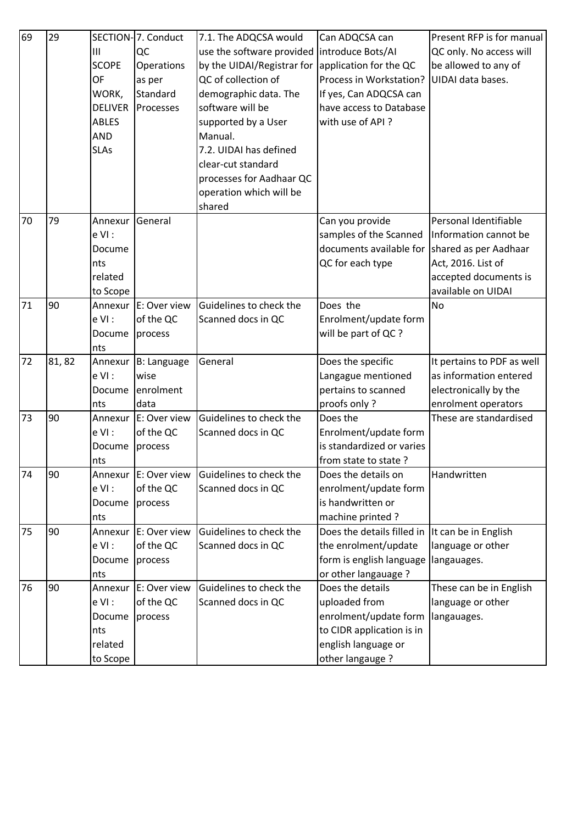| 69                               | 29                                  |                                                                                                                                                                                                                                                  | SECTION-7. Conduct                                                                                                                                                                                                                                       | 7.1. The ADQCSA would                                                                                                                                                                                                                                        | Can ADQCSA can                                                                                                                                                                                                                                                                                                                                                                                                                                                                                                                                             | Present RFP is for manual                                                                                                                                                                                                                                                             |
|----------------------------------|-------------------------------------|--------------------------------------------------------------------------------------------------------------------------------------------------------------------------------------------------------------------------------------------------|----------------------------------------------------------------------------------------------------------------------------------------------------------------------------------------------------------------------------------------------------------|--------------------------------------------------------------------------------------------------------------------------------------------------------------------------------------------------------------------------------------------------------------|------------------------------------------------------------------------------------------------------------------------------------------------------------------------------------------------------------------------------------------------------------------------------------------------------------------------------------------------------------------------------------------------------------------------------------------------------------------------------------------------------------------------------------------------------------|---------------------------------------------------------------------------------------------------------------------------------------------------------------------------------------------------------------------------------------------------------------------------------------|
|                                  |                                     | $\mathbf{III}$                                                                                                                                                                                                                                   | QC                                                                                                                                                                                                                                                       | use the software provided                                                                                                                                                                                                                                    | introduce Bots/AI                                                                                                                                                                                                                                                                                                                                                                                                                                                                                                                                          | QC only. No access will                                                                                                                                                                                                                                                               |
|                                  |                                     | <b>SCOPE</b>                                                                                                                                                                                                                                     | Operations                                                                                                                                                                                                                                               | by the UIDAI/Registrar for                                                                                                                                                                                                                                   | application for the QC                                                                                                                                                                                                                                                                                                                                                                                                                                                                                                                                     | be allowed to any of                                                                                                                                                                                                                                                                  |
|                                  |                                     | OF                                                                                                                                                                                                                                               | as per                                                                                                                                                                                                                                                   | QC of collection of                                                                                                                                                                                                                                          | Process in Workstation?                                                                                                                                                                                                                                                                                                                                                                                                                                                                                                                                    | UIDAI data bases.                                                                                                                                                                                                                                                                     |
|                                  |                                     | WORK,                                                                                                                                                                                                                                            | Standard                                                                                                                                                                                                                                                 | demographic data. The                                                                                                                                                                                                                                        | If yes, Can ADQCSA can                                                                                                                                                                                                                                                                                                                                                                                                                                                                                                                                     |                                                                                                                                                                                                                                                                                       |
|                                  |                                     | <b>DELIVER</b>                                                                                                                                                                                                                                   | Processes                                                                                                                                                                                                                                                | software will be                                                                                                                                                                                                                                             | have access to Database                                                                                                                                                                                                                                                                                                                                                                                                                                                                                                                                    |                                                                                                                                                                                                                                                                                       |
|                                  |                                     | <b>ABLES</b>                                                                                                                                                                                                                                     |                                                                                                                                                                                                                                                          | supported by a User                                                                                                                                                                                                                                          | with use of API?                                                                                                                                                                                                                                                                                                                                                                                                                                                                                                                                           |                                                                                                                                                                                                                                                                                       |
|                                  |                                     | <b>AND</b>                                                                                                                                                                                                                                       |                                                                                                                                                                                                                                                          | Manual.                                                                                                                                                                                                                                                      |                                                                                                                                                                                                                                                                                                                                                                                                                                                                                                                                                            |                                                                                                                                                                                                                                                                                       |
|                                  |                                     | <b>SLAs</b>                                                                                                                                                                                                                                      |                                                                                                                                                                                                                                                          | 7.2. UIDAI has defined                                                                                                                                                                                                                                       |                                                                                                                                                                                                                                                                                                                                                                                                                                                                                                                                                            |                                                                                                                                                                                                                                                                                       |
|                                  |                                     |                                                                                                                                                                                                                                                  |                                                                                                                                                                                                                                                          | clear-cut standard                                                                                                                                                                                                                                           |                                                                                                                                                                                                                                                                                                                                                                                                                                                                                                                                                            |                                                                                                                                                                                                                                                                                       |
|                                  |                                     |                                                                                                                                                                                                                                                  |                                                                                                                                                                                                                                                          | processes for Aadhaar QC                                                                                                                                                                                                                                     |                                                                                                                                                                                                                                                                                                                                                                                                                                                                                                                                                            |                                                                                                                                                                                                                                                                                       |
|                                  |                                     |                                                                                                                                                                                                                                                  |                                                                                                                                                                                                                                                          | operation which will be                                                                                                                                                                                                                                      |                                                                                                                                                                                                                                                                                                                                                                                                                                                                                                                                                            |                                                                                                                                                                                                                                                                                       |
|                                  |                                     |                                                                                                                                                                                                                                                  |                                                                                                                                                                                                                                                          | shared                                                                                                                                                                                                                                                       |                                                                                                                                                                                                                                                                                                                                                                                                                                                                                                                                                            |                                                                                                                                                                                                                                                                                       |
| 70                               | 79                                  | Annexur                                                                                                                                                                                                                                          | General                                                                                                                                                                                                                                                  |                                                                                                                                                                                                                                                              | Can you provide                                                                                                                                                                                                                                                                                                                                                                                                                                                                                                                                            | Personal Identifiable                                                                                                                                                                                                                                                                 |
|                                  |                                     | $e$ VI:                                                                                                                                                                                                                                          |                                                                                                                                                                                                                                                          |                                                                                                                                                                                                                                                              | samples of the Scanned                                                                                                                                                                                                                                                                                                                                                                                                                                                                                                                                     | Information cannot be                                                                                                                                                                                                                                                                 |
|                                  |                                     | Docume                                                                                                                                                                                                                                           |                                                                                                                                                                                                                                                          |                                                                                                                                                                                                                                                              | documents available for                                                                                                                                                                                                                                                                                                                                                                                                                                                                                                                                    | shared as per Aadhaar                                                                                                                                                                                                                                                                 |
|                                  |                                     | nts                                                                                                                                                                                                                                              |                                                                                                                                                                                                                                                          |                                                                                                                                                                                                                                                              | QC for each type                                                                                                                                                                                                                                                                                                                                                                                                                                                                                                                                           | Act, 2016. List of                                                                                                                                                                                                                                                                    |
|                                  |                                     | related                                                                                                                                                                                                                                          |                                                                                                                                                                                                                                                          |                                                                                                                                                                                                                                                              |                                                                                                                                                                                                                                                                                                                                                                                                                                                                                                                                                            | accepted documents is                                                                                                                                                                                                                                                                 |
|                                  |                                     | to Scope                                                                                                                                                                                                                                         |                                                                                                                                                                                                                                                          |                                                                                                                                                                                                                                                              |                                                                                                                                                                                                                                                                                                                                                                                                                                                                                                                                                            | available on UIDAI                                                                                                                                                                                                                                                                    |
|                                  |                                     |                                                                                                                                                                                                                                                  |                                                                                                                                                                                                                                                          |                                                                                                                                                                                                                                                              |                                                                                                                                                                                                                                                                                                                                                                                                                                                                                                                                                            |                                                                                                                                                                                                                                                                                       |
|                                  |                                     |                                                                                                                                                                                                                                                  |                                                                                                                                                                                                                                                          |                                                                                                                                                                                                                                                              |                                                                                                                                                                                                                                                                                                                                                                                                                                                                                                                                                            |                                                                                                                                                                                                                                                                                       |
|                                  |                                     |                                                                                                                                                                                                                                                  |                                                                                                                                                                                                                                                          |                                                                                                                                                                                                                                                              |                                                                                                                                                                                                                                                                                                                                                                                                                                                                                                                                                            |                                                                                                                                                                                                                                                                                       |
|                                  |                                     |                                                                                                                                                                                                                                                  |                                                                                                                                                                                                                                                          |                                                                                                                                                                                                                                                              |                                                                                                                                                                                                                                                                                                                                                                                                                                                                                                                                                            |                                                                                                                                                                                                                                                                                       |
|                                  |                                     |                                                                                                                                                                                                                                                  |                                                                                                                                                                                                                                                          |                                                                                                                                                                                                                                                              |                                                                                                                                                                                                                                                                                                                                                                                                                                                                                                                                                            |                                                                                                                                                                                                                                                                                       |
|                                  |                                     |                                                                                                                                                                                                                                                  |                                                                                                                                                                                                                                                          |                                                                                                                                                                                                                                                              |                                                                                                                                                                                                                                                                                                                                                                                                                                                                                                                                                            |                                                                                                                                                                                                                                                                                       |
|                                  |                                     |                                                                                                                                                                                                                                                  |                                                                                                                                                                                                                                                          |                                                                                                                                                                                                                                                              |                                                                                                                                                                                                                                                                                                                                                                                                                                                                                                                                                            |                                                                                                                                                                                                                                                                                       |
|                                  |                                     |                                                                                                                                                                                                                                                  |                                                                                                                                                                                                                                                          |                                                                                                                                                                                                                                                              |                                                                                                                                                                                                                                                                                                                                                                                                                                                                                                                                                            |                                                                                                                                                                                                                                                                                       |
|                                  |                                     |                                                                                                                                                                                                                                                  |                                                                                                                                                                                                                                                          |                                                                                                                                                                                                                                                              |                                                                                                                                                                                                                                                                                                                                                                                                                                                                                                                                                            |                                                                                                                                                                                                                                                                                       |
|                                  |                                     |                                                                                                                                                                                                                                                  |                                                                                                                                                                                                                                                          |                                                                                                                                                                                                                                                              |                                                                                                                                                                                                                                                                                                                                                                                                                                                                                                                                                            |                                                                                                                                                                                                                                                                                       |
|                                  |                                     |                                                                                                                                                                                                                                                  |                                                                                                                                                                                                                                                          |                                                                                                                                                                                                                                                              |                                                                                                                                                                                                                                                                                                                                                                                                                                                                                                                                                            |                                                                                                                                                                                                                                                                                       |
|                                  |                                     |                                                                                                                                                                                                                                                  |                                                                                                                                                                                                                                                          |                                                                                                                                                                                                                                                              |                                                                                                                                                                                                                                                                                                                                                                                                                                                                                                                                                            |                                                                                                                                                                                                                                                                                       |
|                                  |                                     |                                                                                                                                                                                                                                                  |                                                                                                                                                                                                                                                          |                                                                                                                                                                                                                                                              |                                                                                                                                                                                                                                                                                                                                                                                                                                                                                                                                                            |                                                                                                                                                                                                                                                                                       |
|                                  |                                     |                                                                                                                                                                                                                                                  |                                                                                                                                                                                                                                                          |                                                                                                                                                                                                                                                              |                                                                                                                                                                                                                                                                                                                                                                                                                                                                                                                                                            |                                                                                                                                                                                                                                                                                       |
|                                  |                                     |                                                                                                                                                                                                                                                  |                                                                                                                                                                                                                                                          |                                                                                                                                                                                                                                                              |                                                                                                                                                                                                                                                                                                                                                                                                                                                                                                                                                            |                                                                                                                                                                                                                                                                                       |
|                                  |                                     |                                                                                                                                                                                                                                                  |                                                                                                                                                                                                                                                          |                                                                                                                                                                                                                                                              |                                                                                                                                                                                                                                                                                                                                                                                                                                                                                                                                                            |                                                                                                                                                                                                                                                                                       |
|                                  |                                     |                                                                                                                                                                                                                                                  |                                                                                                                                                                                                                                                          |                                                                                                                                                                                                                                                              |                                                                                                                                                                                                                                                                                                                                                                                                                                                                                                                                                            |                                                                                                                                                                                                                                                                                       |
|                                  |                                     |                                                                                                                                                                                                                                                  |                                                                                                                                                                                                                                                          |                                                                                                                                                                                                                                                              |                                                                                                                                                                                                                                                                                                                                                                                                                                                                                                                                                            |                                                                                                                                                                                                                                                                                       |
|                                  |                                     |                                                                                                                                                                                                                                                  |                                                                                                                                                                                                                                                          |                                                                                                                                                                                                                                                              |                                                                                                                                                                                                                                                                                                                                                                                                                                                                                                                                                            |                                                                                                                                                                                                                                                                                       |
|                                  |                                     |                                                                                                                                                                                                                                                  |                                                                                                                                                                                                                                                          |                                                                                                                                                                                                                                                              |                                                                                                                                                                                                                                                                                                                                                                                                                                                                                                                                                            |                                                                                                                                                                                                                                                                                       |
|                                  |                                     |                                                                                                                                                                                                                                                  |                                                                                                                                                                                                                                                          |                                                                                                                                                                                                                                                              |                                                                                                                                                                                                                                                                                                                                                                                                                                                                                                                                                            |                                                                                                                                                                                                                                                                                       |
|                                  |                                     |                                                                                                                                                                                                                                                  |                                                                                                                                                                                                                                                          |                                                                                                                                                                                                                                                              |                                                                                                                                                                                                                                                                                                                                                                                                                                                                                                                                                            |                                                                                                                                                                                                                                                                                       |
|                                  |                                     |                                                                                                                                                                                                                                                  |                                                                                                                                                                                                                                                          |                                                                                                                                                                                                                                                              |                                                                                                                                                                                                                                                                                                                                                                                                                                                                                                                                                            |                                                                                                                                                                                                                                                                                       |
|                                  |                                     |                                                                                                                                                                                                                                                  |                                                                                                                                                                                                                                                          |                                                                                                                                                                                                                                                              |                                                                                                                                                                                                                                                                                                                                                                                                                                                                                                                                                            |                                                                                                                                                                                                                                                                                       |
|                                  |                                     | to Scope                                                                                                                                                                                                                                         |                                                                                                                                                                                                                                                          |                                                                                                                                                                                                                                                              | other langauge?                                                                                                                                                                                                                                                                                                                                                                                                                                                                                                                                            |                                                                                                                                                                                                                                                                                       |
| 71<br>72<br>73<br>74<br>75<br>76 | 90<br>81,82<br>90<br>90<br>90<br>90 | Annexur<br>$e$ VI:<br>Docume<br>nts<br>Annexur<br>$e$ VI:<br>Docume<br>nts<br>Annexur<br>e VI :<br>Docume<br>nts<br>Annexur<br>$e$ VI:<br>Docume<br>nts<br>Annexur<br>$e$ VI:<br>Docume<br>nts<br>Annexur<br>$e$ VI:<br>Docume<br>nts<br>related | E: Over view<br>of the QC<br>process<br><b>B</b> : Language<br>wise<br>enrolment<br>data<br>E: Over view<br>of the QC<br>process<br>E: Over view<br>of the QC<br>process<br>E: Over view<br>of the QC<br>process<br>E: Over view<br>of the QC<br>process | Guidelines to check the<br>Scanned docs in QC<br>General<br>Guidelines to check the<br>Scanned docs in QC<br>Guidelines to check the<br>Scanned docs in QC<br>Guidelines to check the<br>Scanned docs in QC<br>Guidelines to check the<br>Scanned docs in QC | Does the<br>Enrolment/update form<br>will be part of QC ?<br>Does the specific<br>Langague mentioned<br>pertains to scanned<br>proofs only?<br>Does the<br>Enrolment/update form<br>is standardized or varies<br>from state to state ?<br>Does the details on<br>enrolment/update form<br>is handwritten or<br>machine printed?<br>Does the details filled in<br>the enrolment/update<br>form is english language<br>or other langauage?<br>Does the details<br>uploaded from<br>enrolment/update form<br>to CIDR application is in<br>english language or | <b>No</b><br>It pertains to PDF as well<br>as information entered<br>electronically by the<br>enrolment operators<br>These are standardised<br>Handwritten<br>It can be in English<br>language or other<br>langauages.<br>These can be in English<br>language or other<br>langauages. |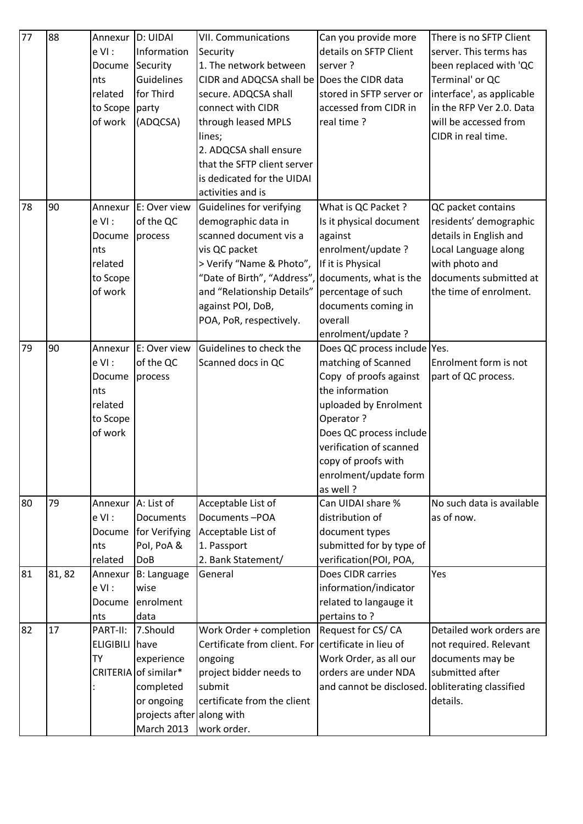| 77 | 88    | Annexur                      | D: UIDAI                           | <b>VII. Communications</b>                                                     | Can you provide more                             | There is no SFTP Client             |
|----|-------|------------------------------|------------------------------------|--------------------------------------------------------------------------------|--------------------------------------------------|-------------------------------------|
|    |       | $eVI$ :                      | Information                        | Security                                                                       | details on SFTP Client                           | server. This terms has              |
|    |       | Docume                       | Security                           | 1. The network between                                                         | server?                                          | been replaced with 'QC              |
|    |       | nts                          | <b>Guidelines</b>                  | CIDR and ADQCSA shall be Does the CIDR data                                    |                                                  | Terminal' or QC                     |
|    |       | related                      | for Third                          | secure. ADQCSA shall                                                           | stored in SFTP server or                         | interface', as applicable           |
|    |       | to Scope                     | party                              | connect with CIDR                                                              | accessed from CIDR in                            | in the RFP Ver 2.0. Data            |
|    |       | of work                      | (ADQCSA)                           | through leased MPLS                                                            | real time?                                       | will be accessed from               |
|    |       |                              |                                    | lines;                                                                         |                                                  | CIDR in real time.                  |
|    |       |                              |                                    | 2. ADQCSA shall ensure                                                         |                                                  |                                     |
|    |       |                              |                                    | that the SFTP client server                                                    |                                                  |                                     |
|    |       |                              |                                    | is dedicated for the UIDAI                                                     |                                                  |                                     |
|    |       |                              |                                    | activities and is                                                              |                                                  |                                     |
| 78 | 90    | Annexur                      | E: Over view                       | Guidelines for verifying                                                       | What is QC Packet ?                              | QC packet contains                  |
|    |       | $eVI$ :                      | of the QC                          | demographic data in                                                            | Is it physical document                          | residents' demographic              |
|    |       | Docume                       | process                            | scanned document vis a                                                         | against                                          | details in English and              |
|    |       | nts                          |                                    | vis QC packet                                                                  | enrolment/update?                                | Local Language along                |
|    |       | related                      |                                    | > Verify "Name & Photo",                                                       | If it is Physical                                | with photo and                      |
|    |       | to Scope                     |                                    | "Date of Birth", "Address",                                                    | documents, what is the                           | documents submitted at              |
|    |       | of work                      |                                    | and "Relationship Details"                                                     | percentage of such                               | the time of enrolment.              |
|    |       |                              |                                    | against POI, DoB,                                                              | documents coming in                              |                                     |
|    |       |                              |                                    | POA, PoR, respectively.                                                        | overall                                          |                                     |
|    |       |                              |                                    |                                                                                | enrolment/update?                                |                                     |
| 79 | 90    | Annexur                      | E: Over view                       | Guidelines to check the                                                        | Does QC process include Yes.                     |                                     |
|    |       | $eVI$ :                      | of the QC                          | Scanned docs in QC                                                             | matching of Scanned                              | Enrolment form is not               |
|    |       | Docume                       | process                            |                                                                                | Copy of proofs against                           | part of QC process.                 |
|    |       | nts                          |                                    |                                                                                | the information                                  |                                     |
|    |       | related                      |                                    |                                                                                | uploaded by Enrolment                            |                                     |
|    |       | to Scope                     |                                    |                                                                                | Operator?                                        |                                     |
|    |       | of work                      |                                    |                                                                                | Does QC process include                          |                                     |
|    |       |                              |                                    |                                                                                | verification of scanned                          |                                     |
|    |       |                              |                                    |                                                                                | copy of proofs with                              |                                     |
|    |       |                              |                                    |                                                                                | enrolment/update form                            |                                     |
|    |       |                              |                                    |                                                                                | as well?                                         |                                     |
| 80 | 79    | Annexur                      | A: List of                         | Acceptable List of                                                             | Can UIDAI share %                                | No such data is available           |
|    |       | $e$ VI :                     | <b>Documents</b>                   | Documents-POA                                                                  | distribution of                                  | as of now.                          |
|    |       | Docume                       | for Verifying                      | Acceptable List of                                                             | document types                                   |                                     |
|    |       | nts                          | Pol, PoA &                         | 1. Passport                                                                    | submitted for by type of                         |                                     |
|    |       | related                      | <b>DoB</b>                         | 2. Bank Statement/<br>General                                                  | verification(POI, POA,                           | Yes                                 |
| 81 | 81,82 | Annexur                      | <b>B: Language</b>                 |                                                                                | Does CIDR carries                                |                                     |
|    |       | $eVI$ :                      | wise                               |                                                                                | information/indicator                            |                                     |
|    |       | Docume                       | enrolment                          |                                                                                | related to langauge it                           |                                     |
| 82 | 17    | nts                          | data                               |                                                                                | pertains to?                                     | Detailed work orders are            |
|    |       | PART-II:<br><b>ELIGIBILI</b> | 7.Should<br>have                   | Work Order + completion<br>Certificate from client. For certificate in lieu of | Request for CS/CA                                | not required. Relevant              |
|    |       |                              |                                    |                                                                                |                                                  |                                     |
|    |       | TY                           | experience<br>CRITERIA of similar* | ongoing<br>project bidder needs to                                             | Work Order, as all our<br>orders are under NDA   | documents may be<br>submitted after |
|    |       |                              |                                    | submit                                                                         | and cannot be disclosed. obliterating classified |                                     |
|    |       |                              | completed<br>or ongoing            | certificate from the client                                                    |                                                  | details.                            |
|    |       |                              | projects after along with          |                                                                                |                                                  |                                     |
|    |       |                              | <b>March 2013</b>                  | work order.                                                                    |                                                  |                                     |
|    |       |                              |                                    |                                                                                |                                                  |                                     |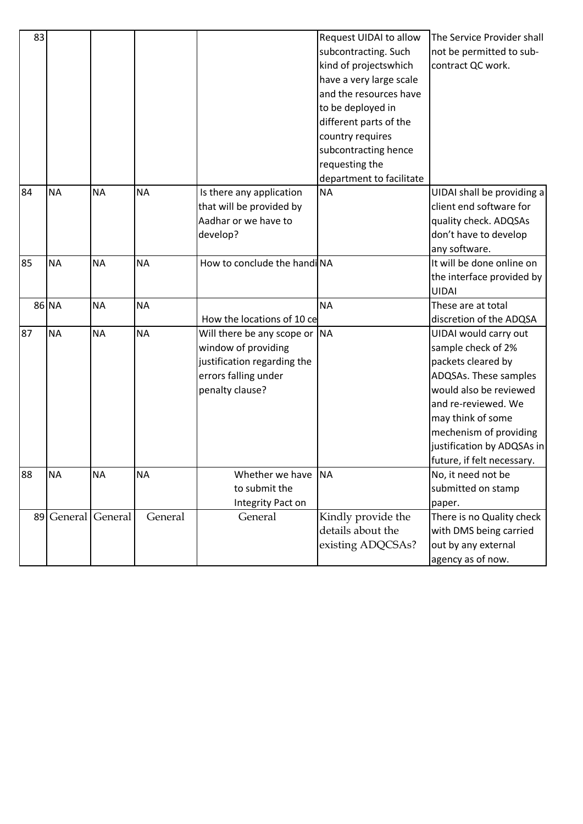| 83 |            |           |           |                                                                                                                                | Request UIDAI to allow<br>subcontracting. Such<br>kind of projectswhich<br>have a very large scale<br>and the resources have<br>to be deployed in<br>different parts of the<br>country requires<br>subcontracting hence<br>requesting the<br>department to facilitate | The Service Provider shall<br>not be permitted to sub-<br>contract QC work.                                                                                                                                                                            |
|----|------------|-----------|-----------|--------------------------------------------------------------------------------------------------------------------------------|-----------------------------------------------------------------------------------------------------------------------------------------------------------------------------------------------------------------------------------------------------------------------|--------------------------------------------------------------------------------------------------------------------------------------------------------------------------------------------------------------------------------------------------------|
| 84 | <b>NA</b>  | <b>NA</b> | <b>NA</b> | Is there any application<br>that will be provided by<br>Aadhar or we have to<br>develop?                                       | <b>NA</b>                                                                                                                                                                                                                                                             | UIDAI shall be providing a<br>client end software for<br>quality check. ADQSAs<br>don't have to develop<br>any software.                                                                                                                               |
| 85 | <b>NA</b>  | <b>NA</b> | <b>NA</b> | How to conclude the handiNA                                                                                                    |                                                                                                                                                                                                                                                                       | It will be done online on<br>the interface provided by<br><b>UIDAI</b>                                                                                                                                                                                 |
|    | 86 NA      | <b>NA</b> | <b>NA</b> | How the locations of 10 ce                                                                                                     | <b>NA</b>                                                                                                                                                                                                                                                             | These are at total<br>discretion of the ADQSA                                                                                                                                                                                                          |
| 87 | <b>NA</b>  | <b>NA</b> | <b>NA</b> | Will there be any scope or NA<br>window of providing<br>justification regarding the<br>errors falling under<br>penalty clause? |                                                                                                                                                                                                                                                                       | UIDAI would carry out<br>sample check of 2%<br>packets cleared by<br>ADQSAs. These samples<br>would also be reviewed<br>and re-reviewed. We<br>may think of some<br>mechenism of providing<br>justification by ADQSAs in<br>future, if felt necessary. |
| 88 | <b>NA</b>  | <b>NA</b> | <b>NA</b> | Whether we have NA<br>to submit the<br>Integrity Pact on                                                                       |                                                                                                                                                                                                                                                                       | No, it need not be<br>submitted on stamp<br>paper.                                                                                                                                                                                                     |
|    | 89 General | General   | General   | General                                                                                                                        | Kindly provide the<br>details about the<br>existing ADQCSAs?                                                                                                                                                                                                          | There is no Quality check<br>with DMS being carried<br>out by any external<br>agency as of now.                                                                                                                                                        |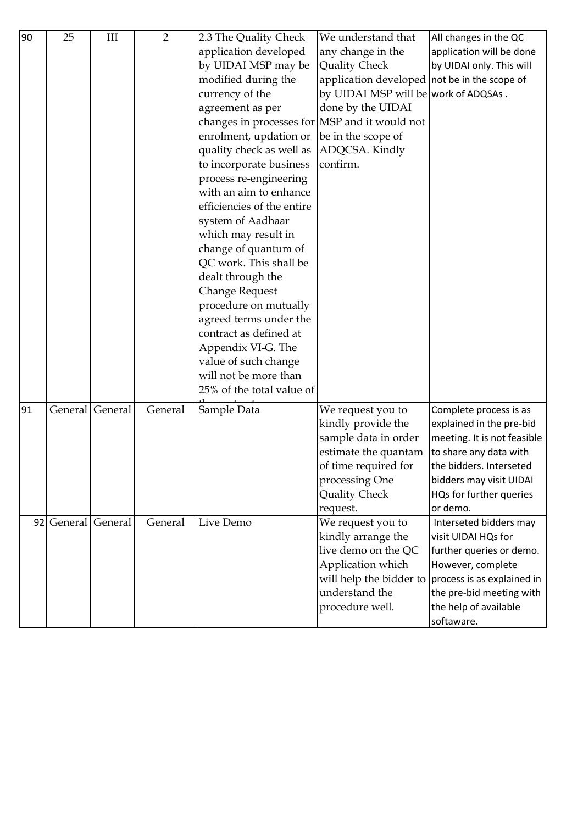| 90 | 25         | III     | $\overline{2}$ | 2.3 The Quality Check                         | We understand that                           | All changes in the QC                              |
|----|------------|---------|----------------|-----------------------------------------------|----------------------------------------------|----------------------------------------------------|
|    |            |         |                | application developed                         | any change in the                            | application will be done                           |
|    |            |         |                | by UIDAI MSP may be                           | <b>Quality Check</b>                         | by UIDAI only. This will                           |
|    |            |         |                | modified during the                           | application developed not be in the scope of |                                                    |
|    |            |         |                | currency of the                               | by UIDAI MSP will be work of ADQSAs.         |                                                    |
|    |            |         |                | agreement as per                              | done by the UIDAI                            |                                                    |
|    |            |         |                | changes in processes for MSP and it would not |                                              |                                                    |
|    |            |         |                | enrolment, updation or                        | be in the scope of                           |                                                    |
|    |            |         |                | quality check as well as                      | ADQCSA. Kindly                               |                                                    |
|    |            |         |                | to incorporate business                       | confirm.                                     |                                                    |
|    |            |         |                | process re-engineering                        |                                              |                                                    |
|    |            |         |                | with an aim to enhance                        |                                              |                                                    |
|    |            |         |                | efficiencies of the entire                    |                                              |                                                    |
|    |            |         |                | system of Aadhaar                             |                                              |                                                    |
|    |            |         |                | which may result in                           |                                              |                                                    |
|    |            |         |                | change of quantum of                          |                                              |                                                    |
|    |            |         |                | QC work. This shall be                        |                                              |                                                    |
|    |            |         |                | dealt through the                             |                                              |                                                    |
|    |            |         |                | <b>Change Request</b>                         |                                              |                                                    |
|    |            |         |                | procedure on mutually                         |                                              |                                                    |
|    |            |         |                | agreed terms under the                        |                                              |                                                    |
|    |            |         |                | contract as defined at                        |                                              |                                                    |
|    |            |         |                | Appendix VI-G. The                            |                                              |                                                    |
|    |            |         |                | value of such change                          |                                              |                                                    |
|    |            |         |                | will not be more than                         |                                              |                                                    |
|    |            |         |                | 25% of the total value of                     |                                              |                                                    |
| 91 | General    | General | General        | Sample Data                                   | We request you to                            | Complete process is as                             |
|    |            |         |                |                                               | kindly provide the                           | explained in the pre-bid                           |
|    |            |         |                |                                               | sample data in order                         | meeting. It is not feasible                        |
|    |            |         |                |                                               | estimate the quantam                         | to share any data with                             |
|    |            |         |                |                                               | of time required for                         | the bidders. Interseted                            |
|    |            |         |                |                                               | processing One                               | bidders may visit UIDAI                            |
|    |            |         |                |                                               | Quality Check                                | HQs for further queries                            |
|    |            |         |                |                                               | request.                                     | or demo.                                           |
|    | 92 General | General | General        | Live Demo                                     | We request you to                            | Interseted bidders may                             |
|    |            |         |                |                                               | kindly arrange the                           | visit UIDAI HQs for                                |
|    |            |         |                |                                               | live demo on the QC                          | further queries or demo.                           |
|    |            |         |                |                                               | Application which                            | However, complete                                  |
|    |            |         |                |                                               |                                              | will help the bidder to process is as explained in |
|    |            |         |                |                                               | understand the                               | the pre-bid meeting with                           |
|    |            |         |                |                                               | procedure well.                              | the help of available                              |
|    |            |         |                |                                               |                                              | softaware.                                         |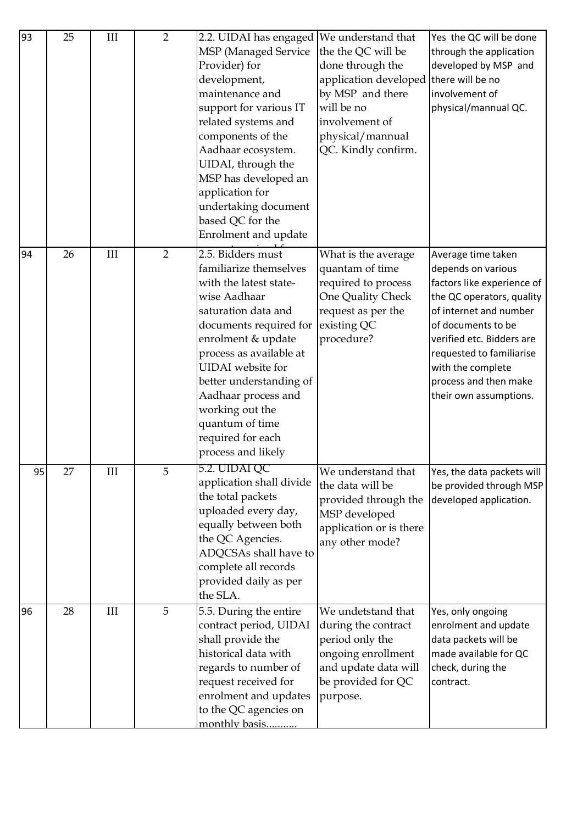| 93 | 25 | III       | $\overline{2}$ | 2.2. UIDAI has engaged   We understand that<br>MSP (Managed Service<br>Provider) for<br>development,<br>maintenance and<br>support for various IT<br>related systems and<br>components of the<br>Aadhaar ecosystem.<br>UIDAI, through the<br>MSP has developed an<br>application for<br>undertaking document<br>based QC for the<br>Enrolment and update | the the QC will be<br>done through the<br>application developed<br>by MSP and there<br>will be no<br>involvement of<br>physical/mannual<br>QC. Kindly confirm. | Yes the QC will be done<br>through the application<br>developed by MSP and<br>there will be no<br>involvement of<br>physical/mannual QC.                                                                                                                                             |
|----|----|-----------|----------------|----------------------------------------------------------------------------------------------------------------------------------------------------------------------------------------------------------------------------------------------------------------------------------------------------------------------------------------------------------|----------------------------------------------------------------------------------------------------------------------------------------------------------------|--------------------------------------------------------------------------------------------------------------------------------------------------------------------------------------------------------------------------------------------------------------------------------------|
| 94 | 26 | III       | $\overline{2}$ | 2.5. Bidders must<br>familiarize themselves<br>with the latest state-<br>wise Aadhaar<br>saturation data and<br>documents required for<br>enrolment & update<br>process as available at<br><b>UIDAI</b> website for<br>better understanding of<br>Aadhaar process and<br>working out the<br>quantum of time<br>required for each<br>process and likely   | What is the average<br>quantam of time<br>required to process<br>One Quality Check<br>request as per the<br>existing QC<br>procedure?                          | Average time taken<br>depends on various<br>factors like experience of<br>the QC operators, quality<br>of internet and number<br>of documents to be<br>verified etc. Bidders are<br>requested to familiarise<br>with the complete<br>process and then make<br>their own assumptions. |
| 95 | 27 | $\rm III$ | G              | 5.2. UIDAI QC<br>application shall divide<br>the total packets<br>uploaded every day,<br>equally between both<br>the QC Agencies.<br>ADQCSAs shall have to<br>complete all records<br>provided daily as per<br>the SLA.                                                                                                                                  | We understand that<br>the data will be<br>provided through the<br>MSP developed<br>application or is there<br>any other mode?                                  | Yes, the data packets will<br>be provided through MSP<br>developed application.                                                                                                                                                                                                      |
| 96 | 28 | III       | 5              | 5.5. During the entire<br>contract period, UIDAI<br>shall provide the<br>historical data with<br>regards to number of<br>request received for<br>enrolment and updates<br>to the QC agencies on<br>monthly basis                                                                                                                                         | We undetstand that<br>during the contract<br>period only the<br>ongoing enrollment<br>and update data will<br>be provided for QC<br>purpose.                   | Yes, only ongoing<br>enrolment and update<br>data packets will be<br>made available for QC<br>check, during the<br>contract.                                                                                                                                                         |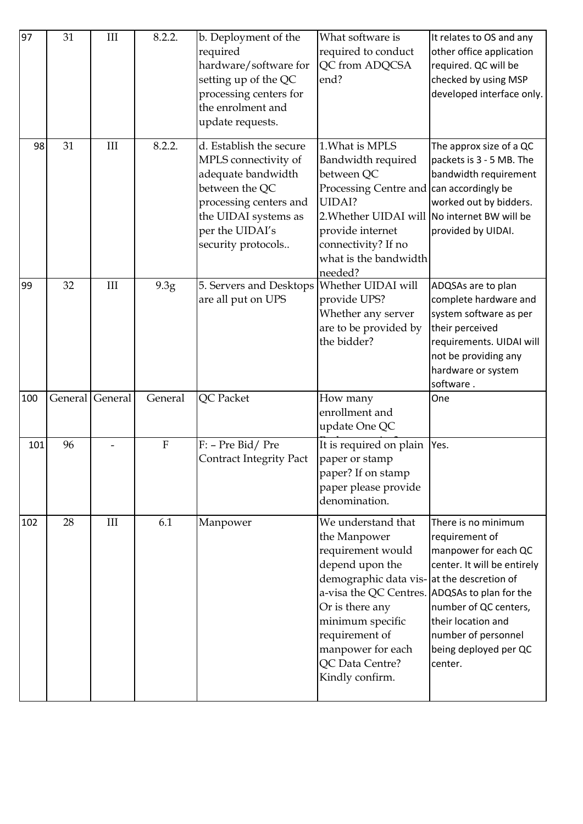| 97  | 31      | $\rm III$ | 8.2.2.                  | b. Deployment of the<br>required<br>hardware/software for<br>setting up of the QC<br>processing centers for<br>the enrolment and<br>update requests.                               | What software is<br>required to conduct<br>QC from ADQCSA<br>end?                                                                                                                                                                                                                            | It relates to OS and any<br>other office application<br>required. QC will be<br>checked by using MSP<br>developed interface only.                                                                      |
|-----|---------|-----------|-------------------------|------------------------------------------------------------------------------------------------------------------------------------------------------------------------------------|----------------------------------------------------------------------------------------------------------------------------------------------------------------------------------------------------------------------------------------------------------------------------------------------|--------------------------------------------------------------------------------------------------------------------------------------------------------------------------------------------------------|
| 98  | 31      | III       | 8.2.2.                  | d. Establish the secure<br>MPLS connectivity of<br>adequate bandwidth<br>between the QC<br>processing centers and<br>the UIDAI systems as<br>per the UIDAI's<br>security protocols | 1. What is MPLS<br>Bandwidth required<br>between QC<br>Processing Centre and can accordingly be<br>UIDAI?<br>2. Whether UIDAI will No internet BW will be<br>provide internet<br>connectivity? If no<br>what is the bandwidth<br>needed?                                                     | The approx size of a QC<br>packets is 3 - 5 MB. The<br>bandwidth requirement<br>worked out by bidders.<br>provided by UIDAI.                                                                           |
| 99  | 32      | III       | 9.3g                    | 5. Servers and Desktops<br>are all put on UPS                                                                                                                                      | Whether UIDAI will<br>provide UPS?<br>Whether any server<br>are to be provided by<br>the bidder?                                                                                                                                                                                             | ADQSAs are to plan<br>complete hardware and<br>system software as per<br>their perceived<br>requirements. UIDAI will<br>not be providing any<br>hardware or system<br>software.                        |
| 100 | General | General   | General                 | QC Packet                                                                                                                                                                          | How many<br>enrollment and<br>update One QC                                                                                                                                                                                                                                                  | One                                                                                                                                                                                                    |
| 101 | 96      |           | $\overline{\mathrm{F}}$ | F: - Pre Bid/Pre<br><b>Contract Integrity Pact</b>                                                                                                                                 | It is required on plain<br>paper or stamp<br>paper? If on stamp<br>paper please provide<br>denomination.                                                                                                                                                                                     | Yes.                                                                                                                                                                                                   |
| 102 | 28      | III       | 6.1                     | Manpower                                                                                                                                                                           | We understand that<br>the Manpower<br>requirement would<br>depend upon the<br>demographic data vis-at the descretion of<br>a-visa the QC Centres. ADQSAs to plan for the<br>Or is there any<br>minimum specific<br>requirement of<br>manpower for each<br>QC Data Centre?<br>Kindly confirm. | There is no minimum<br>requirement of<br>manpower for each QC<br>center. It will be entirely<br>number of QC centers,<br>their location and<br>number of personnel<br>being deployed per QC<br>center. |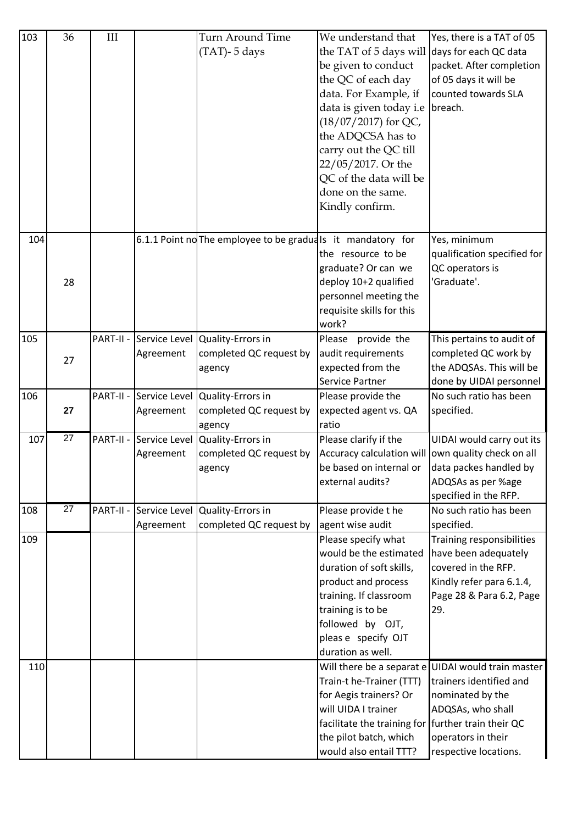| 103 | 36              | III       |                            | Turn Around Time<br>$(TAT)$ - 5 days                                 | We understand that<br>the TAT of 5 days will<br>be given to conduct<br>the QC of each day<br>data. For Example, if<br>data is given today i.e<br>$(18/07/2017)$ for QC,<br>the ADQCSA has to<br>carry out the QC till<br>22/05/2017. Or the<br>QC of the data will be<br>done on the same.<br>Kindly confirm. | Yes, there is a TAT of 05<br>days for each QC data<br>packet. After completion<br>of 05 days it will be<br>counted towards SLA<br>breach.                             |
|-----|-----------------|-----------|----------------------------|----------------------------------------------------------------------|---------------------------------------------------------------------------------------------------------------------------------------------------------------------------------------------------------------------------------------------------------------------------------------------------------------|-----------------------------------------------------------------------------------------------------------------------------------------------------------------------|
| 104 | 28              |           |                            | 6.1.1 Point no The employee to be graduals it mandatory for          | the resource to be<br>graduate? Or can we<br>deploy 10+2 qualified<br>personnel meeting the<br>requisite skills for this<br>work?                                                                                                                                                                             | Yes, minimum<br>qualification specified for<br>QC operators is<br>'Graduate'.                                                                                         |
| 105 | 27              | PART-II - | Agreement                  | Service Level Quality-Errors in<br>completed QC request by<br>agency | Please provide the<br>audit requirements<br>expected from the<br>Service Partner                                                                                                                                                                                                                              | This pertains to audit of<br>completed QC work by<br>the ADQSAs. This will be<br>done by UIDAI personnel                                                              |
| 106 | 27              | PART-II - | Service Level<br>Agreement | Quality-Errors in<br>completed QC request by<br>agency               | Please provide the<br>expected agent vs. QA<br>ratio                                                                                                                                                                                                                                                          | No such ratio has been<br>specified.                                                                                                                                  |
| 107 | $\overline{27}$ | PART-II - | Agreement                  | Service Level Quality-Errors in<br>completed QC request by<br>agency | Please clarify if the<br>Accuracy calculation will own quality check on all<br>be based on internal or data packes handled by<br>external audits?                                                                                                                                                             | UIDAI would carry out its<br>ADQSAs as per %age<br>specified in the RFP.                                                                                              |
| 108 | 27              | PART-II - | Service Level              | Quality-Errors in                                                    | Please provide the                                                                                                                                                                                                                                                                                            | No such ratio has been                                                                                                                                                |
| 109 |                 |           | Agreement                  | completed QC request by                                              | agent wise audit<br>Please specify what                                                                                                                                                                                                                                                                       | specified.<br>Training responsibilities                                                                                                                               |
|     |                 |           |                            |                                                                      | would be the estimated<br>duration of soft skills,<br>product and process<br>training. If classroom<br>training is to be<br>followed by OJT,<br>pleas e specify OJT<br>duration as well.                                                                                                                      | have been adequately<br>covered in the RFP.<br>Kindly refer para 6.1.4,<br>Page 28 & Para 6.2, Page<br>29.                                                            |
| 110 |                 |           |                            |                                                                      | Train-t he-Trainer (TTT)<br>for Aegis trainers? Or<br>will UIDA I trainer<br>facilitate the training for further train their QC<br>the pilot batch, which<br>would also entail TTT?                                                                                                                           | Will there be a separat e UIDAI would train master<br>trainers identified and<br>nominated by the<br>ADQSAs, who shall<br>operators in their<br>respective locations. |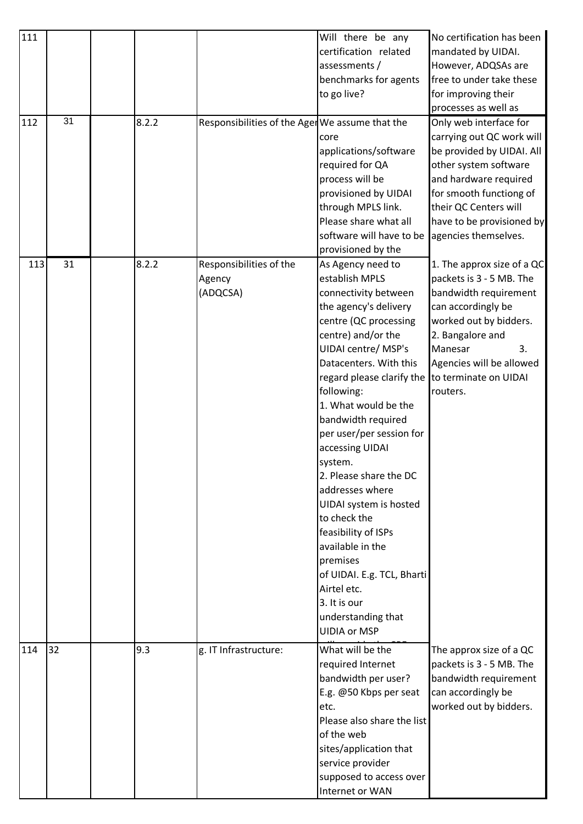| 111 |    |       |                                                 | Will there be any                          | No certification has been  |
|-----|----|-------|-------------------------------------------------|--------------------------------------------|----------------------------|
|     |    |       |                                                 | certification related                      | mandated by UIDAI.         |
|     |    |       |                                                 | assessments /                              | However, ADQSAs are        |
|     |    |       |                                                 | benchmarks for agents                      | free to under take these   |
|     |    |       |                                                 | to go live?                                | for improving their        |
|     |    |       |                                                 |                                            | processes as well as       |
| 112 | 31 | 8.2.2 | Responsibilities of the Ager We assume that the |                                            | Only web interface for     |
|     |    |       |                                                 | core                                       | carrying out QC work will  |
|     |    |       |                                                 | applications/software                      | be provided by UIDAI. All  |
|     |    |       |                                                 | required for QA                            | other system software      |
|     |    |       |                                                 | process will be                            | and hardware required      |
|     |    |       |                                                 |                                            | for smooth functiong of    |
|     |    |       |                                                 | provisioned by UIDAI<br>through MPLS link. | their QC Centers will      |
|     |    |       |                                                 |                                            |                            |
|     |    |       |                                                 | Please share what all                      | have to be provisioned by  |
|     |    |       |                                                 | software will have to be                   | agencies themselves.       |
|     |    |       |                                                 | provisioned by the                         |                            |
| 113 | 31 | 8.2.2 | Responsibilities of the                         | As Agency need to                          | 1. The approx size of a QC |
|     |    |       | Agency                                          | establish MPLS                             | packets is 3 - 5 MB. The   |
|     |    |       | (ADQCSA)                                        | connectivity between                       | bandwidth requirement      |
|     |    |       |                                                 | the agency's delivery                      | can accordingly be         |
|     |    |       |                                                 | centre (QC processing                      | worked out by bidders.     |
|     |    |       |                                                 | centre) and/or the                         | 2. Bangalore and           |
|     |    |       |                                                 | <b>UIDAI centre/ MSP's</b>                 | Manesar<br>3.              |
|     |    |       |                                                 | Datacenters. With this                     | Agencies will be allowed   |
|     |    |       |                                                 | regard please clarify the                  | to terminate on UIDAI      |
|     |    |       |                                                 | following:                                 | routers.                   |
|     |    |       |                                                 | 1. What would be the                       |                            |
|     |    |       |                                                 | bandwidth required                         |                            |
|     |    |       |                                                 | per user/per session for                   |                            |
|     |    |       |                                                 | accessing UIDAI                            |                            |
|     |    |       |                                                 | system.                                    |                            |
|     |    |       |                                                 | 2. Please share the DC                     |                            |
|     |    |       |                                                 | addresses where                            |                            |
|     |    |       |                                                 | UIDAI system is hosted                     |                            |
|     |    |       |                                                 | to check the                               |                            |
|     |    |       |                                                 | feasibility of ISPs                        |                            |
|     |    |       |                                                 | available in the                           |                            |
|     |    |       |                                                 | premises                                   |                            |
|     |    |       |                                                 | of UIDAI. E.g. TCL, Bharti                 |                            |
|     |    |       |                                                 | Airtel etc.                                |                            |
|     |    |       |                                                 | 3. It is our                               |                            |
|     |    |       |                                                 | understanding that                         |                            |
|     |    |       |                                                 | <b>UIDIA or MSP</b>                        |                            |
|     |    |       |                                                 |                                            |                            |
| 114 | 32 | 9.3   | g. IT Infrastructure:                           | What will be the                           | The approx size of a QC    |
|     |    |       |                                                 | required Internet                          | packets is 3 - 5 MB. The   |
|     |    |       |                                                 | bandwidth per user?                        | bandwidth requirement      |
|     |    |       |                                                 | E.g. @50 Kbps per seat                     | can accordingly be         |
|     |    |       |                                                 | etc.                                       | worked out by bidders.     |
|     |    |       |                                                 | Please also share the list                 |                            |
|     |    |       |                                                 | of the web                                 |                            |
|     |    |       |                                                 | sites/application that                     |                            |
|     |    |       |                                                 | service provider                           |                            |
|     |    |       |                                                 | supposed to access over                    |                            |
|     |    |       |                                                 | Internet or WAN                            |                            |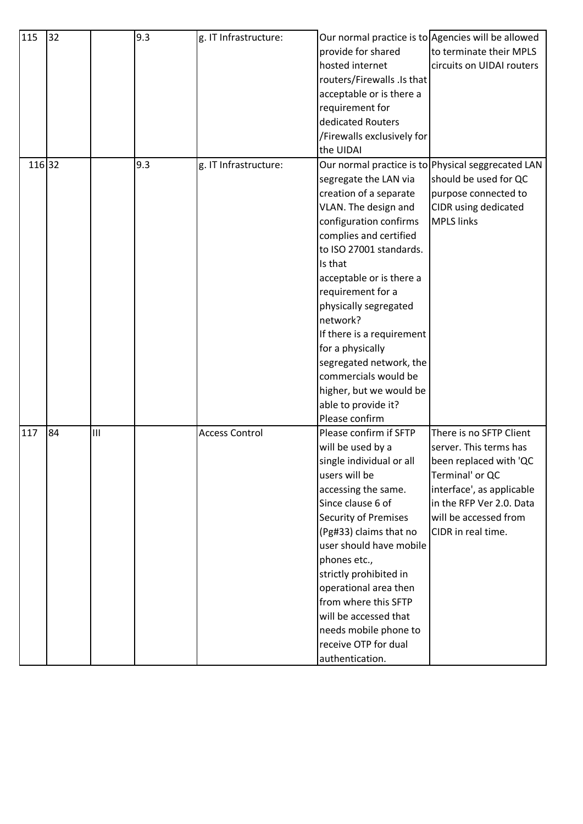| 115    | 32 |     | 9.3 | g. IT Infrastructure: |                             | Our normal practice is to Agencies will be allowed |
|--------|----|-----|-----|-----------------------|-----------------------------|----------------------------------------------------|
|        |    |     |     |                       | provide for shared          | to terminate their MPLS                            |
|        |    |     |     |                       | hosted internet             | circuits on UIDAI routers                          |
|        |    |     |     |                       | routers/Firewalls .Is that  |                                                    |
|        |    |     |     |                       | acceptable or is there a    |                                                    |
|        |    |     |     |                       | requirement for             |                                                    |
|        |    |     |     |                       | dedicated Routers           |                                                    |
|        |    |     |     |                       | /Firewalls exclusively for  |                                                    |
|        |    |     |     |                       | the UIDAI                   |                                                    |
| 116 32 |    |     | 9.3 | g. IT Infrastructure: |                             | Our normal practice is to Physical seggrecated LAN |
|        |    |     |     |                       | segregate the LAN via       | should be used for QC                              |
|        |    |     |     |                       | creation of a separate      | purpose connected to                               |
|        |    |     |     |                       | VLAN. The design and        | CIDR using dedicated                               |
|        |    |     |     |                       | configuration confirms      | <b>MPLS links</b>                                  |
|        |    |     |     |                       | complies and certified      |                                                    |
|        |    |     |     |                       | to ISO 27001 standards.     |                                                    |
|        |    |     |     |                       | Is that                     |                                                    |
|        |    |     |     |                       | acceptable or is there a    |                                                    |
|        |    |     |     |                       | requirement for a           |                                                    |
|        |    |     |     |                       | physically segregated       |                                                    |
|        |    |     |     |                       | network?                    |                                                    |
|        |    |     |     |                       | If there is a requirement   |                                                    |
|        |    |     |     |                       | for a physically            |                                                    |
|        |    |     |     |                       | segregated network, the     |                                                    |
|        |    |     |     |                       | commercials would be        |                                                    |
|        |    |     |     |                       | higher, but we would be     |                                                    |
|        |    |     |     |                       | able to provide it?         |                                                    |
|        |    |     |     |                       | Please confirm              |                                                    |
| 117    | 84 | III |     | <b>Access Control</b> | Please confirm if SFTP      | There is no SFTP Client                            |
|        |    |     |     |                       | will be used by a           | server. This terms has                             |
|        |    |     |     |                       | single individual or all    | been replaced with 'QC                             |
|        |    |     |     |                       | users will be               | Terminal' or QC                                    |
|        |    |     |     |                       | accessing the same.         | interface', as applicable                          |
|        |    |     |     |                       | Since clause 6 of           | in the RFP Ver 2.0. Data                           |
|        |    |     |     |                       | <b>Security of Premises</b> | will be accessed from                              |
|        |    |     |     |                       | (Pg#33) claims that no      | CIDR in real time.                                 |
|        |    |     |     |                       | user should have mobile     |                                                    |
|        |    |     |     |                       | phones etc.,                |                                                    |
|        |    |     |     |                       | strictly prohibited in      |                                                    |
|        |    |     |     |                       | operational area then       |                                                    |
|        |    |     |     |                       | from where this SFTP        |                                                    |
|        |    |     |     |                       | will be accessed that       |                                                    |
|        |    |     |     |                       | needs mobile phone to       |                                                    |
|        |    |     |     |                       | receive OTP for dual        |                                                    |
|        |    |     |     |                       | authentication.             |                                                    |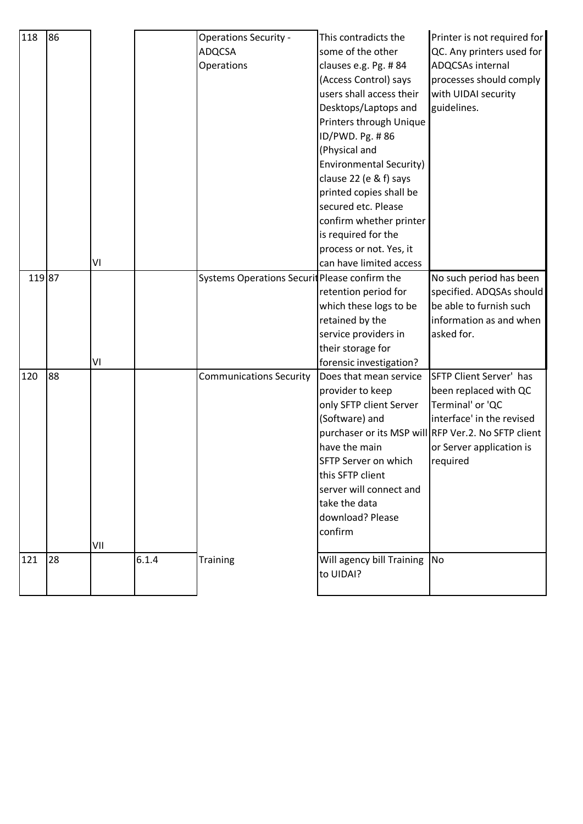| 118    | 86 |     |       | <b>Operations Security -</b>                  | This contradicts the                   | Printer is not required for                         |
|--------|----|-----|-------|-----------------------------------------------|----------------------------------------|-----------------------------------------------------|
|        |    |     |       | <b>ADQCSA</b>                                 | some of the other                      | QC. Any printers used for                           |
|        |    |     |       | Operations                                    | clauses e.g. Pg. #84                   | ADQCSAs internal                                    |
|        |    |     |       |                                               | (Access Control) says                  | processes should comply                             |
|        |    |     |       |                                               | users shall access their               | with UIDAI security                                 |
|        |    |     |       |                                               | Desktops/Laptops and                   | guidelines.                                         |
|        |    |     |       |                                               | Printers through Unique                |                                                     |
|        |    |     |       |                                               | ID/PWD. Pg. #86                        |                                                     |
|        |    |     |       |                                               | (Physical and                          |                                                     |
|        |    |     |       |                                               | <b>Environmental Security)</b>         |                                                     |
|        |    |     |       |                                               | clause 22 (e & f) says                 |                                                     |
|        |    |     |       |                                               | printed copies shall be                |                                                     |
|        |    |     |       |                                               | secured etc. Please                    |                                                     |
|        |    |     |       |                                               | confirm whether printer                |                                                     |
|        |    |     |       |                                               | is required for the                    |                                                     |
|        |    |     |       |                                               | process or not. Yes, it                |                                                     |
|        |    | ٧I  |       |                                               | can have limited access                |                                                     |
| 119 87 |    |     |       | Systems Operations Securit Please confirm the |                                        | No such period has been                             |
|        |    |     |       |                                               | retention period for                   | specified. ADQSAs should                            |
|        |    |     |       |                                               | which these logs to be                 | be able to furnish such                             |
|        |    |     |       |                                               | retained by the                        | information as and when                             |
|        |    |     |       |                                               | service providers in                   | asked for.                                          |
|        |    |     |       |                                               | their storage for                      |                                                     |
|        |    | ٧I  |       |                                               | forensic investigation?                |                                                     |
| 120    | 88 |     |       | <b>Communications Security</b>                | Does that mean service                 | SFTP Client Server' has                             |
|        |    |     |       |                                               | provider to keep                       | been replaced with QC                               |
|        |    |     |       |                                               | only SFTP client Server                | Terminal' or 'QC                                    |
|        |    |     |       |                                               | (Software) and                         | interface' in the revised                           |
|        |    |     |       |                                               |                                        | purchaser or its MSP will RFP Ver.2. No SFTP client |
|        |    |     |       |                                               | have the main                          | or Server application is                            |
|        |    |     |       |                                               | SFTP Server on which                   | required                                            |
|        |    |     |       |                                               | this SFTP client                       |                                                     |
|        |    |     |       |                                               | server will connect and                |                                                     |
|        |    |     |       |                                               | take the data                          |                                                     |
|        |    |     |       |                                               | download? Please                       |                                                     |
|        |    |     |       |                                               | confirm                                |                                                     |
|        |    |     |       |                                               |                                        |                                                     |
|        |    |     |       |                                               |                                        |                                                     |
|        |    | VII |       |                                               |                                        |                                                     |
| 121    | 28 |     | 6.1.4 | <b>Training</b>                               | Will agency bill Training<br>to UIDAI? | <b>No</b>                                           |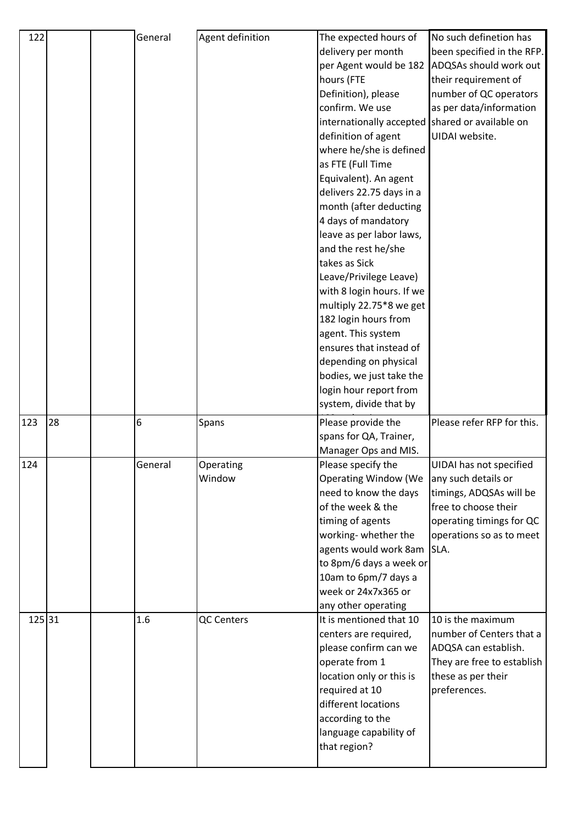| 122    |    | General | Agent definition  | The expected hours of                           | No such definetion has     |
|--------|----|---------|-------------------|-------------------------------------------------|----------------------------|
|        |    |         |                   | delivery per month                              | been specified in the RFP. |
|        |    |         |                   | per Agent would be 182                          | ADQSAs should work out     |
|        |    |         |                   | hours (FTE                                      | their requirement of       |
|        |    |         |                   | Definition), please                             | number of QC operators     |
|        |    |         |                   | confirm. We use                                 | as per data/information    |
|        |    |         |                   | internationally accepted shared or available on |                            |
|        |    |         |                   | definition of agent                             | UIDAI website.             |
|        |    |         |                   | where he/she is defined                         |                            |
|        |    |         |                   | as FTE (Full Time                               |                            |
|        |    |         |                   | Equivalent). An agent                           |                            |
|        |    |         |                   | delivers 22.75 days in a                        |                            |
|        |    |         |                   | month (after deducting                          |                            |
|        |    |         |                   | 4 days of mandatory                             |                            |
|        |    |         |                   | leave as per labor laws,                        |                            |
|        |    |         |                   | and the rest he/she                             |                            |
|        |    |         |                   | takes as Sick                                   |                            |
|        |    |         |                   | Leave/Privilege Leave)                          |                            |
|        |    |         |                   | with 8 login hours. If we                       |                            |
|        |    |         |                   | multiply 22.75*8 we get                         |                            |
|        |    |         |                   | 182 login hours from                            |                            |
|        |    |         |                   | agent. This system                              |                            |
|        |    |         |                   | ensures that instead of                         |                            |
|        |    |         |                   | depending on physical                           |                            |
|        |    |         |                   | bodies, we just take the                        |                            |
|        |    |         |                   | login hour report from                          |                            |
|        |    |         |                   |                                                 |                            |
|        |    |         |                   | system, divide that by                          |                            |
|        |    |         |                   |                                                 |                            |
| 123    | 28 | 6       | Spans             | Please provide the                              | Please refer RFP for this. |
|        |    |         |                   | spans for QA, Trainer,                          |                            |
|        |    |         |                   | Manager Ops and MIS.                            |                            |
| 124    |    | General | Operating         | Please specify the                              | UIDAI has not specified    |
|        |    |         | Window            | <b>Operating Window (We</b>                     | any such details or        |
|        |    |         |                   | need to know the days<br>of the week & the      | timings, ADQSAs will be    |
|        |    |         |                   |                                                 | free to choose their       |
|        |    |         |                   | timing of agents                                | operating timings for QC   |
|        |    |         |                   | working-whether the                             | operations so as to meet   |
|        |    |         |                   | agents would work 8am SLA.                      |                            |
|        |    |         |                   | to 8pm/6 days a week or                         |                            |
|        |    |         |                   | 10am to 6pm/7 days a<br>week or 24x7x365 or     |                            |
|        |    |         |                   |                                                 |                            |
| 125 31 |    | 1.6     | <b>QC Centers</b> | any other operating<br>It is mentioned that 10  | 10 is the maximum          |
|        |    |         |                   | centers are required,                           | number of Centers that a   |
|        |    |         |                   | please confirm can we                           | ADQSA can establish.       |
|        |    |         |                   | operate from 1                                  | They are free to establish |
|        |    |         |                   | location only or this is                        | these as per their         |
|        |    |         |                   | required at 10                                  | preferences.               |
|        |    |         |                   | different locations                             |                            |
|        |    |         |                   | according to the                                |                            |
|        |    |         |                   | language capability of                          |                            |
|        |    |         |                   | that region?                                    |                            |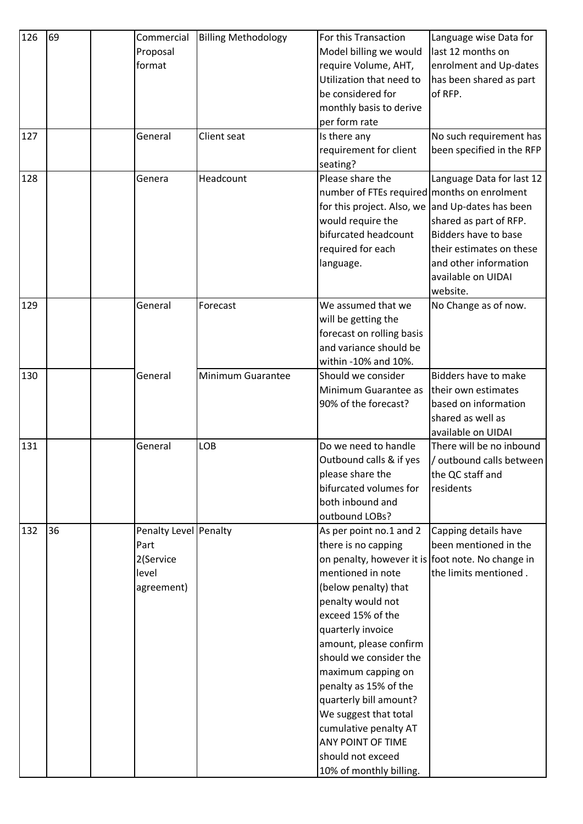| 126 | 69 | Commercial            | <b>Billing Methodology</b> | For this Transaction                              | Language wise Data for      |
|-----|----|-----------------------|----------------------------|---------------------------------------------------|-----------------------------|
|     |    | Proposal              |                            | Model billing we would                            | last 12 months on           |
|     |    | format                |                            | require Volume, AHT,                              | enrolment and Up-dates      |
|     |    |                       |                            | Utilization that need to                          | has been shared as part     |
|     |    |                       |                            | be considered for                                 | of RFP.                     |
|     |    |                       |                            | monthly basis to derive                           |                             |
|     |    |                       |                            | per form rate                                     |                             |
| 127 |    | General               | Client seat                | Is there any                                      | No such requirement has     |
|     |    |                       |                            | requirement for client                            | been specified in the RFP   |
|     |    |                       |                            | seating?                                          |                             |
| 128 |    | Genera                | Headcount                  | Please share the                                  | Language Data for last 12   |
|     |    |                       |                            | number of FTEs required months on enrolment       |                             |
|     |    |                       |                            | for this project. Also, we and Up-dates has been  |                             |
|     |    |                       |                            | would require the                                 | shared as part of RFP.      |
|     |    |                       |                            | bifurcated headcount                              | <b>Bidders have to base</b> |
|     |    |                       |                            | required for each                                 | their estimates on these    |
|     |    |                       |                            | language.                                         | and other information       |
|     |    |                       |                            |                                                   | available on UIDAI          |
|     |    |                       |                            |                                                   | website.                    |
| 129 |    | General               | Forecast                   | We assumed that we                                | No Change as of now.        |
|     |    |                       |                            | will be getting the                               |                             |
|     |    |                       |                            | forecast on rolling basis                         |                             |
|     |    |                       |                            | and variance should be                            |                             |
|     |    |                       |                            | within -10% and 10%.                              |                             |
| 130 |    | General               | Minimum Guarantee          | Should we consider                                | <b>Bidders have to make</b> |
|     |    |                       |                            | Minimum Guarantee as                              | their own estimates         |
|     |    |                       |                            | 90% of the forecast?                              | based on information        |
|     |    |                       |                            |                                                   | shared as well as           |
|     |    |                       |                            |                                                   | available on UIDAI          |
| 131 |    | General               | LOB                        | Do we need to handle                              | There will be no inbound    |
|     |    |                       |                            | Outbound calls & if yes                           | /outbound calls between     |
|     |    |                       |                            | please share the                                  | the QC staff and            |
|     |    |                       |                            | bifurcated volumes for                            | residents                   |
|     |    |                       |                            | both inbound and                                  |                             |
|     |    |                       |                            | outbound LOBs?                                    |                             |
| 132 | 36 | Penalty Level Penalty |                            | As per point no.1 and 2                           | Capping details have        |
|     |    | Part                  |                            | there is no capping                               | been mentioned in the       |
|     |    | 2(Service             |                            | on penalty, however it is foot note. No change in |                             |
|     |    | level                 |                            | mentioned in note                                 | the limits mentioned.       |
|     |    | agreement)            |                            | (below penalty) that                              |                             |
|     |    |                       |                            | penalty would not                                 |                             |
|     |    |                       |                            | exceed 15% of the                                 |                             |
|     |    |                       |                            | quarterly invoice                                 |                             |
|     |    |                       |                            | amount, please confirm                            |                             |
|     |    |                       |                            | should we consider the                            |                             |
|     |    |                       |                            | maximum capping on                                |                             |
|     |    |                       |                            | penalty as 15% of the                             |                             |
|     |    |                       |                            | quarterly bill amount?                            |                             |
|     |    |                       |                            | We suggest that total                             |                             |
|     |    |                       |                            | cumulative penalty AT                             |                             |
|     |    |                       |                            | ANY POINT OF TIME                                 |                             |
|     |    |                       |                            | should not exceed                                 |                             |
|     |    |                       |                            | 10% of monthly billing.                           |                             |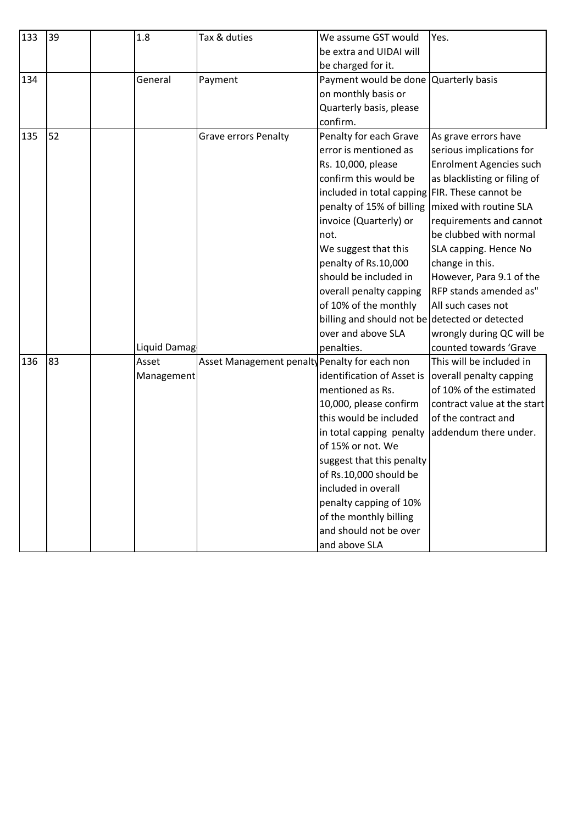| 133 | 39 | 1.8          | Tax & duties                                  | We assume GST would                            | Yes.                         |
|-----|----|--------------|-----------------------------------------------|------------------------------------------------|------------------------------|
|     |    |              |                                               | be extra and UIDAI will                        |                              |
|     |    |              |                                               | be charged for it.                             |                              |
| 134 |    | General      | Payment                                       | Payment would be done Quarterly basis          |                              |
|     |    |              |                                               | on monthly basis or                            |                              |
|     |    |              |                                               | Quarterly basis, please                        |                              |
|     |    |              |                                               | confirm.                                       |                              |
| 135 | 52 |              | <b>Grave errors Penalty</b>                   | Penalty for each Grave                         | As grave errors have         |
|     |    |              |                                               | error is mentioned as                          | serious implications for     |
|     |    |              |                                               | Rs. 10,000, please                             | Enrolment Agencies such      |
|     |    |              |                                               | confirm this would be                          | as blacklisting or filing of |
|     |    |              |                                               | included in total capping FIR. These cannot be |                              |
|     |    |              |                                               | penalty of 15% of billing                      | mixed with routine SLA       |
|     |    |              |                                               | invoice (Quarterly) or                         | requirements and cannot      |
|     |    |              |                                               | not.                                           | be clubbed with normal       |
|     |    |              |                                               | We suggest that this                           | SLA capping. Hence No        |
|     |    |              |                                               | penalty of Rs.10,000                           | change in this.              |
|     |    |              |                                               | should be included in                          | However, Para 9.1 of the     |
|     |    |              |                                               | overall penalty capping                        | RFP stands amended as"       |
|     |    |              |                                               | of 10% of the monthly                          | All such cases not           |
|     |    |              |                                               | billing and should not be detected or detected |                              |
|     |    |              |                                               | over and above SLA                             | wrongly during QC will be    |
|     |    | Liquid Damag |                                               | penalties.                                     | counted towards 'Grave       |
| 136 | 83 | Asset        | Asset Management penalty Penalty for each non |                                                | This will be included in     |
|     |    | Management   |                                               | identification of Asset is                     | overall penalty capping      |
|     |    |              |                                               | mentioned as Rs.                               | of 10% of the estimated      |
|     |    |              |                                               | 10,000, please confirm                         | contract value at the start  |
|     |    |              |                                               | this would be included                         | of the contract and          |
|     |    |              |                                               | in total capping penalty addendum there under. |                              |
|     |    |              |                                               | of 15% or not. We                              |                              |
|     |    |              |                                               | suggest that this penalty                      |                              |
|     |    |              |                                               | of Rs.10,000 should be                         |                              |
|     |    |              |                                               | included in overall                            |                              |
|     |    |              |                                               | penalty capping of 10%                         |                              |
|     |    |              |                                               | of the monthly billing                         |                              |
|     |    |              |                                               | and should not be over                         |                              |
|     |    |              |                                               | and above SLA                                  |                              |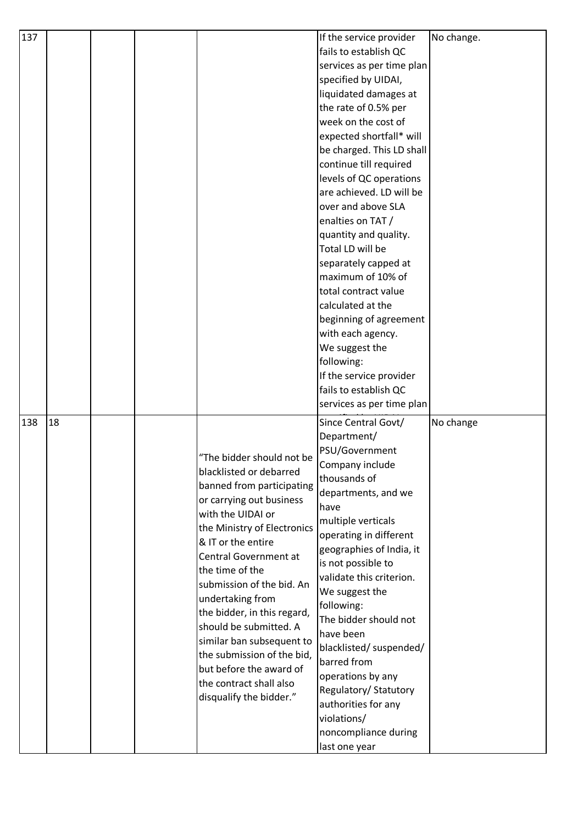| 137 |    |  |                             | If the service provider   | No change. |
|-----|----|--|-----------------------------|---------------------------|------------|
|     |    |  |                             | fails to establish QC     |            |
|     |    |  |                             | services as per time plan |            |
|     |    |  |                             | specified by UIDAI,       |            |
|     |    |  |                             | liquidated damages at     |            |
|     |    |  |                             | the rate of 0.5% per      |            |
|     |    |  |                             | week on the cost of       |            |
|     |    |  |                             |                           |            |
|     |    |  |                             | expected shortfall* will  |            |
|     |    |  |                             | be charged. This LD shall |            |
|     |    |  |                             | continue till required    |            |
|     |    |  |                             | levels of QC operations   |            |
|     |    |  |                             | are achieved. LD will be  |            |
|     |    |  |                             | over and above SLA        |            |
|     |    |  |                             | enalties on TAT /         |            |
|     |    |  |                             | quantity and quality.     |            |
|     |    |  |                             | Total LD will be          |            |
|     |    |  |                             | separately capped at      |            |
|     |    |  |                             | maximum of 10% of         |            |
|     |    |  |                             | total contract value      |            |
|     |    |  |                             | calculated at the         |            |
|     |    |  |                             | beginning of agreement    |            |
|     |    |  |                             | with each agency.         |            |
|     |    |  |                             | We suggest the            |            |
|     |    |  |                             | following:                |            |
|     |    |  |                             | If the service provider   |            |
|     |    |  |                             | fails to establish QC     |            |
|     |    |  |                             | services as per time plan |            |
|     |    |  |                             |                           |            |
| 138 | 18 |  |                             | Since Central Govt/       | No change  |
|     |    |  |                             | Department/               |            |
|     |    |  | "The bidder should not be   | PSU/Government            |            |
|     |    |  | blacklisted or debarred     | Company include           |            |
|     |    |  | banned from participating   | thousands of              |            |
|     |    |  | or carrying out business    | departments, and we       |            |
|     |    |  | with the UIDAI or           | have                      |            |
|     |    |  | the Ministry of Electronics | multiple verticals        |            |
|     |    |  | & IT or the entire          | operating in different    |            |
|     |    |  | Central Government at       | geographies of India, it  |            |
|     |    |  | the time of the             | is not possible to        |            |
|     |    |  | submission of the bid. An   | validate this criterion.  |            |
|     |    |  | undertaking from            | We suggest the            |            |
|     |    |  | the bidder, in this regard, | following:                |            |
|     |    |  | should be submitted. A      | The bidder should not     |            |
|     |    |  |                             | have been                 |            |
|     |    |  | similar ban subsequent to   | blacklisted/ suspended/   |            |
|     |    |  | the submission of the bid,  | barred from               |            |
|     |    |  | but before the award of     | operations by any         |            |
|     |    |  | the contract shall also     | Regulatory/ Statutory     |            |
|     |    |  | disqualify the bidder."     | authorities for any       |            |
|     |    |  |                             | violations/               |            |
|     |    |  |                             | noncompliance during      |            |
|     |    |  |                             | last one year             |            |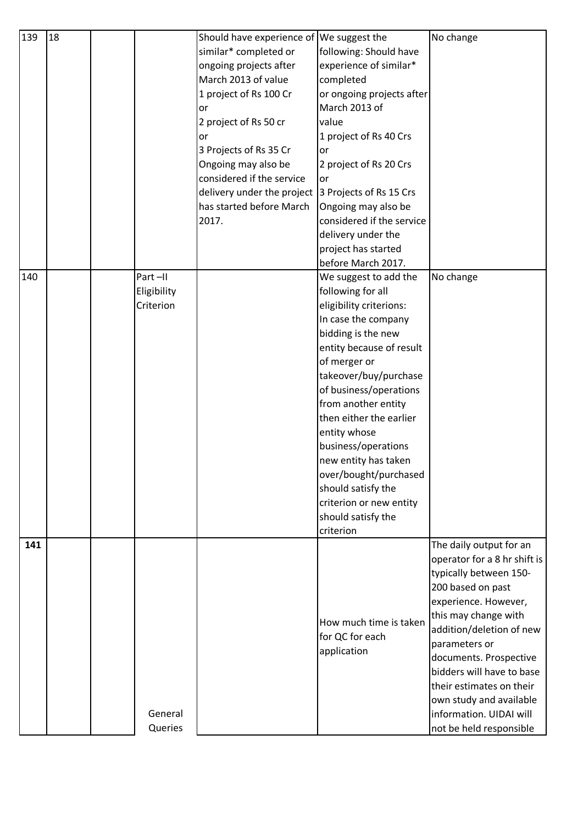| 139 | 18 |             | Should have experience of We suggest the |                                           | No change                    |
|-----|----|-------------|------------------------------------------|-------------------------------------------|------------------------------|
|     |    |             | similar* completed or                    | following: Should have                    |                              |
|     |    |             | ongoing projects after                   | experience of similar*                    |                              |
|     |    |             | March 2013 of value                      | completed                                 |                              |
|     |    |             | 1 project of Rs 100 Cr                   | or ongoing projects after                 |                              |
|     |    |             | or                                       | March 2013 of                             |                              |
|     |    |             | 2 project of Rs 50 cr                    | value                                     |                              |
|     |    |             | or                                       | 1 project of Rs 40 Crs                    |                              |
|     |    |             | 3 Projects of Rs 35 Cr                   | or                                        |                              |
|     |    |             | Ongoing may also be                      | 2 project of Rs 20 Crs                    |                              |
|     |    |             | considered if the service                | or                                        |                              |
|     |    |             | delivery under the project               | 3 Projects of Rs 15 Crs                   |                              |
|     |    |             | has started before March                 | Ongoing may also be                       |                              |
|     |    |             | 2017.                                    | considered if the service                 |                              |
|     |    |             |                                          | delivery under the                        |                              |
|     |    |             |                                          | project has started                       |                              |
|     |    |             |                                          | before March 2017.                        |                              |
| 140 |    | Part-II     |                                          | We suggest to add the                     | No change                    |
|     |    | Eligibility |                                          | following for all                         |                              |
|     |    | Criterion   |                                          | eligibility criterions:                   |                              |
|     |    |             |                                          | In case the company<br>bidding is the new |                              |
|     |    |             |                                          | entity because of result                  |                              |
|     |    |             |                                          | of merger or                              |                              |
|     |    |             |                                          | takeover/buy/purchase                     |                              |
|     |    |             |                                          | of business/operations                    |                              |
|     |    |             |                                          | from another entity                       |                              |
|     |    |             |                                          | then either the earlier                   |                              |
|     |    |             |                                          | entity whose                              |                              |
|     |    |             |                                          | business/operations                       |                              |
|     |    |             |                                          | new entity has taken                      |                              |
|     |    |             |                                          | over/bought/purchased                     |                              |
|     |    |             |                                          | should satisfy the                        |                              |
|     |    |             |                                          | criterion or new entity                   |                              |
|     |    |             |                                          | should satisfy the                        |                              |
|     |    |             |                                          | criterion                                 |                              |
| 141 |    |             |                                          |                                           | The daily output for an      |
|     |    |             |                                          |                                           | operator for a 8 hr shift is |
|     |    |             |                                          |                                           | typically between 150-       |
|     |    |             |                                          |                                           | 200 based on past            |
|     |    |             |                                          |                                           | experience. However,         |
|     |    |             |                                          | How much time is taken                    | this may change with         |
|     |    |             |                                          | for QC for each                           | addition/deletion of new     |
|     |    |             |                                          | application                               | parameters or                |
|     |    |             |                                          |                                           | documents. Prospective       |
|     |    |             |                                          |                                           | bidders will have to base    |
|     |    |             |                                          |                                           | their estimates on their     |
|     |    | General     |                                          |                                           | own study and available      |
|     |    |             |                                          |                                           | information. UIDAI will      |
|     |    | Queries     |                                          |                                           | not be held responsible      |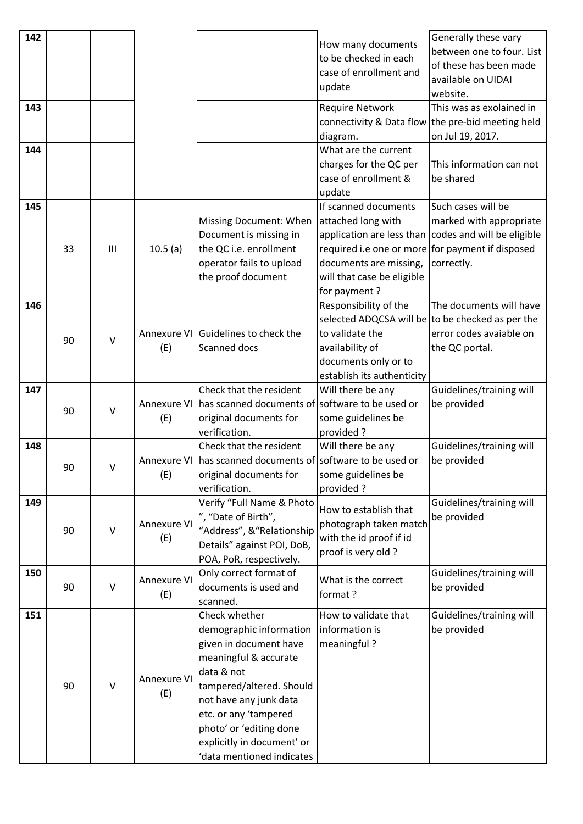| 142<br>143 |    |              |                    |                                                                                                                                                                                                                                                                               | How many documents<br>to be checked in each<br>case of enrollment and<br>update<br><b>Require Network</b>                                                              | Generally these vary<br>between one to four. List<br>of these has been made<br>available on UIDAI<br>website.<br>This was as exolained in |
|------------|----|--------------|--------------------|-------------------------------------------------------------------------------------------------------------------------------------------------------------------------------------------------------------------------------------------------------------------------------|------------------------------------------------------------------------------------------------------------------------------------------------------------------------|-------------------------------------------------------------------------------------------------------------------------------------------|
|            |    |              |                    |                                                                                                                                                                                                                                                                               | diagram.                                                                                                                                                               | connectivity & Data flow the pre-bid meeting held<br>on Jul 19, 2017.                                                                     |
| 144        |    |              |                    |                                                                                                                                                                                                                                                                               | What are the current<br>charges for the QC per<br>case of enrollment &<br>update                                                                                       | This information can not<br>be shared                                                                                                     |
| 145        | 33 | Ш            | 10.5(a)            | <b>Missing Document: When</b><br>Document is missing in<br>the QC i.e. enrollment<br>operator fails to upload<br>the proof document                                                                                                                                           | If scanned documents<br>attached long with<br>required i.e one or more for payment if disposed<br>documents are missing,<br>will that case be eligible<br>for payment? | Such cases will be<br>marked with appropriate<br>application are less than codes and will be eligible<br>correctly.                       |
| 146        | 90 | $\vee$       | (E)                | Annexure VI Guidelines to check the<br>Scanned docs                                                                                                                                                                                                                           | Responsibility of the<br>to validate the<br>availability of<br>documents only or to<br>establish its authenticity                                                      | The documents will have<br>selected ADQCSA will be to be checked as per the<br>error codes avaiable on<br>the QC portal.                  |
| 147        | 90 | $\vee$       | (E)                | Check that the resident<br>Annexure VI has scanned documents of software to be used or<br>original documents for<br>verification.                                                                                                                                             | Will there be any<br>some guidelines be<br>provided?                                                                                                                   | Guidelines/training will<br>be provided                                                                                                   |
| 148        | 90 | V            | (E)                | Check that the resident<br>Annexure VI   has scanned documents of   software to be used or<br>original documents for<br>verification.                                                                                                                                         | Will there be any<br>some guidelines be<br>provided?                                                                                                                   | Guidelines/training will<br>be provided                                                                                                   |
| 149        | 90 | $\mathsf{V}$ | Annexure VI<br>(E) | Verify "Full Name & Photo<br>", "Date of Birth",<br>"Address", & "Relationship<br>Details" against POI, DoB,<br>POA, PoR, respectively.                                                                                                                                       | How to establish that<br>photograph taken match<br>with the id proof if id<br>proof is very old?                                                                       | Guidelines/training will<br>be provided                                                                                                   |
| 150        | 90 | $\mathsf{V}$ | Annexure VI<br>(E) | Only correct format of<br>documents is used and<br>scanned.                                                                                                                                                                                                                   | What is the correct<br>format?                                                                                                                                         | Guidelines/training will<br>be provided                                                                                                   |
| 151        | 90 | $\vee$       | Annexure VI<br>(E) | Check whether<br>demographic information<br>given in document have<br>meaningful & accurate<br>data & not<br>tampered/altered. Should<br>not have any junk data<br>etc. or any 'tampered<br>photo' or 'editing done<br>explicitly in document' or<br>data mentioned indicates | How to validate that<br>information is<br>meaningful?                                                                                                                  | Guidelines/training will<br>be provided                                                                                                   |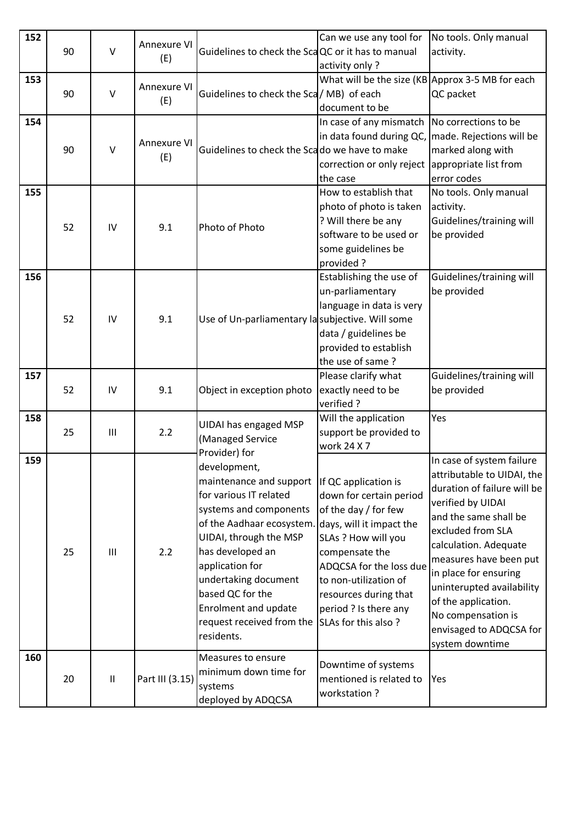| 152 | 90 | $\mathsf{V}$ | Annexure VI<br>(E)        | Guidelines to check the ScaQC or it has to manual                                                                                                                                                                                                                                                               | Can we use any tool for<br>activity only?                                                                                                                                                                                                                                 | No tools. Only manual<br>activity.                                                                                                                                                                                                                                                                                                                            |
|-----|----|--------------|---------------------------|-----------------------------------------------------------------------------------------------------------------------------------------------------------------------------------------------------------------------------------------------------------------------------------------------------------------|---------------------------------------------------------------------------------------------------------------------------------------------------------------------------------------------------------------------------------------------------------------------------|---------------------------------------------------------------------------------------------------------------------------------------------------------------------------------------------------------------------------------------------------------------------------------------------------------------------------------------------------------------|
| 153 | 90 | $\vee$       | <b>Annexure VI</b><br>(E) | Guidelines to check the Sca / MB) of each                                                                                                                                                                                                                                                                       | What will be the size (KB Approx 3-5 MB for each<br>document to be                                                                                                                                                                                                        | QC packet                                                                                                                                                                                                                                                                                                                                                     |
| 154 | 90 | $\vee$       | Annexure VI<br>(E)        | Guidelines to check the Scado we have to make                                                                                                                                                                                                                                                                   | In case of any mismatch<br>in data found during QC,<br>correction or only reject<br>the case                                                                                                                                                                              | No corrections to be<br>made. Rejections will be<br>marked along with<br>appropriate list from<br>error codes                                                                                                                                                                                                                                                 |
| 155 | 52 | IV           | 9.1                       | Photo of Photo                                                                                                                                                                                                                                                                                                  | How to establish that<br>photo of photo is taken<br>? Will there be any<br>software to be used or<br>some guidelines be<br>provided?                                                                                                                                      | No tools. Only manual<br>activity.<br>Guidelines/training will<br>be provided                                                                                                                                                                                                                                                                                 |
| 156 | 52 | IV           | 9.1                       | Use of Un-parliamentary lasubjective. Will some                                                                                                                                                                                                                                                                 | Establishing the use of<br>un-parliamentary<br>language in data is very<br>data / guidelines be<br>provided to establish<br>the use of same?                                                                                                                              | Guidelines/training will<br>be provided                                                                                                                                                                                                                                                                                                                       |
| 157 | 52 | IV           | 9.1                       | Object in exception photo                                                                                                                                                                                                                                                                                       | Please clarify what<br>exactly need to be<br>verified ?                                                                                                                                                                                                                   | Guidelines/training will<br>be provided                                                                                                                                                                                                                                                                                                                       |
| 158 | 25 | III          | 2.2                       | UIDAI has engaged MSP<br>(Managed Service<br>Provider) for                                                                                                                                                                                                                                                      | Will the application<br>support be provided to<br>work 24 X 7                                                                                                                                                                                                             | Yes                                                                                                                                                                                                                                                                                                                                                           |
| 159 | 25 | III          | 2.2                       | development,<br>maintenance and support<br>for various IT related<br>systems and components<br>of the Aadhaar ecosystem.<br>UIDAI, through the MSP<br>has developed an<br>application for<br>undertaking document<br>based QC for the<br><b>Enrolment and update</b><br>request received from the<br>residents. | If QC application is<br>down for certain period<br>of the day / for few<br>days, will it impact the<br>SLAs ? How will you<br>compensate the<br>ADQCSA for the loss due<br>to non-utilization of<br>resources during that<br>period ? Is there any<br>SLAs for this also? | In case of system failure<br>attributable to UIDAI, the<br>duration of failure will be<br>verified by UIDAI<br>and the same shall be<br>excluded from SLA<br>calculation. Adequate<br>measures have been put<br>in place for ensuring<br>uninterupted availability<br>of the application.<br>No compensation is<br>envisaged to ADQCSA for<br>system downtime |
| 160 | 20 | $\sf II$     | Part III (3.15)           | Measures to ensure<br>minimum down time for<br>systems<br>deployed by ADQCSA                                                                                                                                                                                                                                    | Downtime of systems<br>mentioned is related to<br>workstation?                                                                                                                                                                                                            | Yes                                                                                                                                                                                                                                                                                                                                                           |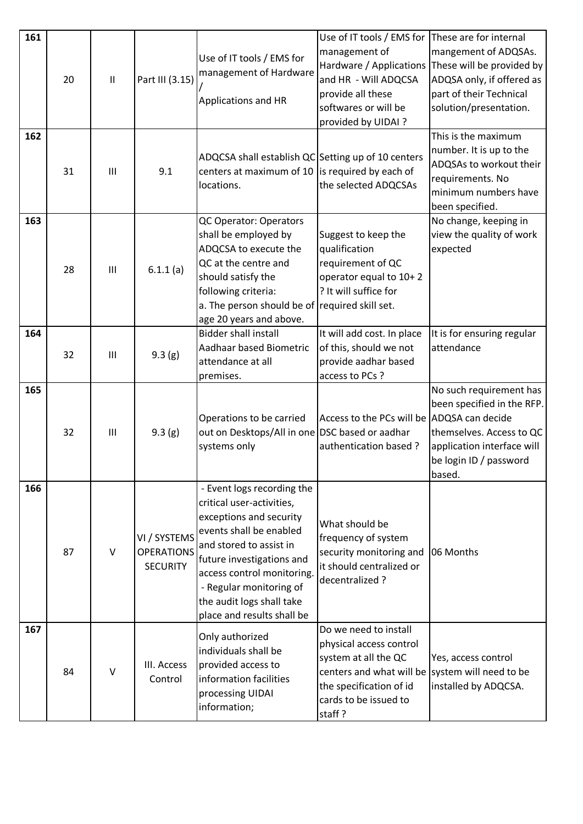| 161<br>162 | 20 | $\mathbf{II}$ | Part III (3.15)                                      | Use of IT tools / EMS for<br>management of Hardware<br>Applications and HR                                                                                                                                                                                                                | Use of IT tools / EMS for<br>management of<br>Hardware / Applications<br>and HR - Will ADQCSA<br>provide all these<br>softwares or will be<br>provided by UIDAI?                          | These are for internal<br>mangement of ADQSAs.<br>These will be provided by<br>ADQSA only, if offered as<br>part of their Technical<br>solution/presentation.<br>This is the maximum<br>number. It is up to the |
|------------|----|---------------|------------------------------------------------------|-------------------------------------------------------------------------------------------------------------------------------------------------------------------------------------------------------------------------------------------------------------------------------------------|-------------------------------------------------------------------------------------------------------------------------------------------------------------------------------------------|-----------------------------------------------------------------------------------------------------------------------------------------------------------------------------------------------------------------|
|            | 31 | III           | 9.1                                                  | ADQCSA shall establish QC Setting up of 10 centers<br>centers at maximum of 10 $\vert$ is required by each of<br>locations.                                                                                                                                                               | the selected ADQCSAs                                                                                                                                                                      | ADQSAs to workout their<br>requirements. No<br>minimum numbers have<br>been specified.                                                                                                                          |
| 163        | 28 | III           | 6.1.1(a)                                             | QC Operator: Operators<br>shall be employed by<br>ADQCSA to execute the<br>QC at the centre and<br>should satisfy the<br>following criteria:<br>a. The person should be of required skill set.<br>age 20 years and above.                                                                 | Suggest to keep the<br>qualification<br>requirement of QC<br>operator equal to 10+2<br>? It will suffice for                                                                              | No change, keeping in<br>view the quality of work<br>expected                                                                                                                                                   |
| 164        | 32 | III           | 9.3(g)                                               | <b>Bidder shall install</b><br>Aadhaar based Biometric<br>attendance at all<br>premises.                                                                                                                                                                                                  | It will add cost. In place<br>of this, should we not<br>provide aadhar based<br>access to PCs ?                                                                                           | It is for ensuring regular<br>attendance                                                                                                                                                                        |
| 165        | 32 | III           | 9.3(g)                                               | Operations to be carried<br>out on Desktops/All in one DSC based or aadhar<br>systems only                                                                                                                                                                                                | Access to the PCs will be<br>authentication based?                                                                                                                                        | No such requirement has<br>been specified in the RFP.<br>ADQSA can decide<br>themselves. Access to QC<br>application interface will<br>be login ID / password<br>based.                                         |
| 166        | 87 | $\vee$        | VI / SYSTEMS<br><b>OPERATIONS</b><br><b>SECURITY</b> | - Event logs recording the<br>critical user-activities,<br>exceptions and security<br>events shall be enabled<br>and stored to assist in<br>future investigations and<br>access control monitoring.<br>- Regular monitoring of<br>the audit logs shall take<br>place and results shall be | What should be<br>frequency of system<br>security monitoring and<br>it should centralized or<br>decentralized?                                                                            | 06 Months                                                                                                                                                                                                       |
| 167        | 84 | $\vee$        | III. Access<br>Control                               | Only authorized<br>individuals shall be<br>provided access to<br>information facilities<br>processing UIDAI<br>information;                                                                                                                                                               | Do we need to install<br>physical access control<br>system at all the QC<br>centers and what will be system will need to be<br>the specification of id<br>cards to be issued to<br>staff? | Yes, access control<br>installed by ADQCSA.                                                                                                                                                                     |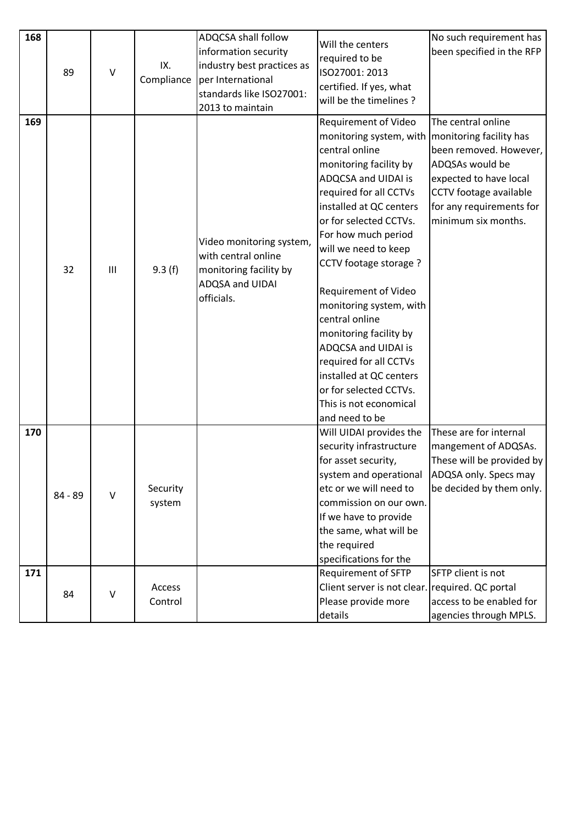| 168 |         |              |            | ADQCSA shall follow                             |                             | No such requirement has   |
|-----|---------|--------------|------------|-------------------------------------------------|-----------------------------|---------------------------|
|     |         |              |            | information security                            | Will the centers            | been specified in the RFP |
|     |         |              | IX.        | industry best practices as                      | required to be              |                           |
|     | 89      | $\vee$       | Compliance | per International                               | ISO27001: 2013              |                           |
|     |         |              |            | standards like ISO27001:                        | certified. If yes, what     |                           |
|     |         |              |            | 2013 to maintain                                | will be the timelines?      |                           |
| 169 |         |              |            |                                                 | Requirement of Video        | The central online        |
|     |         |              |            |                                                 | monitoring system, with     | monitoring facility has   |
|     |         |              |            |                                                 | central online              | been removed. However,    |
|     |         |              |            |                                                 | monitoring facility by      | ADQSAs would be           |
|     |         |              |            |                                                 | ADQCSA and UIDAI is         | expected to have local    |
|     |         |              |            |                                                 | required for all CCTVs      | CCTV footage available    |
|     |         |              |            |                                                 | installed at QC centers     | for any requirements for  |
|     |         |              |            |                                                 | or for selected CCTVs.      | minimum six months.       |
|     |         |              |            |                                                 | For how much period         |                           |
|     |         |              |            | Video monitoring system,<br>with central online | will we need to keep        |                           |
|     | 32      | III          |            | monitoring facility by                          | CCTV footage storage ?      |                           |
|     |         |              | 9.3(f)     | ADQSA and UIDAI                                 |                             |                           |
|     |         |              |            | officials.                                      | Requirement of Video        |                           |
|     |         |              |            |                                                 | monitoring system, with     |                           |
|     |         |              |            |                                                 | central online              |                           |
|     |         |              |            |                                                 | monitoring facility by      |                           |
|     |         |              |            |                                                 | ADQCSA and UIDAI is         |                           |
|     |         |              |            |                                                 | required for all CCTVs      |                           |
|     |         |              |            |                                                 | installed at QC centers     |                           |
|     |         |              |            |                                                 | or for selected CCTVs.      |                           |
|     |         |              |            |                                                 | This is not economical      |                           |
|     |         |              |            |                                                 | and need to be              |                           |
| 170 |         |              |            |                                                 | Will UIDAI provides the     | These are for internal    |
|     |         |              |            |                                                 | security infrastructure     | mangement of ADQSAs.      |
|     |         |              |            |                                                 | for asset security,         | These will be provided by |
|     |         |              |            |                                                 | system and operational      | ADQSA only. Specs may     |
|     | 84 - 89 | $\vee$       | Security   |                                                 | etc or we will need to      | be decided by them only.  |
|     |         |              | system     |                                                 | commission on our own.      |                           |
|     |         |              |            |                                                 | If we have to provide       |                           |
|     |         |              |            |                                                 | the same, what will be      |                           |
|     |         |              |            |                                                 | the required                |                           |
|     |         |              |            |                                                 | specifications for the      |                           |
| 171 |         |              |            |                                                 | Requirement of SFTP         | SFTP client is not        |
|     | 84      | $\mathsf{V}$ | Access     |                                                 | Client server is not clear. | required. QC portal       |
|     |         |              | Control    |                                                 | Please provide more         | access to be enabled for  |
|     |         |              |            |                                                 | details                     | agencies through MPLS.    |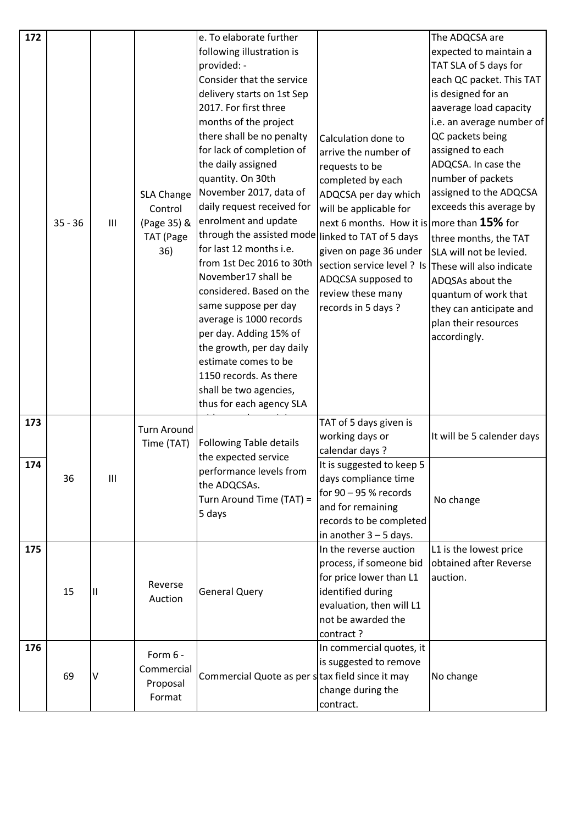| 172 |           |                |                    | e. To elaborate further                            |                                                     | The ADQCSA are             |
|-----|-----------|----------------|--------------------|----------------------------------------------------|-----------------------------------------------------|----------------------------|
|     |           |                |                    | following illustration is                          |                                                     | expected to maintain a     |
|     |           |                |                    | provided: -                                        |                                                     | TAT SLA of 5 days for      |
|     |           |                |                    | Consider that the service                          |                                                     | each QC packet. This TAT   |
|     |           |                |                    | delivery starts on 1st Sep                         |                                                     | is designed for an         |
|     |           |                |                    | 2017. For first three                              |                                                     | aaverage load capacity     |
|     |           |                |                    | months of the project                              |                                                     | i.e. an average number of  |
|     |           |                |                    | there shall be no penalty                          | Calculation done to                                 | QC packets being           |
|     |           |                |                    | for lack of completion of                          | arrive the number of                                | assigned to each           |
|     |           |                |                    | the daily assigned                                 | requests to be                                      | ADQCSA. In case the        |
|     |           |                |                    | quantity. On 30th                                  | completed by each                                   | number of packets          |
|     |           |                | <b>SLA Change</b>  | November 2017, data of                             | ADQCSA per day which                                | assigned to the ADQCSA     |
|     |           |                | Control            | daily request received for                         | will be applicable for                              | exceeds this average by    |
|     | $35 - 36$ | $\mathbf{III}$ | (Page 35) &        | enrolment and update                               | next 6 months. How it is more than $15\%$ for       |                            |
|     |           |                | <b>TAT</b> (Page   | through the assisted mode                          | linked to TAT of 5 days                             | three months, the TAT      |
|     |           |                | 36)                | for last 12 months i.e.                            | given on page 36 under                              | SLA will not be levied.    |
|     |           |                |                    | from 1st Dec 2016 to 30th                          | section service level ? Is These will also indicate |                            |
|     |           |                |                    | November17 shall be                                | ADQCSA supposed to                                  | ADQSAs about the           |
|     |           |                |                    | considered. Based on the                           | review these many                                   | quantum of work that       |
|     |           |                |                    | same suppose per day                               | records in 5 days ?                                 | they can anticipate and    |
|     |           |                |                    | average is 1000 records                            |                                                     | plan their resources       |
|     |           |                |                    | per day. Adding 15% of                             |                                                     | accordingly.               |
|     |           |                |                    | the growth, per day daily                          |                                                     |                            |
|     |           |                |                    | estimate comes to be                               |                                                     |                            |
|     |           |                |                    | 1150 records. As there                             |                                                     |                            |
|     |           |                |                    | shall be two agencies,<br>thus for each agency SLA |                                                     |                            |
|     |           |                |                    |                                                    |                                                     |                            |
| 173 |           |                | <b>Turn Around</b> |                                                    | TAT of 5 days given is                              |                            |
|     |           |                | Time (TAT)         | Following Table details                            | working days or<br>calendar days ?                  | It will be 5 calender days |
| 174 |           |                |                    | the expected service                               | It is suggested to keep 5                           |                            |
|     | 36        | $\mathbf{III}$ |                    | performance levels from                            | days compliance time                                |                            |
|     |           |                |                    | the ADQCSAs.                                       | for $90 - 95$ % records                             |                            |
|     |           |                |                    | Turn Around Time (TAT) =                           | and for remaining                                   | No change                  |
|     |           |                |                    | 5 days                                             | records to be completed                             |                            |
|     |           |                |                    |                                                    | in another $3 - 5$ days.                            |                            |
| 175 |           |                |                    |                                                    | In the reverse auction                              | L1 is the lowest price     |
|     |           |                |                    |                                                    | process, if someone bid                             | obtained after Reverse     |
|     |           |                |                    |                                                    | for price lower than L1                             | auction.                   |
|     | 15        | Ш              | Reverse            | <b>General Query</b>                               | identified during                                   |                            |
|     |           |                | Auction            |                                                    | evaluation, then will L1                            |                            |
|     |           |                |                    |                                                    | not be awarded the                                  |                            |
|     |           |                |                    |                                                    | contract?                                           |                            |
| 176 |           |                | Form 6 -           |                                                    | In commercial quotes, it                            |                            |
|     |           |                | Commercial         |                                                    | is suggested to remove                              |                            |
|     | 69        | $\mathsf{V}$   | Proposal           | Commercial Quote as per stax field since it may    |                                                     | No change                  |
|     |           |                | Format             |                                                    | change during the                                   |                            |
|     |           |                |                    |                                                    | contract.                                           |                            |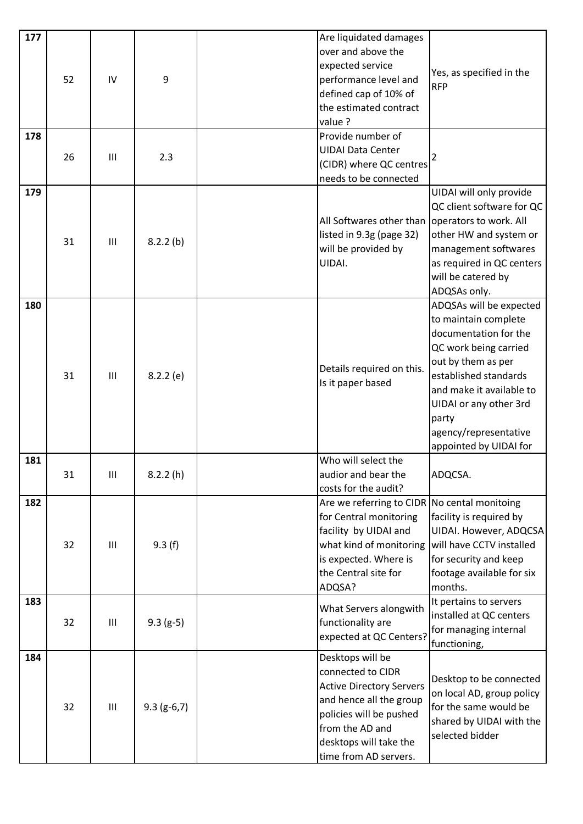| 177 |    |     |               | Are liquidated damages                          |                                             |
|-----|----|-----|---------------|-------------------------------------------------|---------------------------------------------|
|     |    |     |               | over and above the                              |                                             |
|     |    |     |               | expected service                                | Yes, as specified in the                    |
|     | 52 | IV  | 9             | performance level and                           | <b>RFP</b>                                  |
|     |    |     |               | defined cap of 10% of                           |                                             |
|     |    |     |               | the estimated contract                          |                                             |
|     |    |     |               | value ?                                         |                                             |
| 178 |    |     |               | Provide number of                               |                                             |
|     | 26 | Ш   |               | <b>UIDAI Data Center</b>                        |                                             |
|     |    |     | 2.3           | (CIDR) where QC centres                         |                                             |
|     |    |     |               | needs to be connected                           |                                             |
| 179 |    |     |               |                                                 | UIDAI will only provide                     |
|     |    |     |               |                                                 | QC client software for QC                   |
|     |    |     |               | All Softwares other than operators to work. All |                                             |
|     |    |     |               | listed in 9.3g (page 32)                        | other HW and system or                      |
|     | 31 | III | 8.2.2(b)      | will be provided by                             | management softwares                        |
|     |    |     |               | UIDAI.                                          | as required in QC centers                   |
|     |    |     |               |                                                 | will be catered by                          |
|     |    |     |               |                                                 | ADQSAs only.                                |
| 180 |    |     |               |                                                 | ADQSAs will be expected                     |
|     |    |     |               |                                                 | to maintain complete                        |
|     |    |     |               |                                                 | documentation for the                       |
|     |    |     |               |                                                 | QC work being carried                       |
|     |    |     |               |                                                 | out by them as per                          |
|     | 31 | III | 8.2.2(e)      | Details required on this.                       | established standards                       |
|     |    |     |               | Is it paper based                               | and make it available to                    |
|     |    |     |               |                                                 | UIDAI or any other 3rd                      |
|     |    |     |               |                                                 | party                                       |
|     |    |     |               |                                                 | agency/representative                       |
|     |    |     |               |                                                 | appointed by UIDAI for                      |
| 181 |    |     |               | Who will select the                             |                                             |
|     | 31 | Ш   | 8.2.2(h)      | audior and bear the                             | ADQCSA.                                     |
|     |    |     |               | costs for the audit?                            |                                             |
| 182 |    |     |               | Are we referring to CIDR No cental monitoing    |                                             |
|     |    |     |               | for Central monitoring                          | facility is required by                     |
|     |    |     |               | facility by UIDAI and                           | UIDAI. However, ADQCSA                      |
|     | 32 | Ш   | 9.3(f)        | what kind of monitoring                         | will have CCTV installed                    |
|     |    |     |               | is expected. Where is                           | for security and keep                       |
|     |    |     |               | the Central site for                            | footage available for six                   |
|     |    |     |               | ADQSA?                                          | months.                                     |
| 183 |    |     |               | What Servers alongwith                          | It pertains to servers                      |
|     | 32 | Ш   |               |                                                 | installed at QC centers                     |
|     |    |     | $9.3(g-5)$    | functionality are                               | for managing internal                       |
|     |    |     |               | expected at QC Centers?                         | functioning,                                |
| 184 |    |     |               | Desktops will be                                |                                             |
|     |    |     |               | connected to CIDR                               | Desktop to be connected                     |
|     |    |     |               | <b>Active Directory Servers</b>                 | on local AD, group policy                   |
|     | 32 | III |               | and hence all the group                         | for the same would be                       |
|     |    |     | $9.3$ (g-6,7) | policies will be pushed                         |                                             |
|     |    |     |               | from the AD and                                 | shared by UIDAI with the<br>selected bidder |
|     |    |     |               | desktops will take the                          |                                             |
|     |    |     |               | time from AD servers.                           |                                             |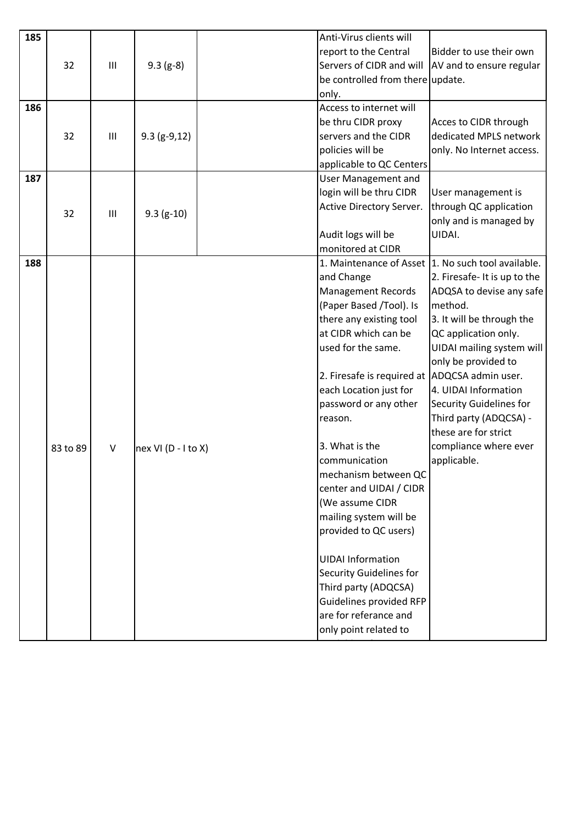| 185 |          |                |                       | Anti-Virus clients will                         |                              |
|-----|----------|----------------|-----------------------|-------------------------------------------------|------------------------------|
|     |          |                |                       | report to the Central                           | Bidder to use their own      |
|     | 32       | $\mathbf{III}$ | $9.3$ (g-8)           | Servers of CIDR and will                        | AV and to ensure regular     |
|     |          |                |                       | be controlled from there update.                |                              |
|     |          |                |                       | only.                                           |                              |
| 186 |          |                |                       | Access to internet will                         |                              |
|     |          |                |                       | be thru CIDR proxy                              | Acces to CIDR through        |
|     | 32       | $\mathbf{III}$ | $9.3$ (g-9,12)        | servers and the CIDR                            | dedicated MPLS network       |
|     |          |                |                       | policies will be                                | only. No Internet access.    |
|     |          |                |                       | applicable to QC Centers                        |                              |
| 187 |          |                |                       | <b>User Management and</b>                      |                              |
|     |          |                |                       | login will be thru CIDR                         | User management is           |
|     | 32       | $\mathbf{III}$ | $9.3$ (g-10)          | Active Directory Server.                        | through QC application       |
|     |          |                |                       |                                                 | only and is managed by       |
|     |          |                |                       | Audit logs will be                              | UIDAI.                       |
|     |          |                |                       | monitored at CIDR                               |                              |
| 188 |          |                |                       | 1. Maintenance of Asset                         | 1. No such tool available.   |
|     |          |                |                       | and Change                                      | 2. Firesafe- It is up to the |
|     |          |                |                       | <b>Management Records</b>                       | ADQSA to devise any safe     |
|     |          |                |                       | (Paper Based /Tool). Is                         | method.                      |
|     |          |                |                       | there any existing tool                         | 3. It will be through the    |
|     |          |                |                       | at CIDR which can be                            | QC application only.         |
|     |          |                |                       | used for the same.                              | UIDAI mailing system will    |
|     |          |                |                       |                                                 | only be provided to          |
|     |          |                |                       | 2. Firesafe is required at                      | ADQCSA admin user.           |
|     |          |                |                       | each Location just for                          | 4. UIDAI Information         |
|     |          |                |                       | password or any other                           | Security Guidelines for      |
|     |          |                |                       | reason.                                         | Third party (ADQCSA) -       |
|     |          |                |                       |                                                 | these are for strict         |
|     | 83 to 89 | $\vee$         | nex VI $(D - I$ to X) | 3. What is the                                  | compliance where ever        |
|     |          |                |                       | communication                                   | applicable.                  |
|     |          |                |                       | mechanism between QC                            |                              |
|     |          |                |                       | center and UIDAI / CIDR                         |                              |
|     |          |                |                       | (We assume CIDR                                 |                              |
|     |          |                |                       | mailing system will be<br>provided to QC users) |                              |
|     |          |                |                       |                                                 |                              |
|     |          |                |                       | <b>UIDAI Information</b>                        |                              |
|     |          |                |                       | <b>Security Guidelines for</b>                  |                              |
|     |          |                |                       | Third party (ADQCSA)                            |                              |
|     |          |                |                       | Guidelines provided RFP                         |                              |
|     |          |                |                       | are for referance and                           |                              |
|     |          |                |                       | only point related to                           |                              |
|     |          |                |                       |                                                 |                              |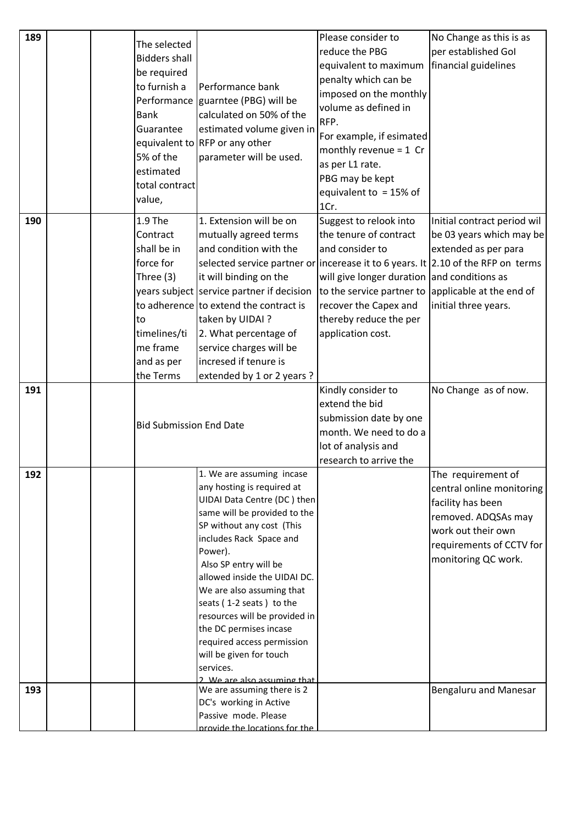| 189 |  | The selected                   |                                                                                  | Please consider to<br>reduce the PBG        | No Change as this is as<br>per established Gol |
|-----|--|--------------------------------|----------------------------------------------------------------------------------|---------------------------------------------|------------------------------------------------|
|     |  | <b>Bidders shall</b>           |                                                                                  | equivalent to maximum                       | financial guidelines                           |
|     |  | be required                    |                                                                                  | penalty which can be                        |                                                |
|     |  | to furnish a                   | Performance bank                                                                 | imposed on the monthly                      |                                                |
|     |  |                                | Performance guarntee (PBG) will be                                               | volume as defined in                        |                                                |
|     |  | <b>Bank</b>                    | calculated on 50% of the                                                         | RFP.                                        |                                                |
|     |  | Guarantee                      | estimated volume given in                                                        | For example, if esimated                    |                                                |
|     |  |                                | equivalent to RFP or any other                                                   | monthly revenue = $1$ Cr                    |                                                |
|     |  | 5% of the                      | parameter will be used.                                                          | as per L1 rate.                             |                                                |
|     |  | estimated                      |                                                                                  | PBG may be kept                             |                                                |
|     |  | total contract                 |                                                                                  | equivalent to = $15\%$ of                   |                                                |
|     |  | value,                         |                                                                                  | 1Cr.                                        |                                                |
| 190 |  | 1.9 The                        | 1. Extension will be on                                                          | Suggest to relook into                      | Initial contract period wil                    |
|     |  | Contract                       | mutually agreed terms                                                            | the tenure of contract                      | be 03 years which may be                       |
|     |  | shall be in                    | and condition with the                                                           | and consider to                             | extended as per para                           |
|     |  | force for                      | selected service partner or incerease it to 6 years. It 2.10 of the RFP on terms |                                             |                                                |
|     |  | Three $(3)$                    | it will binding on the                                                           | will give longer duration and conditions as |                                                |
|     |  |                                | years subject service partner if decision                                        | to the service partner to                   | applicable at the end of                       |
|     |  |                                | to adherence to extend the contract is                                           | recover the Capex and                       | initial three years.                           |
|     |  | to                             | taken by UIDAI?                                                                  | thereby reduce the per                      |                                                |
|     |  | timelines/ti                   | 2. What percentage of                                                            | application cost.                           |                                                |
|     |  | me frame                       | service charges will be                                                          |                                             |                                                |
|     |  | and as per                     | incresed if tenure is                                                            |                                             |                                                |
|     |  | the Terms                      | extended by 1 or 2 years ?                                                       |                                             |                                                |
|     |  |                                |                                                                                  |                                             |                                                |
| 191 |  |                                |                                                                                  | Kindly consider to                          | No Change as of now.                           |
|     |  |                                |                                                                                  | extend the bid                              |                                                |
|     |  |                                |                                                                                  | submission date by one                      |                                                |
|     |  | <b>Bid Submission End Date</b> |                                                                                  | month. We need to do a                      |                                                |
|     |  |                                |                                                                                  | lot of analysis and                         |                                                |
|     |  |                                |                                                                                  | research to arrive the                      |                                                |
| 192 |  |                                | 1. We are assuming incase                                                        |                                             | The requirement of                             |
|     |  |                                | any hosting is required at                                                       |                                             | central online monitoring                      |
|     |  |                                | UIDAI Data Centre (DC) then                                                      |                                             | facility has been                              |
|     |  |                                | same will be provided to the                                                     |                                             | removed. ADQSAs may                            |
|     |  |                                | SP without any cost (This                                                        |                                             | work out their own                             |
|     |  |                                | includes Rack Space and                                                          |                                             | requirements of CCTV for                       |
|     |  |                                | Power).                                                                          |                                             | monitoring QC work.                            |
|     |  |                                | Also SP entry will be<br>allowed inside the UIDAI DC.                            |                                             |                                                |
|     |  |                                | We are also assuming that                                                        |                                             |                                                |
|     |  |                                | seats (1-2 seats) to the                                                         |                                             |                                                |
|     |  |                                | resources will be provided in                                                    |                                             |                                                |
|     |  |                                | the DC permises incase                                                           |                                             |                                                |
|     |  |                                | required access permission                                                       |                                             |                                                |
|     |  |                                | will be given for touch                                                          |                                             |                                                |
|     |  |                                | services.                                                                        |                                             |                                                |
|     |  |                                | 2 We are also assuming that                                                      |                                             |                                                |
| 193 |  |                                | We are assuming there is 2                                                       |                                             | Bengaluru and Manesar                          |
|     |  |                                | DC's working in Active<br>Passive mode. Please                                   |                                             |                                                |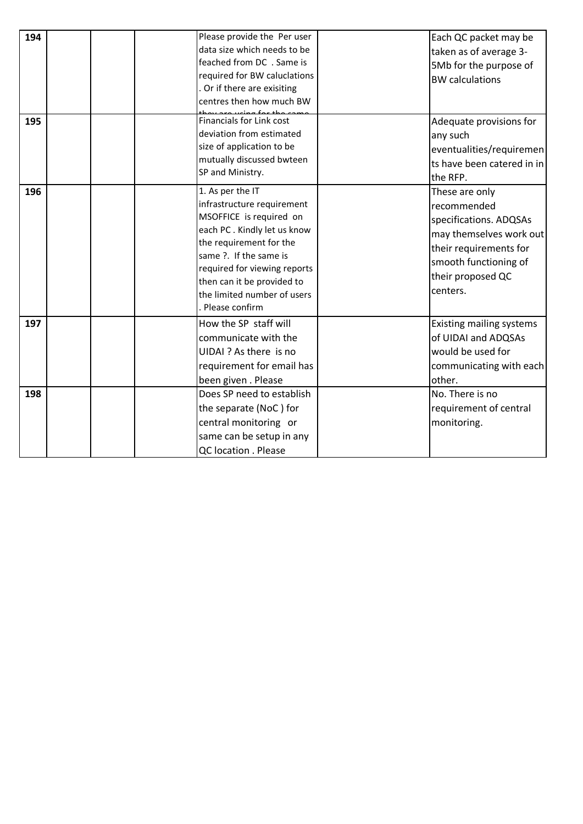| 194        | Please provide the Per user<br>data size which needs to be<br>feached from DC . Same is<br>required for BW caluclations<br>Or if there are exisiting<br>centres then how much BW                                                                                             | Each QC packet may be<br>taken as of average 3-<br>5Mb for the purpose of<br><b>BW</b> calculations                                                                    |
|------------|------------------------------------------------------------------------------------------------------------------------------------------------------------------------------------------------------------------------------------------------------------------------------|------------------------------------------------------------------------------------------------------------------------------------------------------------------------|
| 195        | Financials for Link cost<br>deviation from estimated<br>size of application to be<br>mutually discussed bwteen<br>SP and Ministry.                                                                                                                                           | Adequate provisions for<br>any such<br>eventualities/requiremen<br>ts have been catered in in<br>the RFP.                                                              |
| 196        | 1. As per the IT<br>infrastructure requirement<br>MSOFFICE is required on<br>each PC. Kindly let us know<br>the requirement for the<br>same ?. If the same is<br>required for viewing reports<br>then can it be provided to<br>the limited number of users<br>Please confirm | These are only<br>recommended<br>specifications. ADQSAs<br>may themselves work out<br>their requirements for<br>smooth functioning of<br>their proposed QC<br>centers. |
| 197<br>198 | How the SP staff will<br>communicate with the<br>UIDAI ? As there is no<br>requirement for email has<br>been given. Please<br>Does SP need to establish<br>the separate (NoC) for<br>central monitoring or                                                                   | Existing mailing systems<br>of UIDAI and ADQSAs<br>would be used for<br>communicating with each<br>other.<br>No. There is no<br>requirement of central<br>monitoring.  |
|            | same can be setup in any<br>QC location . Please                                                                                                                                                                                                                             |                                                                                                                                                                        |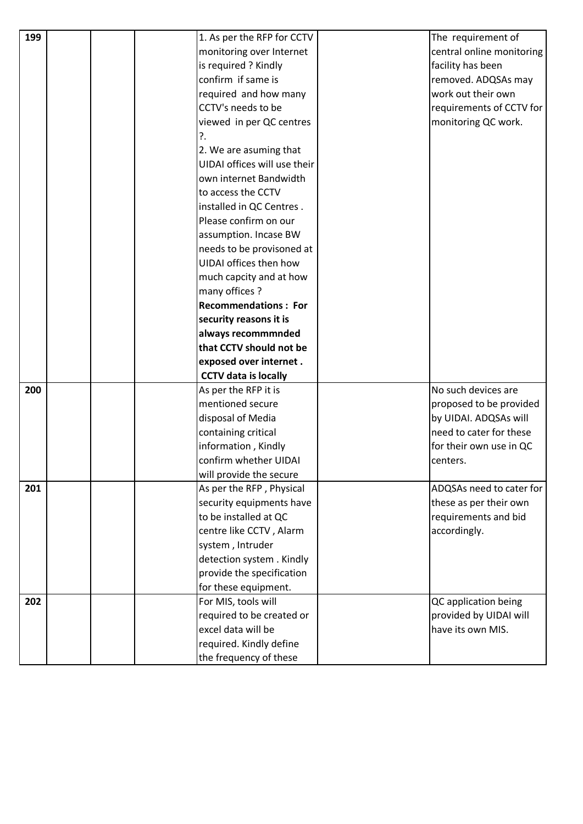| 199 |  | 1. As per the RFP for CCTV                        | The requirement of        |
|-----|--|---------------------------------------------------|---------------------------|
|     |  | monitoring over Internet                          | central online monitoring |
|     |  | is required ? Kindly                              | facility has been         |
|     |  | confirm if same is                                | removed. ADQSAs may       |
|     |  | required and how many                             | work out their own        |
|     |  | CCTV's needs to be                                | requirements of CCTV for  |
|     |  | viewed in per QC centres                          | monitoring QC work.       |
|     |  | ?.                                                |                           |
|     |  | 2. We are asuming that                            |                           |
|     |  | UIDAI offices will use their                      |                           |
|     |  | own internet Bandwidth                            |                           |
|     |  | to access the CCTV                                |                           |
|     |  | installed in QC Centres.                          |                           |
|     |  | Please confirm on our                             |                           |
|     |  | assumption. Incase BW                             |                           |
|     |  | needs to be provisoned at                         |                           |
|     |  | UIDAI offices then how                            |                           |
|     |  | much capcity and at how                           |                           |
|     |  | many offices?                                     |                           |
|     |  | <b>Recommendations: For</b>                       |                           |
|     |  | security reasons it is                            |                           |
|     |  | always recommmnded                                |                           |
|     |  | that CCTV should not be                           |                           |
|     |  | exposed over internet.                            |                           |
|     |  | <b>CCTV data is locally</b>                       |                           |
| 200 |  | As per the RFP it is                              | No such devices are       |
|     |  | mentioned secure                                  | proposed to be provided   |
|     |  | disposal of Media                                 | by UIDAI. ADQSAs will     |
|     |  | containing critical                               | need to cater for these   |
|     |  | information, Kindly                               | for their own use in QC   |
|     |  | confirm whether UIDAI                             | centers.                  |
|     |  | will provide the secure                           |                           |
| 201 |  | As per the RFP, Physical                          | ADQSAs need to cater for  |
|     |  | security equipments have                          | these as per their own    |
|     |  | to be installed at QC                             | requirements and bid      |
|     |  | centre like CCTV, Alarm                           | accordingly.              |
|     |  | system, Intruder                                  |                           |
|     |  | detection system . Kindly                         |                           |
|     |  | provide the specification                         |                           |
|     |  | for these equipment.                              |                           |
| 202 |  | For MIS, tools will                               | QC application being      |
|     |  | required to be created or                         | provided by UIDAI will    |
|     |  |                                                   |                           |
|     |  | excel data will be                                | have its own MIS.         |
|     |  | required. Kindly define<br>the frequency of these |                           |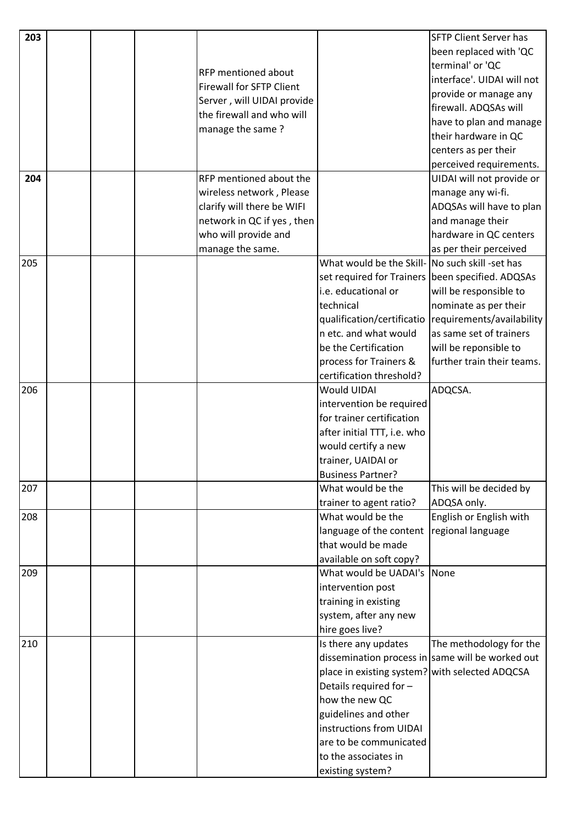| 203 |  |                                 |                                                 | <b>SFTP Client Server has</b>                    |
|-----|--|---------------------------------|-------------------------------------------------|--------------------------------------------------|
|     |  |                                 |                                                 | been replaced with 'QC                           |
|     |  |                                 |                                                 | terminal' or 'QC                                 |
|     |  | <b>RFP</b> mentioned about      |                                                 | interface'. UIDAI will not                       |
|     |  | <b>Firewall for SFTP Client</b> |                                                 | provide or manage any                            |
|     |  | Server, will UIDAI provide      |                                                 | firewall. ADQSAs will                            |
|     |  | the firewall and who will       |                                                 | have to plan and manage                          |
|     |  | manage the same?                |                                                 | their hardware in QC                             |
|     |  |                                 |                                                 | centers as per their                             |
|     |  |                                 |                                                 | perceived requirements.                          |
| 204 |  | RFP mentioned about the         |                                                 | UIDAI will not provide or                        |
|     |  | wireless network, Please        |                                                 | manage any wi-fi.                                |
|     |  | clarify will there be WIFI      |                                                 | ADQSAs will have to plan                         |
|     |  | network in QC if yes, then      |                                                 | and manage their                                 |
|     |  | who will provide and            |                                                 | hardware in QC centers                           |
|     |  | manage the same.                |                                                 | as per their perceived                           |
| 205 |  |                                 | What would be the Skill- No such skill -set has |                                                  |
|     |  |                                 | set required for Trainers                       | been specified. ADQSAs                           |
|     |  |                                 | i.e. educational or                             | will be responsible to                           |
|     |  |                                 | technical                                       | nominate as per their                            |
|     |  |                                 | qualification/certificatio                      | requirements/availability                        |
|     |  |                                 | n etc. and what would                           | as same set of trainers                          |
|     |  |                                 | be the Certification                            | will be reponsible to                            |
|     |  |                                 | process for Trainers &                          | further train their teams.                       |
|     |  |                                 | certification threshold?                        |                                                  |
| 206 |  |                                 | Would UIDAI                                     | ADQCSA.                                          |
|     |  |                                 | intervention be required                        |                                                  |
|     |  |                                 | for trainer certification                       |                                                  |
|     |  |                                 | after initial TTT, i.e. who                     |                                                  |
|     |  |                                 | would certify a new                             |                                                  |
|     |  |                                 | trainer, UAIDAI or                              |                                                  |
|     |  |                                 | <b>Business Partner?</b>                        |                                                  |
| 207 |  |                                 | What would be the                               | This will be decided by                          |
|     |  |                                 | trainer to agent ratio?                         | ADQSA only.                                      |
| 208 |  |                                 | What would be the                               | English or English with                          |
|     |  |                                 | language of the content                         | regional language                                |
|     |  |                                 | that would be made                              |                                                  |
|     |  |                                 | available on soft copy?                         |                                                  |
| 209 |  |                                 | What would be UADAI's                           | None                                             |
|     |  |                                 | intervention post                               |                                                  |
|     |  |                                 | training in existing                            |                                                  |
|     |  |                                 | system, after any new                           |                                                  |
|     |  |                                 | hire goes live?                                 |                                                  |
| 210 |  |                                 | Is there any updates                            | The methodology for the                          |
|     |  |                                 |                                                 | dissemination process in same will be worked out |
|     |  |                                 | place in existing system? with selected ADQCSA  |                                                  |
|     |  |                                 | Details required for -                          |                                                  |
|     |  |                                 | how the new QC                                  |                                                  |
|     |  |                                 | guidelines and other                            |                                                  |
|     |  |                                 | instructions from UIDAI                         |                                                  |
|     |  |                                 | are to be communicated                          |                                                  |
|     |  |                                 | to the associates in                            |                                                  |
|     |  |                                 | existing system?                                |                                                  |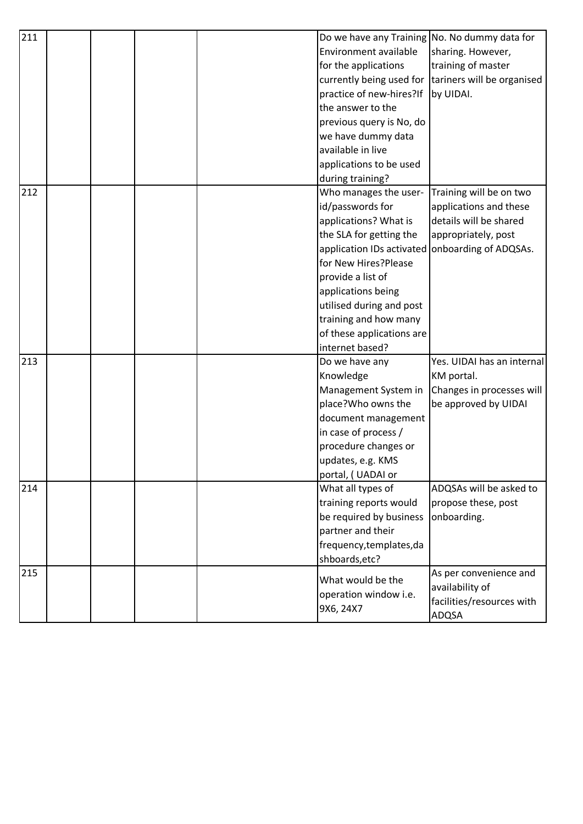| 211 |  | Do we have any Training No. No dummy data for |                            |
|-----|--|-----------------------------------------------|----------------------------|
|     |  | Environment available                         | sharing. However,          |
|     |  | for the applications                          | training of master         |
|     |  | currently being used for                      | tariners will be organised |
|     |  | practice of new-hires?If                      | by UIDAI.                  |
|     |  | the answer to the                             |                            |
|     |  | previous query is No, do                      |                            |
|     |  | we have dummy data                            |                            |
|     |  | available in live                             |                            |
|     |  | applications to be used                       |                            |
|     |  | during training?                              |                            |
| 212 |  | Who manages the user-                         | Training will be on two    |
|     |  | id/passwords for                              | applications and these     |
|     |  | applications? What is                         | details will be shared     |
|     |  | the SLA for getting the                       | appropriately, post        |
|     |  | application IDs activated                     | onboarding of ADQSAs.      |
|     |  | for New Hires?Please                          |                            |
|     |  | provide a list of                             |                            |
|     |  | applications being                            |                            |
|     |  | utilised during and post                      |                            |
|     |  | training and how many                         |                            |
|     |  | of these applications are                     |                            |
|     |  | internet based?                               |                            |
| 213 |  | Do we have any                                | Yes. UIDAI has an internal |
|     |  | Knowledge                                     | KM portal.                 |
|     |  | Management System in                          | Changes in processes will  |
|     |  | place?Who owns the                            | be approved by UIDAI       |
|     |  | document management                           |                            |
|     |  | in case of process /                          |                            |
|     |  | procedure changes or                          |                            |
|     |  | updates, e.g. KMS                             |                            |
|     |  | portal, (UADAI or                             |                            |
| 214 |  | What all types of                             | ADQSAs will be asked to    |
|     |  | training reports would                        | propose these, post        |
|     |  | be required by business                       | onboarding.                |
|     |  | partner and their                             |                            |
|     |  | frequency, templates, da                      |                            |
|     |  | shboards, etc?                                |                            |
| 215 |  | What would be the                             | As per convenience and     |
|     |  | operation window i.e.                         | availability of            |
|     |  | 9X6, 24X7                                     | facilities/resources with  |
|     |  |                                               | ADQSA                      |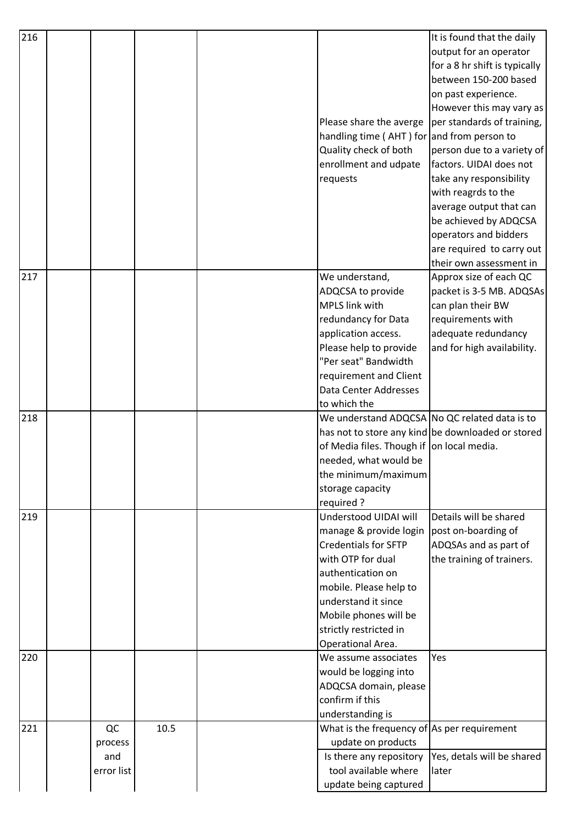| 216 |            |      |                                                     | It is found that the daily                        |
|-----|------------|------|-----------------------------------------------------|---------------------------------------------------|
|     |            |      |                                                     | output for an operator                            |
|     |            |      |                                                     | for a 8 hr shift is typically                     |
|     |            |      |                                                     | between 150-200 based                             |
|     |            |      |                                                     | on past experience.                               |
|     |            |      |                                                     | However this may vary as                          |
|     |            |      | Please share the averge                             | per standards of training,                        |
|     |            |      | handling time ( $AHT$ ) for and from person to      |                                                   |
|     |            |      | Quality check of both                               | person due to a variety of                        |
|     |            |      | enrollment and udpate                               | factors. UIDAI does not                           |
|     |            |      | requests                                            | take any responsibility                           |
|     |            |      |                                                     | with reagrds to the                               |
|     |            |      |                                                     | average output that can                           |
|     |            |      |                                                     | be achieved by ADQCSA                             |
|     |            |      |                                                     | operators and bidders                             |
|     |            |      |                                                     | are required to carry out                         |
|     |            |      |                                                     | their own assessment in                           |
| 217 |            |      | We understand,                                      | Approx size of each QC                            |
|     |            |      | ADQCSA to provide                                   | packet is 3-5 MB. ADQSAs                          |
|     |            |      | <b>MPLS link with</b>                               | can plan their BW                                 |
|     |            |      | redundancy for Data                                 | requirements with                                 |
|     |            |      | application access.                                 | adequate redundancy                               |
|     |            |      | Please help to provide                              | and for high availability.                        |
|     |            |      | "Per seat" Bandwidth                                |                                                   |
|     |            |      | requirement and Client                              |                                                   |
|     |            |      | Data Center Addresses                               |                                                   |
|     |            |      | to which the                                        |                                                   |
| 218 |            |      | We understand ADQCSA No QC related data is to       |                                                   |
|     |            |      |                                                     | has not to store any kind be downloaded or stored |
|     |            |      | of Media files. Though if on local media.           |                                                   |
|     |            |      | needed, what would be                               |                                                   |
|     |            |      | the minimum/maximum                                 |                                                   |
|     |            |      | storage capacity                                    |                                                   |
|     |            |      | required?                                           |                                                   |
| 219 |            |      | Understood UIDAI will                               | Details will be shared                            |
|     |            |      | manage & provide login                              | post on-boarding of                               |
|     |            |      | <b>Credentials for SFTP</b>                         | ADQSAs and as part of                             |
|     |            |      | with OTP for dual                                   | the training of trainers.                         |
|     |            |      | authentication on                                   |                                                   |
|     |            |      | mobile. Please help to                              |                                                   |
|     |            |      | understand it since                                 |                                                   |
|     |            |      | Mobile phones will be                               |                                                   |
|     |            |      | strictly restricted in                              |                                                   |
|     |            |      | Operational Area.                                   |                                                   |
| 220 |            |      | We assume associates                                | Yes                                               |
|     |            |      | would be logging into                               |                                                   |
|     |            |      | ADQCSA domain, please                               |                                                   |
|     |            |      | confirm if this                                     |                                                   |
|     |            |      | understanding is                                    |                                                   |
| 221 | QC         | 10.5 | What is the frequency of $\vert$ As per requirement |                                                   |
|     | process    |      | update on products                                  |                                                   |
|     | and        |      | Is there any repository                             | Yes, detals will be shared                        |
|     | error list |      | tool available where                                | later                                             |
|     |            |      | update being captured                               |                                                   |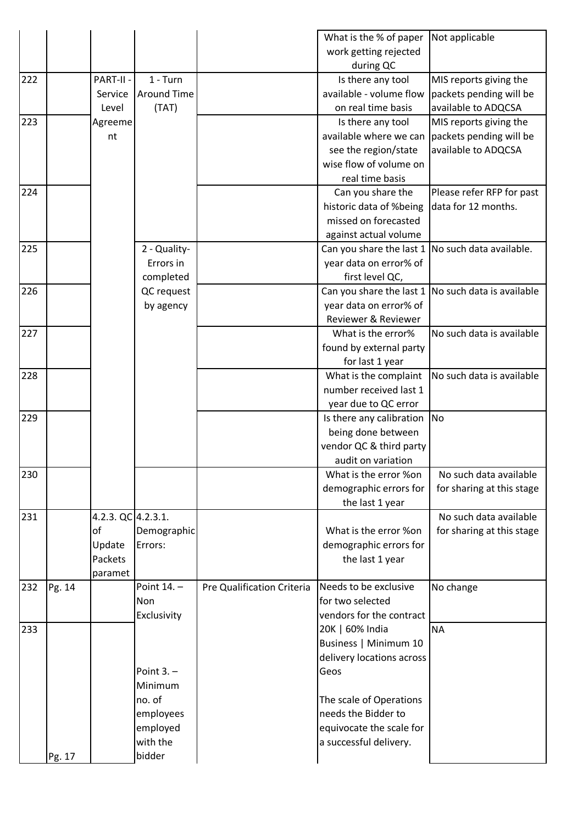|     |        |                    |                        |                            | What is the % of paper            | Not applicable            |
|-----|--------|--------------------|------------------------|----------------------------|-----------------------------------|---------------------------|
|     |        |                    |                        |                            | work getting rejected             |                           |
|     |        |                    |                        |                            | during QC                         |                           |
| 222 |        | PART-II -          | $1 - Turn$             |                            | Is there any tool                 | MIS reports giving the    |
|     |        | Service            | <b>Around Time</b>     |                            | available - volume flow           | packets pending will be   |
|     |        | Level              | (TAT)                  |                            | on real time basis                | available to ADQCSA       |
| 223 |        | Agreeme            |                        |                            | Is there any tool                 | MIS reports giving the    |
|     |        | nt                 |                        |                            | available where we can            | packets pending will be   |
|     |        |                    |                        |                            | see the region/state              | available to ADQCSA       |
|     |        |                    |                        |                            | wise flow of volume on            |                           |
|     |        |                    |                        |                            | real time basis                   |                           |
| 224 |        |                    |                        |                            | Can you share the                 | Please refer RFP for past |
|     |        |                    |                        |                            | historic data of %being           | data for 12 months.       |
|     |        |                    |                        |                            | missed on forecasted              |                           |
|     |        |                    |                        |                            | against actual volume             |                           |
| 225 |        |                    | 2 - Quality-           |                            | Can you share the last 1          | No such data available.   |
|     |        |                    | Errors in              |                            | year data on error% of            |                           |
|     |        |                    | completed              |                            | first level QC,                   |                           |
| 226 |        |                    | QC request             |                            | Can you share the last 1          | No such data is available |
|     |        |                    | by agency              |                            | year data on error% of            |                           |
|     |        |                    |                        |                            | Reviewer & Reviewer               |                           |
| 227 |        |                    |                        |                            | What is the error%                | No such data is available |
|     |        |                    |                        |                            | found by external party           |                           |
|     |        |                    |                        |                            | for last 1 year                   |                           |
| 228 |        |                    |                        |                            | What is the complaint             | No such data is available |
|     |        |                    |                        |                            | number received last 1            |                           |
|     |        |                    |                        |                            | year due to QC error              |                           |
| 229 |        |                    |                        |                            | Is there any calibration          | No                        |
|     |        |                    |                        |                            | being done between                |                           |
|     |        |                    |                        |                            | vendor QC & third party           |                           |
|     |        |                    |                        |                            | audit on variation                |                           |
| 230 |        |                    |                        |                            | What is the error %on             | No such data available    |
|     |        |                    |                        |                            | demographic errors for            | for sharing at this stage |
|     |        |                    |                        |                            | the last 1 year                   |                           |
| 231 |        | 4.2.3. QC 4.2.3.1. |                        |                            |                                   | No such data available    |
|     |        | оf                 |                        |                            | What is the error %on             | for sharing at this stage |
|     |        | Update             | Demographic<br>Errors: |                            | demographic errors for            |                           |
|     |        | Packets            |                        |                            | the last 1 year                   |                           |
|     |        | paramet            |                        |                            |                                   |                           |
| 232 | Pg. 14 |                    | Point 14. -            | Pre Qualification Criteria | Needs to be exclusive             | No change                 |
|     |        |                    | Non                    |                            | for two selected                  |                           |
|     |        |                    | Exclusivity            |                            | vendors for the contract          |                           |
| 233 |        |                    |                        |                            | 20K   60% India                   | <b>NA</b>                 |
|     |        |                    |                        |                            | Business   Minimum 10             |                           |
|     |        |                    |                        |                            |                                   |                           |
|     |        |                    | Point $3. -$           |                            | delivery locations across<br>Geos |                           |
|     |        |                    |                        |                            |                                   |                           |
|     |        |                    | Minimum                |                            |                                   |                           |
|     |        |                    | no. of                 |                            | The scale of Operations           |                           |
|     |        |                    | employees              |                            | needs the Bidder to               |                           |
|     |        |                    | employed<br>with the   |                            | equivocate the scale for          |                           |
|     |        |                    |                        |                            | a successful delivery.            |                           |
|     | Pg. 17 |                    | bidder                 |                            |                                   |                           |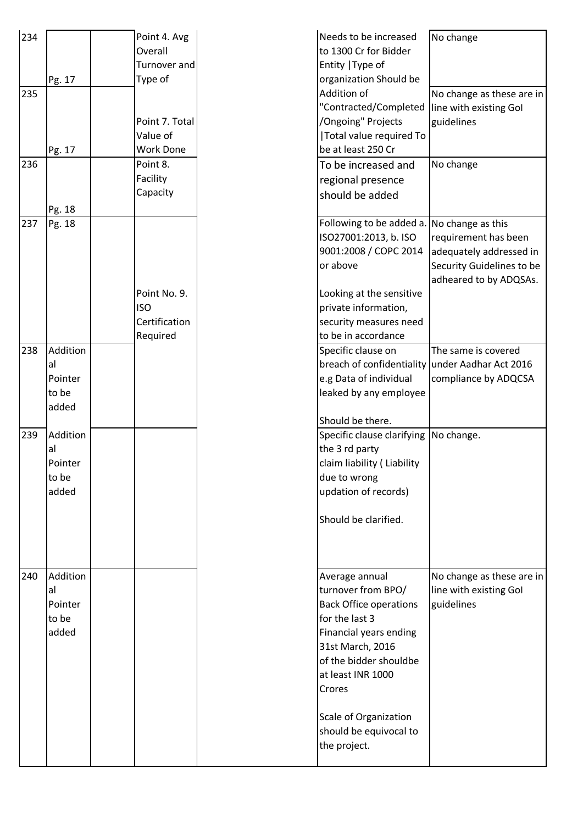| 234 | Pg. 17                                      | Point 4. Avg<br>Overall<br>Turnover and<br>Type of | Needs to be increased<br>to 1300 Cr for Bidder<br>Entity   Type of<br>organization Should be                                                                                                                                                                      | No change                                                                                                                   |
|-----|---------------------------------------------|----------------------------------------------------|-------------------------------------------------------------------------------------------------------------------------------------------------------------------------------------------------------------------------------------------------------------------|-----------------------------------------------------------------------------------------------------------------------------|
| 235 | Pg. 17                                      | Point 7. Total<br>Value of<br><b>Work Done</b>     | Addition of<br>"Contracted/Completed<br>/Ongoing" Projects<br>Total value required To<br>be at least 250 Cr                                                                                                                                                       | No change as these are in<br>line with existing Gol<br>guidelines                                                           |
| 236 | Pg. 18                                      | Point 8.<br>Facility<br>Capacity                   | To be increased and<br>regional presence<br>should be added                                                                                                                                                                                                       | No change                                                                                                                   |
| 237 | Pg. 18                                      | Point No. 9.<br><b>ISO</b><br>Certification        | Following to be added a.<br>ISO27001:2013, b. ISO<br>9001:2008 / COPC 2014<br>or above<br>Looking at the sensitive<br>private information,<br>security measures need                                                                                              | No change as this<br>requirement has been<br>adequately addressed in<br>Security Guidelines to be<br>adheared to by ADQSAs. |
|     |                                             | Required                                           | to be in accordance                                                                                                                                                                                                                                               |                                                                                                                             |
| 238 | Addition<br>al<br>Pointer<br>to be<br>added |                                                    | Specific clause on<br>breach of confidentiality<br>e.g Data of individual<br>leaked by any employee                                                                                                                                                               | The same is covered<br>under Aadhar Act 2016<br>compliance by ADQCSA                                                        |
| 239 | Addition<br>al<br>Pointer<br>to be<br>added |                                                    | Should be there.<br>Specific clause clarifying<br>the 3 rd party<br>claim liability (Liability<br>due to wrong<br>updation of records)<br>Should be clarified.                                                                                                    | No change.                                                                                                                  |
| 240 | Addition<br>al<br>Pointer<br>to be<br>added |                                                    | Average annual<br>turnover from BPO/<br><b>Back Office operations</b><br>for the last 3<br>Financial years ending<br>31st March, 2016<br>of the bidder shouldbe<br>at least INR 1000<br>Crores<br>Scale of Organization<br>should be equivocal to<br>the project. | No change as these are in<br>line with existing Gol<br>guidelines                                                           |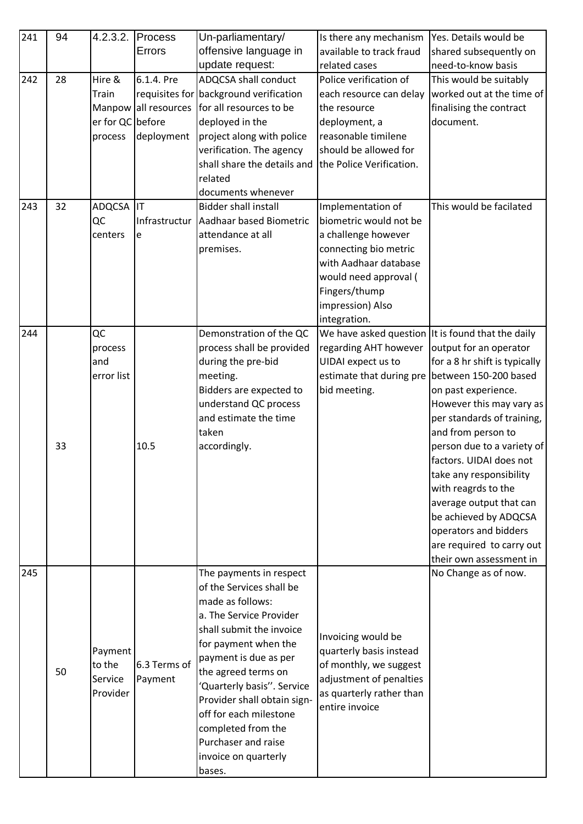| 241 | 94 | 4.2.3.2.         | Process              | Un-parliamentary/                      | Is there any mechanism                            | Yes. Details would be         |
|-----|----|------------------|----------------------|----------------------------------------|---------------------------------------------------|-------------------------------|
|     |    |                  | Errors               | offensive language in                  | available to track fraud                          | shared subsequently on        |
|     |    |                  |                      | update request:                        | related cases                                     | need-to-know basis            |
| 242 | 28 | Hire &           | 6.1.4. Pre           | <b>ADQCSA shall conduct</b>            | Police verification of                            | This would be suitably        |
|     |    | Train            |                      | requisites for background verification | each resource can delay                           | worked out at the time of     |
|     |    |                  | Manpow all resources | for all resources to be                | the resource                                      | finalising the contract       |
|     |    | er for QC before |                      | deployed in the                        | deployment, a                                     | document.                     |
|     |    | process          | deployment           | project along with police              | reasonable timilene                               |                               |
|     |    |                  |                      | verification. The agency               | should be allowed for                             |                               |
|     |    |                  |                      | shall share the details and            | the Police Verification.                          |                               |
|     |    |                  |                      | related                                |                                                   |                               |
|     |    |                  |                      | documents whenever                     |                                                   |                               |
| 243 | 32 | ADQCSA           | IT                   | <b>Bidder shall install</b>            | Implementation of                                 | This would be facilated       |
|     |    | QC               |                      | Infrastructur Aadhaar based Biometric  | biometric would not be                            |                               |
|     |    | centers          | e                    | attendance at all                      | a challenge however                               |                               |
|     |    |                  |                      | premises.                              | connecting bio metric                             |                               |
|     |    |                  |                      |                                        | with Aadhaar database                             |                               |
|     |    |                  |                      |                                        | would need approval (                             |                               |
|     |    |                  |                      |                                        | Fingers/thump                                     |                               |
|     |    |                  |                      |                                        | impression) Also                                  |                               |
|     |    |                  |                      |                                        | integration.                                      |                               |
| 244 |    | QC               |                      | Demonstration of the QC                | We have asked question It is found that the daily |                               |
|     |    | process          |                      | process shall be provided              | regarding AHT however                             | output for an operator        |
|     |    | and              |                      | during the pre-bid                     | UIDAI expect us to                                | for a 8 hr shift is typically |
|     |    | error list       |                      | meeting.                               | estimate that during pre                          | between 150-200 based         |
|     |    |                  |                      | Bidders are expected to                | bid meeting.                                      | on past experience.           |
|     |    |                  |                      | understand QC process                  |                                                   | However this may vary as      |
|     |    |                  |                      | and estimate the time                  |                                                   | per standards of training,    |
|     |    |                  |                      | taken                                  |                                                   | and from person to            |
|     | 33 |                  | 10.5                 | accordingly.                           |                                                   | person due to a variety of    |
|     |    |                  |                      |                                        |                                                   | factors. UIDAI does not       |
|     |    |                  |                      |                                        |                                                   | take any responsibility       |
|     |    |                  |                      |                                        |                                                   | with reagrds to the           |
|     |    |                  |                      |                                        |                                                   | average output that can       |
|     |    |                  |                      |                                        |                                                   | be achieved by ADQCSA         |
|     |    |                  |                      |                                        |                                                   | operators and bidders         |
|     |    |                  |                      |                                        |                                                   | are required to carry out     |
|     |    |                  |                      |                                        |                                                   | their own assessment in       |
| 245 |    |                  |                      | The payments in respect                |                                                   | No Change as of now.          |
|     |    |                  |                      | of the Services shall be               |                                                   |                               |
|     |    |                  |                      | made as follows:                       |                                                   |                               |
|     |    |                  |                      | a. The Service Provider                |                                                   |                               |
|     |    |                  |                      | shall submit the invoice               | Invoicing would be                                |                               |
|     |    | Payment          |                      | for payment when the                   | quarterly basis instead                           |                               |
|     |    | to the           | 6.3 Terms of         | payment is due as per                  | of monthly, we suggest                            |                               |
|     | 50 | Service          | Payment              | the agreed terms on                    | adjustment of penalties                           |                               |
|     |    | Provider         |                      | 'Quarterly basis''. Service            | as quarterly rather than                          |                               |
|     |    |                  |                      | Provider shall obtain sign-            | entire invoice                                    |                               |
|     |    |                  |                      | off for each milestone                 |                                                   |                               |
|     |    |                  |                      | completed from the                     |                                                   |                               |
|     |    |                  |                      | Purchaser and raise                    |                                                   |                               |
|     |    |                  |                      | invoice on quarterly                   |                                                   |                               |
|     |    |                  |                      | bases.                                 |                                                   |                               |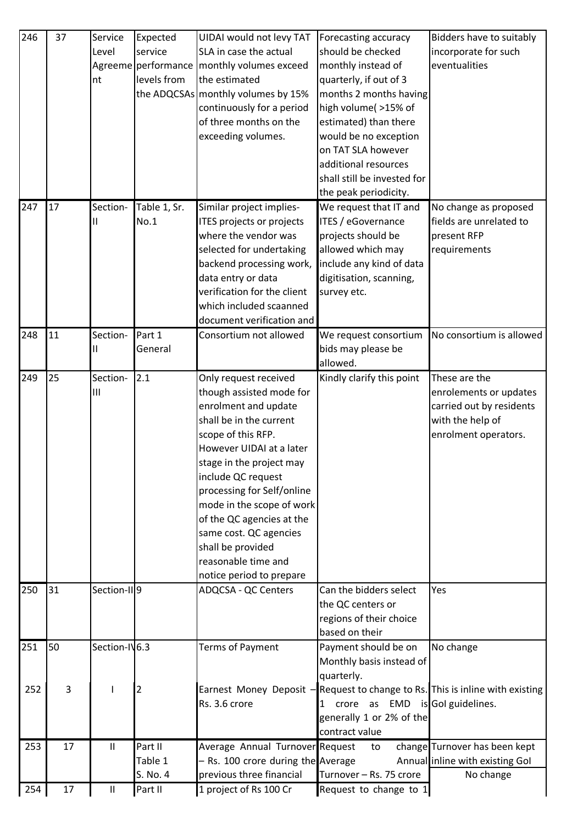| 246 | 37 | Service                    | Expected            | UIDAI would not levy TAT           | Forecasting accuracy                            | Bidders have to suitably                              |
|-----|----|----------------------------|---------------------|------------------------------------|-------------------------------------------------|-------------------------------------------------------|
|     |    | Level                      | service             | SLA in case the actual             | should be checked                               | incorporate for such                                  |
|     |    |                            | Agreeme performance | monthly volumes exceed             | monthly instead of                              | eventualities                                         |
|     |    | nt                         | levels from         | the estimated                      | quarterly, if out of 3                          |                                                       |
|     |    |                            |                     | the ADQCSAs monthly volumes by 15% | months 2 months having                          |                                                       |
|     |    |                            |                     | continuously for a period          | high volume( >15% of                            |                                                       |
|     |    |                            |                     | of three months on the             | estimated) than there                           |                                                       |
|     |    |                            |                     | exceeding volumes.                 | would be no exception                           |                                                       |
|     |    |                            |                     |                                    | on TAT SLA however                              |                                                       |
|     |    |                            |                     |                                    | additional resources                            |                                                       |
|     |    |                            |                     |                                    | shall still be invested for                     |                                                       |
|     |    |                            |                     |                                    | the peak periodicity.                           |                                                       |
| 247 | 17 | Section-                   | Table 1, Sr.        | Similar project implies-           | We request that IT and                          | No change as proposed                                 |
|     |    |                            | No.1                | ITES projects or projects          | ITES / eGovernance                              | fields are unrelated to                               |
|     |    |                            |                     | where the vendor was               | projects should be                              | present RFP                                           |
|     |    |                            |                     | selected for undertaking           | allowed which may                               | requirements                                          |
|     |    |                            |                     | backend processing work,           | include any kind of data                        |                                                       |
|     |    |                            |                     | data entry or data                 | digitisation, scanning,                         |                                                       |
|     |    |                            |                     | verification for the client        | survey etc.                                     |                                                       |
|     |    |                            |                     | which included scaanned            |                                                 |                                                       |
|     |    |                            |                     | document verification and          |                                                 |                                                       |
| 248 | 11 | Section-                   | Part 1              | Consortium not allowed             | We request consortium                           | No consortium is allowed                              |
|     |    |                            | General             |                                    | bids may please be                              |                                                       |
|     |    |                            |                     |                                    | allowed.                                        |                                                       |
| 249 | 25 | Section-                   | 2.1                 | Only request received              | Kindly clarify this point                       | These are the                                         |
|     |    | Ш                          |                     | though assisted mode for           |                                                 | enrolements or updates                                |
|     |    |                            |                     | enrolment and update               |                                                 | carried out by residents                              |
|     |    |                            |                     | shall be in the current            |                                                 | with the help of                                      |
|     |    |                            |                     | scope of this RFP.                 |                                                 | enrolment operators.                                  |
|     |    |                            |                     | However UIDAI at a later           |                                                 |                                                       |
|     |    |                            |                     | stage in the project may           |                                                 |                                                       |
|     |    |                            |                     | include QC request                 |                                                 |                                                       |
|     |    |                            |                     | processing for Self/online         |                                                 |                                                       |
|     |    |                            |                     | mode in the scope of work          |                                                 |                                                       |
|     |    |                            |                     | of the QC agencies at the          |                                                 |                                                       |
|     |    |                            |                     | same cost. QC agencies             |                                                 |                                                       |
|     |    |                            |                     | shall be provided                  |                                                 |                                                       |
|     |    |                            |                     | reasonable time and                |                                                 |                                                       |
|     |    |                            |                     | notice period to prepare           |                                                 |                                                       |
| 250 | 31 | Section-III9               |                     | ADQCSA - QC Centers                | Can the bidders select                          | Yes                                                   |
|     |    |                            |                     |                                    | the QC centers or                               |                                                       |
|     |    |                            |                     |                                    | regions of their choice                         |                                                       |
|     |    |                            |                     |                                    | based on their                                  |                                                       |
| 251 | 50 | Section-IV6.3              |                     | <b>Terms of Payment</b>            | Payment should be on                            | No change                                             |
|     |    |                            |                     |                                    | Monthly basis instead of                        |                                                       |
|     |    |                            |                     |                                    | quarterly.                                      |                                                       |
| 252 | 3  |                            | 2                   | Earnest Money Deposit -            |                                                 | Request to change to Rs. This is inline with existing |
|     |    |                            |                     | Rs. 3.6 crore                      | crore as EMD is Gol guidelines.<br>$\mathbf{1}$ |                                                       |
|     |    |                            |                     |                                    | generally 1 or 2% of the                        |                                                       |
|     |    |                            |                     |                                    | contract value                                  |                                                       |
| 253 | 17 | Ш                          | Part II             | Average Annual Turnover Request    | to                                              | change Turnover has been kept                         |
|     |    |                            | Table 1             | - Rs. 100 crore during the Average |                                                 | Annual inline with existing Gol                       |
|     |    |                            | S. No. 4            | previous three financial           | Turnover - Rs. 75 crore                         | No change                                             |
| 254 | 17 | $\ensuremath{\mathsf{II}}$ | Part II             | 1 project of Rs 100 Cr             | Request to change to 1                          |                                                       |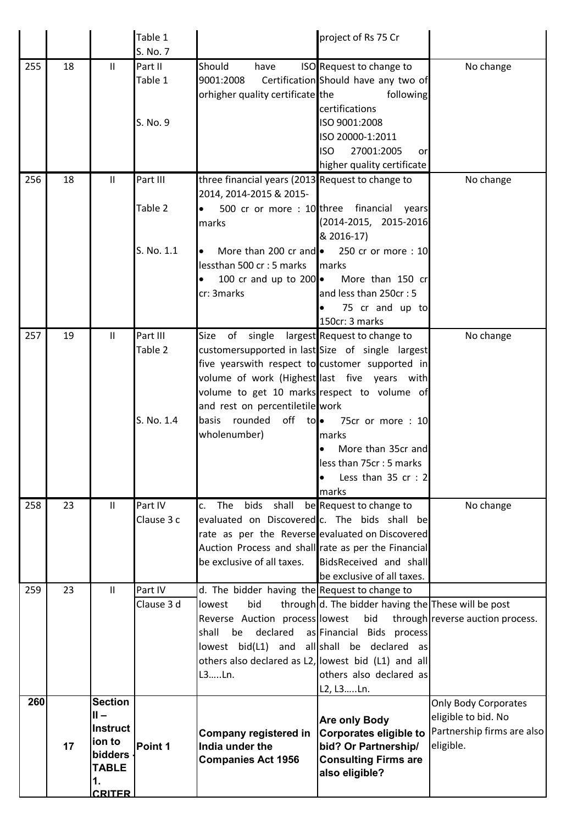|     |    |                     | Table 1               |                                                     | project of Rs 75 Cr                                        |                                  |
|-----|----|---------------------|-----------------------|-----------------------------------------------------|------------------------------------------------------------|----------------------------------|
|     |    |                     | S. No. 7              |                                                     |                                                            |                                  |
| 255 | 18 | $\mathbf{H}$        | Part II               | Should<br>have                                      | ISO Request to change to                                   | No change                        |
|     |    |                     | Table 1               | 9001:2008                                           | Certification Should have any two of                       |                                  |
|     |    |                     |                       | orhigher quality certificate the                    | following                                                  |                                  |
|     |    |                     |                       |                                                     | certifications                                             |                                  |
|     |    |                     | S. No. 9              |                                                     | ISO 9001:2008                                              |                                  |
|     |    |                     |                       |                                                     | ISO 20000-1:2011                                           |                                  |
|     |    |                     |                       |                                                     | 27001:2005<br><b>ISO</b><br>or                             |                                  |
|     |    |                     |                       |                                                     | higher quality certificate                                 |                                  |
| 256 | 18 | $\mathbf{H}$        | Part III              | three financial years (2013 Request to change to    |                                                            | No change                        |
|     |    |                     |                       | 2014, 2014-2015 & 2015-                             |                                                            |                                  |
|     |    |                     | Table 2               |                                                     | 500 cr or more : 10 three financial years                  |                                  |
|     |    |                     |                       | marks                                               | (2014-2015, 2015-2016                                      |                                  |
|     |    |                     |                       |                                                     | & 2016-17)                                                 |                                  |
|     |    |                     | S. No. 1.1            | More than 200 cr and $\bullet$<br>$\bullet$         | 250 cr or more: 10                                         |                                  |
|     |    |                     |                       | lessthan 500 cr : 5 marks                           | marks                                                      |                                  |
|     |    |                     |                       | 100 cr and up to $200\bullet$<br>lo                 | More than 150 cr                                           |                                  |
|     |    |                     |                       | cr: 3marks                                          | and less than 250cr: 5                                     |                                  |
|     |    |                     |                       |                                                     | 75 cr and up to                                            |                                  |
|     |    |                     |                       |                                                     | 150cr: 3 marks                                             |                                  |
| 257 | 19 | $\mathbf{H}$        | Part III              | Size                                                | of single largest Request to change to                     | No change                        |
|     |    |                     | Table 2               | customersupported in last Size of single largest    |                                                            |                                  |
|     |    |                     |                       | five yearswith respect to customer supported in     |                                                            |                                  |
|     |    |                     |                       | volume of work (Highest last five years with        |                                                            |                                  |
|     |    |                     |                       | volume to get 10 marks respect to volume of         |                                                            |                                  |
|     |    |                     |                       | and rest on percentiletile work                     |                                                            |                                  |
|     |    |                     | S. No. 1.4            | rounded<br>basis                                    | off to • 75cr or more : 10                                 |                                  |
|     |    |                     |                       | wholenumber)                                        | marks                                                      |                                  |
|     |    |                     |                       |                                                     | More than 35cr and<br>$\bullet$                            |                                  |
|     |    |                     |                       |                                                     | less than 75cr: 5 marks                                    |                                  |
|     |    |                     |                       |                                                     | Less than $35$ cr : 2                                      |                                  |
|     |    |                     |                       |                                                     | marks                                                      |                                  |
| 258 | 23 | $\mathbf{H}$        | Part IV               | The<br>bids shall<br>c.                             | be Request to change to                                    | No change                        |
|     |    |                     | Clause 3 c            | evaluated on Discovered c. The bids shall be        |                                                            |                                  |
|     |    |                     |                       | rate as per the Reverse evaluated on Discovered     |                                                            |                                  |
|     |    |                     |                       | Auction Process and shall rate as per the Financial |                                                            |                                  |
|     |    |                     |                       | be exclusive of all taxes.                          | BidsReceived and shall                                     |                                  |
|     |    |                     |                       |                                                     | be exclusive of all taxes.                                 |                                  |
| 259 | 23 | $\mathbf{II}$       | Part IV<br>Clause 3 d | d. The bidder having the Request to change to       |                                                            |                                  |
|     |    |                     |                       | bid<br>lowest<br>Reverse Auction process lowest     | through d. The bidder having the These will be post<br>bid | through reverse auction process. |
|     |    |                     |                       | declared<br>shall<br>be                             | as Financial Bids process                                  |                                  |
|     |    |                     |                       | lowest bid(L1) and all shall be declared as         |                                                            |                                  |
|     |    |                     |                       | others also declared as L2, lowest bid (L1) and all |                                                            |                                  |
|     |    |                     |                       | L3Ln.                                               | others also declared as                                    |                                  |
|     |    |                     |                       |                                                     | L2, L3Ln.                                                  |                                  |
| 260 |    | <b>Section</b>      |                       |                                                     |                                                            | <b>Only Body Corporates</b>      |
|     |    | $II -$              |                       |                                                     | <b>Are only Body</b>                                       | eligible to bid. No              |
|     |    | Instruct            |                       | Company registered in                               | <b>Corporates eligible to</b>                              | Partnership firms are also       |
|     | 17 | ion to              | Point 1               | India under the                                     | bid? Or Partnership/                                       | eligible.                        |
|     |    | bidders             |                       | <b>Companies Act 1956</b>                           | <b>Consulting Firms are</b>                                |                                  |
|     |    | <b>TABLE</b>        |                       |                                                     | also eligible?                                             |                                  |
|     |    | 1.<br><b>CRITER</b> |                       |                                                     |                                                            |                                  |
|     |    |                     |                       |                                                     |                                                            |                                  |